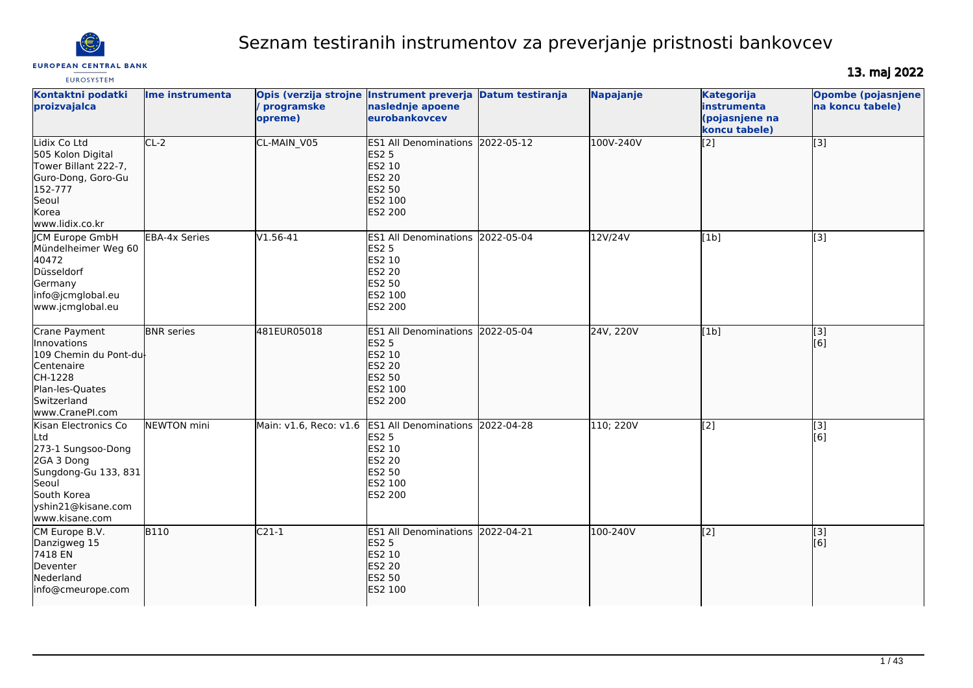

# Seznam testiranih instrumentov za preverjanje pristnosti bankovcev

# **EUROSYSTEM**

13. maj 2022

| Kontaktni podatki<br>proizvajalca                                                                                                                       | Ime instrumenta      | Opis (verzija strojne Instrument preverja<br>/ programske<br>opreme) | naslednje apoene<br>eurobankovcev                                                                                                         | <b>Datum testiranja</b> | Napajanje | <b>Kategorija</b><br><b>linstrumenta</b><br>(pojasnjene na<br>koncu tabele) | <b>Opombe (pojasnjene</b><br>na koncu tabele) |
|---------------------------------------------------------------------------------------------------------------------------------------------------------|----------------------|----------------------------------------------------------------------|-------------------------------------------------------------------------------------------------------------------------------------------|-------------------------|-----------|-----------------------------------------------------------------------------|-----------------------------------------------|
| Lidix Co Ltd<br>505 Kolon Digital<br>Tower Billant 222-7,<br>Guro-Dong, Goro-Gu<br>152-777<br>Seoul<br>Korea<br>www.lidix.co.kr                         | $CL-2$               | CL-MAIN V05                                                          | <b>ES1 All Denominations</b><br><b>ES2 5</b><br>ES2 10<br><b>ES2 20</b><br>ES2 50<br>ES2 100<br><b>ES2 200</b>                            | 2022-05-12              | 100V-240V | $\overline{[2]}$                                                            | [3]                                           |
| ICM Europe GmbH<br>Mündelheimer Weg 60<br>40472<br>Düsseldorf<br>Germany<br>info@jcmglobal.eu<br>www.jcmglobal.eu                                       | <b>EBA-4x Series</b> | V1.56-41                                                             | <b>ES1 All Denominations</b><br><b>ES2 5</b><br>ES2 10<br>ES2 20<br>ES2 50<br>ES2 100<br>ES2 200                                          | 2022-05-04              | 12V/24V   | [1b]                                                                        | $\overline{[3]}$                              |
| Crane Payment<br>Innovations<br>109 Chemin du Pont-du-<br>Centenaire<br>CH-1228<br>Plan-les-Quates<br>Switzerland<br>www.CranePI.com                    | <b>BNR</b> series    | 481EUR05018                                                          | ES1 All Denominations 2022-05-04<br><b>ES2 5</b><br>ES2 10<br><b>ES2 20</b><br>ES2 50<br>ES2 100<br>ES2 200                               |                         | 24V, 220V | [1b]                                                                        | $\overline{[3]}$<br>[6]                       |
| Kisan Electronics Co<br>Ltd<br>273-1 Sungsoo-Dong<br>2GA 3 Dong<br>Sungdong-Gu 133, 831<br>Seoul<br>South Korea<br>yshin21@kisane.com<br>www.kisane.com | <b>NEWTON</b> mini   |                                                                      | Main: v1.6, Reco: v1.6 ES1 All Denominations 2022-04-28<br><b>ES2 5</b><br><b>ES2 10</b><br><b>ES2 20</b><br>ES2 50<br>ES2 100<br>ES2 200 |                         | 110; 220V | [2]                                                                         | $\overline{[3]}$<br>[6]                       |
| CM Europe B.V.<br>Danzigweg 15<br>7418 EN<br>Deventer<br>Nederland<br>info@cmeurope.com                                                                 | <b>B110</b>          | $C21-1$                                                              | ES1 All Denominations 2022-04-21<br><b>ES2 5</b><br>ES2 10<br><b>ES2 20</b><br>ES2 50<br>ES2 100                                          |                         | 100-240V  | [2]                                                                         | [3]<br>[6]                                    |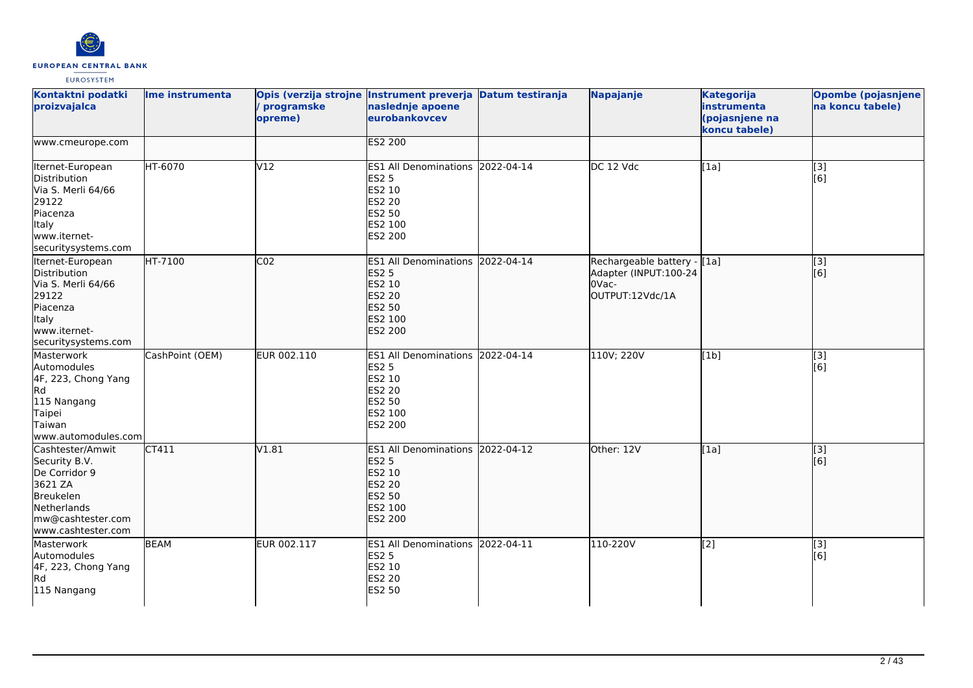

| Kontaktni podatki<br>proizvajalca                                                                                                    | Ime instrumenta | Opis (verzija strojne Instrument preverja Datum testiranja<br>/ programske<br>opreme) | naslednje apoene<br>eurobankovcev                                                                                  |            | Napajanje                                                                        | <b>Kategorija</b><br>instrumenta<br>(pojasnjene na<br>koncu tabele) | Opombe (pojasnjene<br>na koncu tabele) |
|--------------------------------------------------------------------------------------------------------------------------------------|-----------------|---------------------------------------------------------------------------------------|--------------------------------------------------------------------------------------------------------------------|------------|----------------------------------------------------------------------------------|---------------------------------------------------------------------|----------------------------------------|
| www.cmeurope.com                                                                                                                     |                 |                                                                                       | <b>ES2 200</b>                                                                                                     |            |                                                                                  |                                                                     |                                        |
| Iternet-European<br>Distribution<br>Via S. Merli 64/66<br>29122<br>Piacenza<br><b>Italy</b><br>www.iternet-<br>securitysystems.com   | <b>HT-6070</b>  | V12                                                                                   | ES1 All Denominations 2022-04-14<br><b>ES2 5</b><br>ES2 10<br><b>ES2 20</b><br><b>ES2 50</b><br>ES2 100<br>ES2 200 |            | DC 12 Vdc                                                                        | [1a]                                                                | [3]<br>[6]                             |
| Iternet-European<br>Distribution<br>Via S. Merli 64/66<br>29122<br>Piacenza<br>Italy<br>www.iternet-<br>securitysystems.com          | HT-7100         | CO <sub>2</sub>                                                                       | <b>ES1 All Denominations</b><br><b>ES2 5</b><br>ES2 10<br><b>ES2 20</b><br><b>ES2 50</b><br>ES2 100<br>ES2 200     | 2022-04-14 | Rechargeable battery - [1a]<br>Adapter (INPUT:100-24<br>OVac-<br>OUTPUT:12Vdc/1A |                                                                     | $\overline{[}3]$<br>[6]                |
| Masterwork<br>Automodules<br>4F, 223, Chong Yang<br>Rd<br>115 Nangang<br>Taipei<br>Taiwan<br>www.automodules.com                     | CashPoint (OEM) | EUR 002.110                                                                           | <b>ES1 All Denominations</b><br><b>ES2 5</b><br>ES2 10<br><b>ES2 20</b><br>ES2 50<br>ES2 100<br>ES2 200            | 2022-04-14 | 110V; 220V                                                                       | [1b]                                                                | [3]<br>[6]                             |
| Cashtester/Amwit<br>Security B.V.<br>De Corridor 9<br>3621 ZA<br>Breukelen<br>Netherlands<br>mw@cashtester.com<br>www.cashtester.com | CT411           | V1.81                                                                                 | <b>ES1 All Denominations</b><br><b>ES2 5</b><br>ES2 10<br><b>ES2 20</b><br><b>ES2 50</b><br>ES2 100<br>ES2 200     | 2022-04-12 | Other: 12V                                                                       | [1a]                                                                | [[3]<br>[6]                            |
| Masterwork<br>Automodules<br>4F, 223, Chong Yang<br>Rd<br>115 Nangang                                                                | <b>BEAM</b>     | EUR 002.117                                                                           | ES1 All Denominations 2022-04-11<br><b>ES2 5</b><br>ES2 10<br><b>ES2 20</b><br>ES2 50                              |            | 110-220V                                                                         | $\overline{[2]}$                                                    | $\overline{[3]}$<br>[6]                |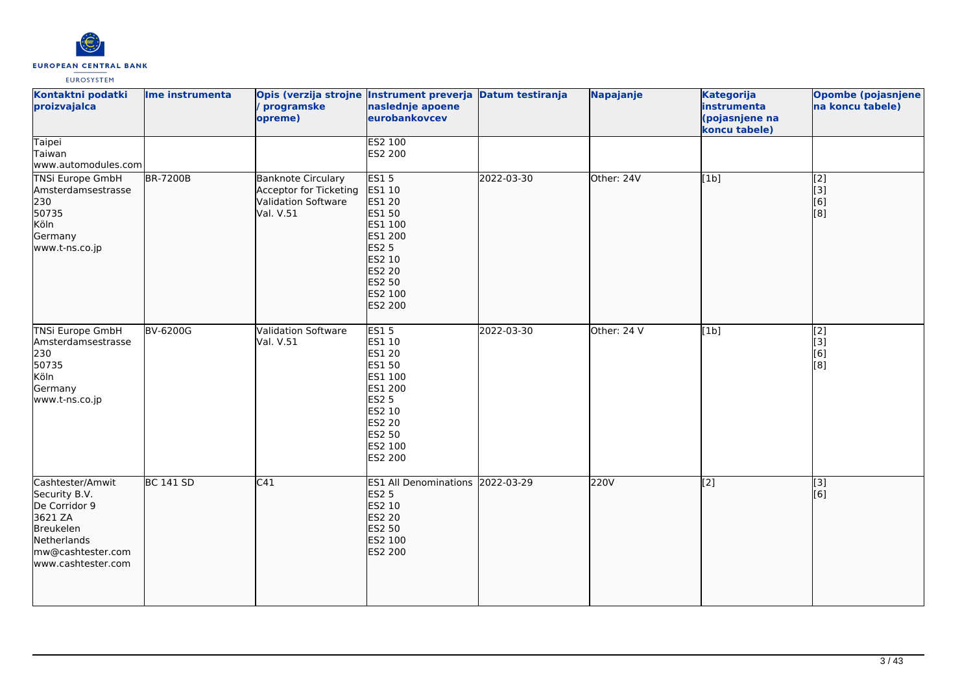

| Kontaktni podatki<br>proizvajalca                                                                                                    | Ime instrumenta  | / programske<br>opreme)                                                                        | Opis (verzija strojne Instrument preverja Datum testiranja<br>naslednje apoene<br>eurobankovcev                                                   |            | Napajanje   | <b>Kategorija</b><br>instrumenta<br>(pojasnjene na<br>koncu tabele) | Opombe (pojasnjene<br>na koncu tabele) |
|--------------------------------------------------------------------------------------------------------------------------------------|------------------|------------------------------------------------------------------------------------------------|---------------------------------------------------------------------------------------------------------------------------------------------------|------------|-------------|---------------------------------------------------------------------|----------------------------------------|
| <b>Taipei</b><br>Taiwan<br>www.automodules.com                                                                                       |                  |                                                                                                | <b>ES2 100</b><br>ES2 200                                                                                                                         |            |             |                                                                     |                                        |
| TNSi Europe GmbH<br>Amsterdamsestrasse<br>230<br>50735<br>Köln<br>Germany<br>www.t-ns.co.jp                                          | <b>BR-7200B</b>  | <b>Banknote Circulary</b><br>Acceptor for Ticketing<br><b>Validation Software</b><br>Val. V.51 | <b>ES15</b><br>ES1 10<br><b>ES1 20</b><br>ES1 50<br>ES1 100<br>ES1 200<br><b>ES2 5</b><br>ES2 10<br><b>ES2 20</b><br>ES2 50<br>ES2 100<br>ES2 200 | 2022-03-30 | Other: 24V  | [1b]                                                                | $\overline{[2]}$<br>[3]<br>[6]<br>[8]  |
| <b>TNSi Europe GmbH</b><br>Amsterdamsestrasse<br>230<br>50735<br>Köln<br>Germany<br>www.t-ns.co.jp                                   | <b>BV-6200G</b>  | Validation Software<br>Val. V.51                                                               | <b>ES15</b><br>ES1 10<br>ES1 20<br>ES1 50<br>ES1 100<br>ES1 200<br><b>ES2 5</b><br>ES2 10<br>ES2 20<br>ES2 50<br>ES2 100<br>ES2 200               | 2022-03-30 | Other: 24 V | [1b]                                                                | $\overline{[2]}$<br>[3]<br>[6]<br>[8]  |
| Cashtester/Amwit<br>Security B.V.<br>De Corridor 9<br>3621 ZA<br>Breukelen<br>Netherlands<br>mw@cashtester.com<br>www.cashtester.com | <b>BC 141 SD</b> | C41                                                                                            | ES1 All Denominations 2022-03-29<br><b>ES2 5</b><br>ES2 10<br>ES2 20<br>ES2 50<br>ES2 100<br>ES2 200                                              |            | 220V        | $\overline{[2]}$                                                    | $\overline{[}3]$<br>[6]                |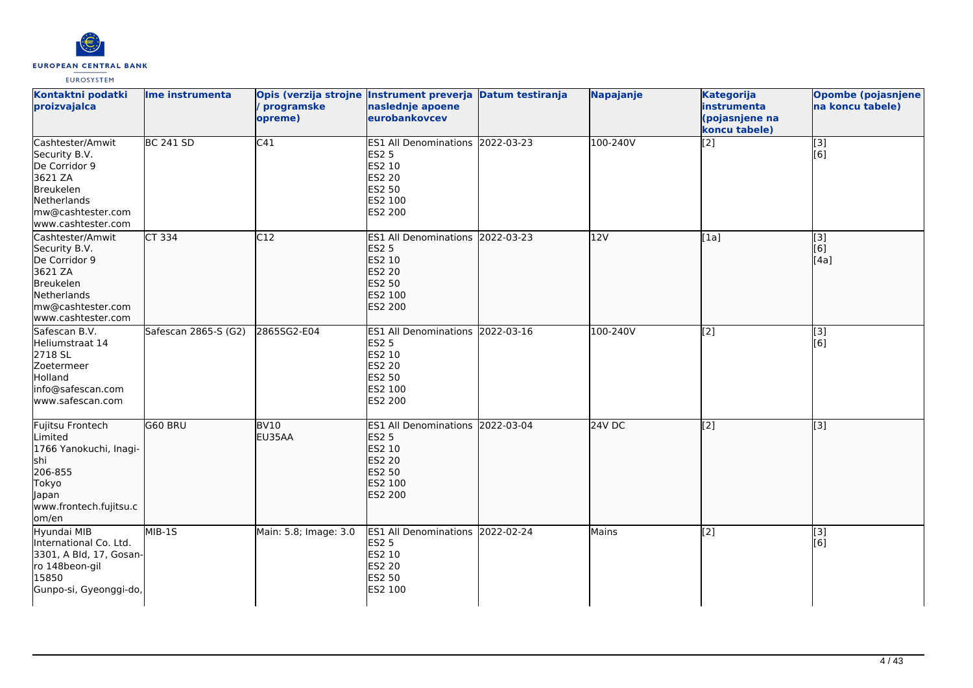

| Kontaktni podatki<br>proizvajalca                                                                                                           | Ime instrumenta      | / programske<br>opreme)    | Opis (verzija strojne Instrument preverja Datum testiranja<br>naslednje apoene<br>eurobankovcev                    |            | Napajanje | <b>Kategorija</b><br>instrumenta<br>(pojasnjene na<br>koncu tabele) | <b>Opombe (pojasnjene)</b><br>na koncu tabele) |
|---------------------------------------------------------------------------------------------------------------------------------------------|----------------------|----------------------------|--------------------------------------------------------------------------------------------------------------------|------------|-----------|---------------------------------------------------------------------|------------------------------------------------|
| Cashtester/Amwit<br>Security B.V.<br>De Corridor 9<br>3621 ZA<br>Breukelen<br>Netherlands<br>mw@cashtester.com<br>www.cashtester.com        | <b>BC 241 SD</b>     | $\overline{C41}$           | ES1 All Denominations 2022-03-23<br><b>ES2 5</b><br>ES2 10<br>ES2 20<br>ES2 50<br>ES2 100<br>ES2 200               |            | 100-240V  | [2]                                                                 | $\overline{[3]}$<br>[6]                        |
| Cashtester/Amwit<br>Security B.V.<br>De Corridor 9<br>3621 ZA<br><b>Breukelen</b><br>Netherlands<br>mw@cashtester.com<br>www.cashtester.com | CT 334               | C12                        | ES1 All Denominations 2022-03-23<br><b>ES2 5</b><br>ES2 10<br><b>ES2 20</b><br><b>ES2 50</b><br>ES2 100<br>ES2 200 |            | 12V       | [1a]                                                                | [3]<br>[6]<br>[4a]                             |
| Safescan B.V.<br>Heliumstraat 14<br>2718 SL<br>Zoetermeer<br>Holland<br>info@safescan.com<br>www.safescan.com                               | Safescan 2865-S (G2) | 2865SG2-E04                | <b>ES1 All Denominations</b><br><b>ES2 5</b><br>ES2 10<br>ES2 20<br>ES2 50<br>ES2 100<br>ES2 200                   | 2022-03-16 | 100-240V  | [2]                                                                 | $[3]$<br>[6]                                   |
| Fujitsu Frontech<br>Limited<br>1766 Yanokuchi, Inagi-<br>shi<br>206-855<br>Tokyo<br>Japan<br>www.frontech.fujitsu.c<br>om/en                | G60 BRU              | BV <sub>10</sub><br>EU35AA | ES1 All Denominations 2022-03-04<br><b>ES2 5</b><br><b>ES2 10</b><br><b>ES2 20</b><br>ES2 50<br>ES2 100<br>ES2 200 |            | $24V$ DC  | $\overline{[2]}$                                                    | $\overline{[}3]$                               |
| Hyundai MIB<br>International Co. Ltd.<br>3301, A Bld, 17, Gosan-<br>ro 148beon-gil<br>15850<br>Gunpo-si, Gyeonggi-do,                       | $MIB-15$             | Main: 5.8; Image: 3.0      | ES1 All Denominations 2022-02-24<br><b>ES2 5</b><br><b>ES2 10</b><br><b>ES2 20</b><br><b>ES2 50</b><br>ES2 100     |            | Mains     | [2]                                                                 | [3]<br>[6]                                     |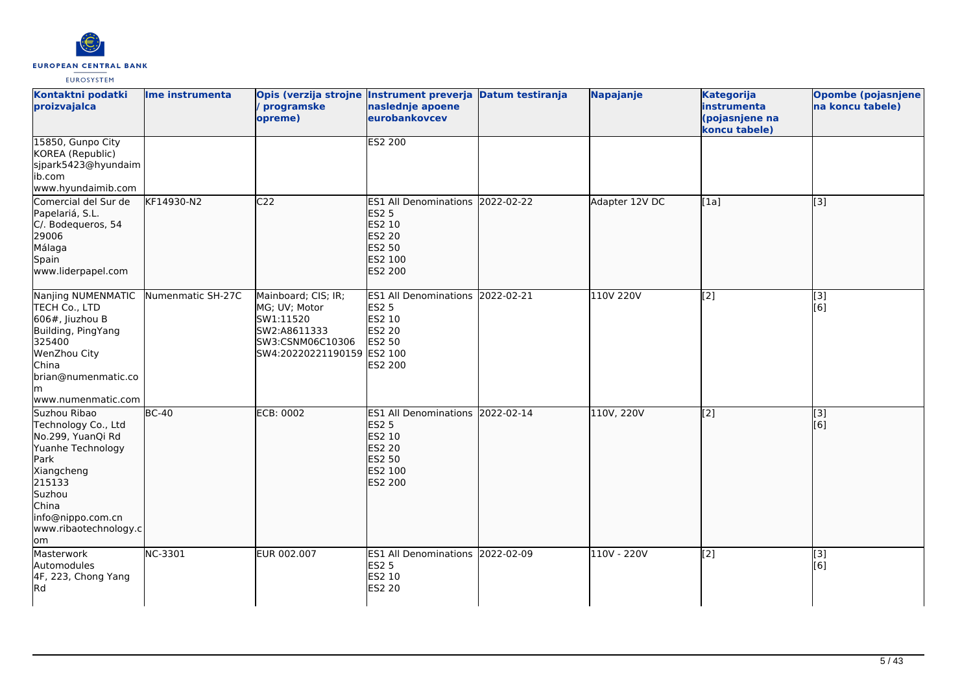

| Kontaktni podatki<br>proizvajalca                                                                                                                                                     | Ime instrumenta   | / programske<br>opreme)                                                                                             | Opis (verzija strojne Instrument preverja Datum testiranja<br>naslednje apoene<br>eurobankovcev             | Napajanje      | <b>Kategorija</b><br>instrumenta<br>(pojasnjene na<br>koncu tabele) | Opombe (pojasnjene)<br>na koncu tabele) |
|---------------------------------------------------------------------------------------------------------------------------------------------------------------------------------------|-------------------|---------------------------------------------------------------------------------------------------------------------|-------------------------------------------------------------------------------------------------------------|----------------|---------------------------------------------------------------------|-----------------------------------------|
| 15850, Gunpo City<br>KOREA (Republic)<br>sjpark5423@hyundaim<br>lib.com<br>www.hyundaimib.com                                                                                         |                   |                                                                                                                     | <b>ES2 200</b>                                                                                              |                |                                                                     |                                         |
| Comercial del Sur de<br>Papelariá, S.L.<br>C/. Bodequeros, 54<br>29006<br>Málaga<br>Spain<br>www.liderpapel.com                                                                       | KF14930-N2        | C <sub>22</sub>                                                                                                     | ES1 All Denominations 2022-02-22<br><b>ES2 5</b><br>ES2 10<br><b>ES2 20</b><br>ES2 50<br>ES2 100<br>ES2 200 | Adapter 12V DC | [1a]                                                                | [3]                                     |
| Nanjing NUMENMATIC<br>TECH Co., LTD<br>606#, Jiuzhou B<br>Building, PingYang<br>325400<br>WenZhou City<br>China<br>brian@numenmatic.co<br>lm<br>www.numenmatic.com                    | Numenmatic SH-27C | Mainboard; CIS; IR;<br>MG; UV; Motor<br>SW1:11520<br>SW2:A8611333<br>SW3:CSNM06C10306<br>SW4:20220221190159 ES2 100 | ES1 All Denominations 2022-02-21<br><b>ES2 5</b><br>ES2 10<br>ES2 20<br>ES2 50<br>ES2 200                   | 110V 220V      | $\overline{[2]}$                                                    | $\overline{[}3]$<br>[6]                 |
| Suzhou Ribao<br>Technology Co., Ltd<br>No.299, YuanQi Rd<br>Yuanhe Technology<br>Park<br>Xiangcheng<br>215133<br>Suzhou<br>China<br>info@nippo.com.cn<br>www.ribaotechnology.c<br>lom | $BC-40$           | <b>ECB: 0002</b>                                                                                                    | ES1 All Denominations 2022-02-14<br><b>ES2 5</b><br>ES2 10<br><b>ES2 20</b><br>ES2 50<br>ES2 100<br>ES2 200 | 110V, 220V     | $\overline{[2]}$                                                    | $\overline{[}3]$<br>[6]                 |
| Masterwork<br>Automodules<br>4F, 223, Chong Yang<br><b>Rd</b>                                                                                                                         | NC-3301           | EUR 002.007                                                                                                         | ES1 All Denominations 2022-02-09<br><b>ES2 5</b><br>ES2 10<br><b>ES2 20</b>                                 | 110V - 220V    | $\overline{[2]}$                                                    | [3]<br>[6]                              |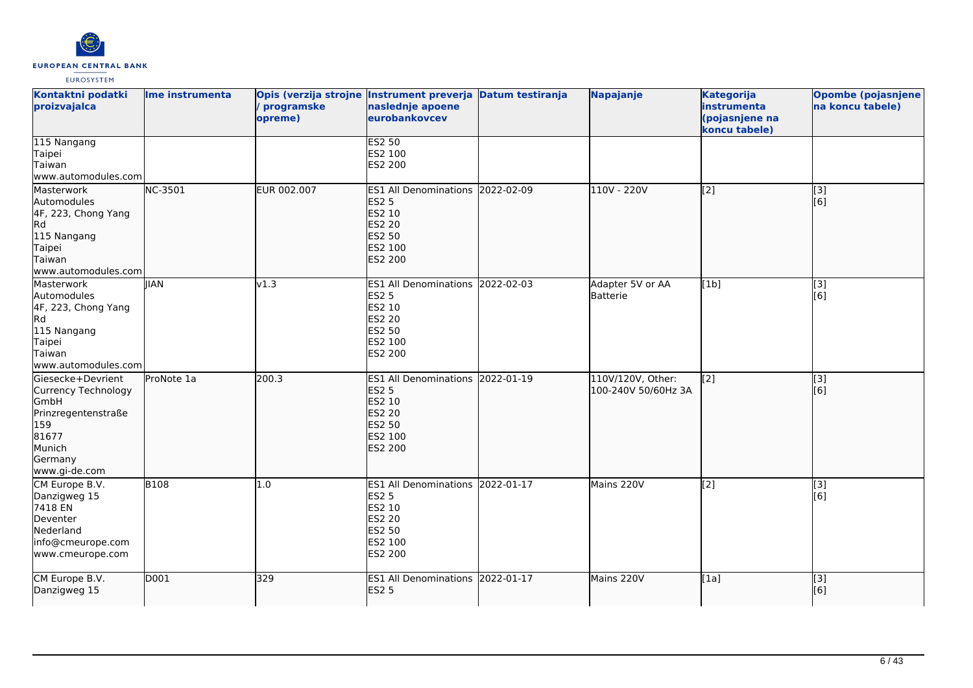

| Kontaktni podatki<br>proizvajalca                                                                                             | Ime instrumenta | programske<br>opreme) | Opis (verzija strojne Instrument preverja Datum testiranja<br>naslednje apoene<br>eurobankovcev                    |            | Napajanje                                | <b>Kategorija</b><br>instrumenta<br>(pojasnjene na<br>koncu tabele) | Opombe (pojasnjene<br>na koncu tabele) |
|-------------------------------------------------------------------------------------------------------------------------------|-----------------|-----------------------|--------------------------------------------------------------------------------------------------------------------|------------|------------------------------------------|---------------------------------------------------------------------|----------------------------------------|
| 115 Nangang<br>Taipei<br>Taiwan<br>www.automodules.com                                                                        |                 |                       | <b>ES2 50</b><br>ES2 100<br>ES2 200                                                                                |            |                                          |                                                                     |                                        |
| Masterwork<br>Automodules<br>4F, 223, Chong Yang<br>Rd<br>115 Nangang<br>Taipei<br>Taiwan<br>www.automodules.com              | NC-3501         | EUR 002.007           | ES1 All Denominations 2022-02-09<br><b>ES2 5</b><br>ES2 10<br><b>ES2 20</b><br><b>ES2 50</b><br>ES2 100<br>ES2 200 |            | 110V - 220V                              | $\vert$ [2]                                                         | [3]<br>[6]                             |
| Masterwork<br>Automodules<br>4F, 223, Chong Yang<br>Rd<br>115 Nangang<br>Taipei<br>Taiwan<br>lwww.automodules.coml            | <b>IIAN</b>     | v1.3                  | <b>ES1 All Denominations</b><br><b>ES2 5</b><br>ES2 10<br><b>ES2 20</b><br><b>ES2 50</b><br>ES2 100<br>ES2 200     | 2022-02-03 | Adapter 5V or AA<br>Batterie             | [1b]                                                                | [3]<br>[6]                             |
| Giesecke+Devrient<br>Currency Technology<br>GmbH<br>Prinzregentenstraße<br>159<br>81677<br>Munich<br>Germany<br>www.gi-de.com | ProNote 1a      | 200.3                 | <b>ES1 All Denominations</b><br><b>ES2 5</b><br>ES2 10<br><b>ES2 20</b><br><b>ES2 50</b><br>ES2 100<br>ES2 200     | 2022-01-19 | 110V/120V, Other:<br>100-240V 50/60Hz 3A | $\overline{[2]}$                                                    | $\overline{[}3]$<br>[6]                |
| CM Europe B.V.<br>Danzigweg 15<br>7418 EN<br>Deventer<br>Nederland<br>info@cmeurope.com<br>www.cmeurope.com                   | <b>B108</b>     | 1.0                   | ES1 All Denominations 2022-01-17<br><b>ES2 5</b><br>ES2 10<br><b>ES2 20</b><br>ES2 50<br>ES2 100<br>ES2 200        |            | Mains 220V                               | $\overline{[2]}$                                                    | [3]<br>[6]                             |
| CM Europe B.V.<br>Danzigweg 15                                                                                                | D001            | 329                   | ES1 All Denominations 2022-01-17<br><b>ES2 5</b>                                                                   |            | Mains 220V                               | [1a]                                                                | $\overline{[}3]$<br>[6]                |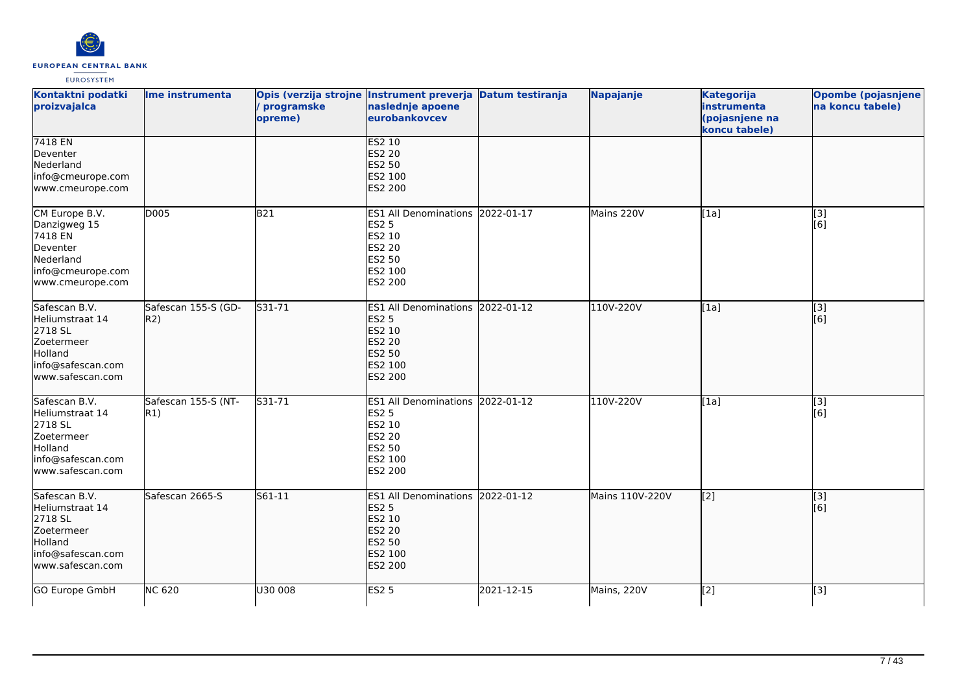

| Kontaktni podatki<br>proizvajalca                                                                                    | Ime instrumenta            | / programske<br>opreme) | Opis (verzija strojne Instrument preverja Datum testiranja<br>naslednje apoene<br>eurobankovcev                    |            | Napajanje       | <b>Kategorija</b><br>instrumenta<br>(pojasnjene na<br>koncu tabele) | Opombe (pojasnjene<br>na koncu tabele) |
|----------------------------------------------------------------------------------------------------------------------|----------------------------|-------------------------|--------------------------------------------------------------------------------------------------------------------|------------|-----------------|---------------------------------------------------------------------|----------------------------------------|
| 7418 EN<br>Deventer<br>Nederland<br>info@cmeurope.com<br>www.cmeurope.com                                            |                            |                         | <b>ES2 10</b><br><b>ES2 20</b><br><b>ES2 50</b><br>ES2 100<br>ES2 200                                              |            |                 |                                                                     |                                        |
| CM Europe B.V.<br>Danzigweg 15<br>7418 EN<br>Deventer<br>Nederland<br>info@cmeurope.com<br>www.cmeurope.com          | D005                       | B21                     | ES1 All Denominations 2022-01-17<br><b>ES2 5</b><br>ES2 10<br><b>ES2 20</b><br>ES2 50<br>ES2 100<br>ES2 200        |            | Mains 220V      | [1a]                                                                | [3]<br>[6]                             |
| Safescan B.V.<br>Heliumstraat 14<br>2718 SL<br>Zoetermeer<br><b>Holland</b><br>info@safescan.com<br>www.safescan.com | Safescan 155-S (GD-<br>R2) | S31-71                  | <b>ES1 All Denominations</b><br><b>ES2 5</b><br>ES2 10<br><b>ES2 20</b><br>ES2 50<br>ES2 100<br><b>ES2 200</b>     | 2022-01-12 | 110V-220V       | [1a]                                                                | [3]<br>[6]                             |
| Safescan B.V.<br>Heliumstraat 14<br>2718 SL<br>Zoetermeer<br>Holland<br>info@safescan.com<br>www.safescan.com        | Safescan 155-S (NT-<br>R1) | S31-71                  | ES1 All Denominations 2022-01-12<br><b>ES2 5</b><br>ES2 10<br><b>ES2 20</b><br><b>ES2 50</b><br>ES2 100<br>ES2 200 |            | 110V-220V       | [1a]                                                                | [3]<br>[6]                             |
| Safescan B.V.<br>Heliumstraat 14<br>2718 SL<br>Zoetermeer<br>Holland<br>info@safescan.com<br>www.safescan.com        | Safescan 2665-S            | S61-11                  | ES1 All Denominations 2022-01-12<br><b>ES2 5</b><br>ES2 10<br><b>ES2 20</b><br>ES2 50<br>ES2 100<br>ES2 200        |            | Mains 110V-220V | $\overline{[2]}$                                                    | $\overline{[}3]$<br>[6]                |
| GO Europe GmbH                                                                                                       | <b>NC 620</b>              | U30 008                 | <b>ES2 5</b>                                                                                                       | 2021-12-15 | Mains, 220V     | $\overline{[2]}$                                                    | $\overline{[3]}$                       |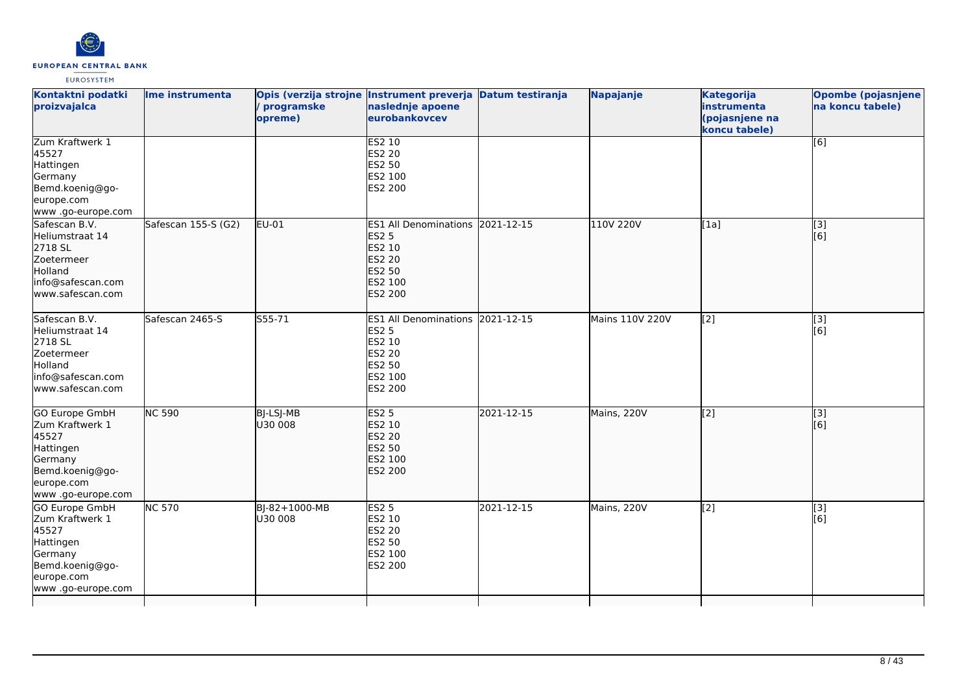

| Kontaktni podatki<br>proizvajalca                                                                                         | Ime instrumenta     | programske<br>opreme)       | Opis (verzija strojne Instrument preverja Datum testiranja<br>naslednje apoene<br>eurobankovcev                           |            | Napajanje       | <b>Kategorija</b><br>instrumenta<br>(pojasnjene na<br>koncu tabele) | <b>Opombe (pojasnjene)</b><br>na koncu tabele) |
|---------------------------------------------------------------------------------------------------------------------------|---------------------|-----------------------------|---------------------------------------------------------------------------------------------------------------------------|------------|-----------------|---------------------------------------------------------------------|------------------------------------------------|
| Zum Kraftwerk 1<br>45527<br>Hattingen<br>Germany<br>Bemd.koenig@go-<br>europe.com<br>www.go-europe.com                    |                     |                             | ES2 10<br><b>ES2 20</b><br><b>ES2 50</b><br>ES2 100<br><b>ES2 200</b>                                                     |            |                 |                                                                     | [6]                                            |
| Safescan B.V.<br>Heliumstraat 14<br>2718 SL<br>Zoetermeer<br>Holland<br>info@safescan.com<br>www.safescan.com             | Safescan 155-S (G2) | EU-01                       | ES1 All Denominations 2021-12-15<br><b>ES2 5</b><br>ES2 10<br><b>ES2 20</b><br><b>ES2 50</b><br>ES2 100<br><b>ES2 200</b> |            | 110V 220V       | [1a]                                                                | [3]<br>[6]                                     |
| Safescan B.V.<br>Heliumstraat 14<br>2718 SL<br>Zoetermeer<br>Holland<br>info@safescan.com<br>www.safescan.com             | Safescan 2465-S     | S55-71                      | ES1 All Denominations 2021-12-15<br><b>ES2 5</b><br>ES2 10<br><b>ES2 20</b><br><b>ES2 50</b><br>ES2 100<br><b>ES2 200</b> |            | Mains 110V 220V | [2]                                                                 | [3]<br>[6]                                     |
| GO Europe GmbH<br>Zum Kraftwerk 1<br>45527<br>Hattingen<br>Germany<br>Bemd.koenig@go-<br>europe.com<br>www .go-europe.com | <b>NC 590</b>       | <b>BJ-LSJ-MB</b><br>U30 008 | <b>ES2 5</b><br>ES2 10<br><b>ES2 20</b><br><b>ES2 50</b><br>ES2 100<br><b>ES2 200</b>                                     | 2021-12-15 | Mains, 220V     | $\overline{[2]}$                                                    | $\overline{[}3]$<br>[6]                        |
| GO Europe GmbH<br>Zum Kraftwerk 1<br>45527<br>Hattingen<br>Germany<br>Bemd.koenig@go-<br>europe.com<br>www .go-europe.com | <b>NC 570</b>       | BJ-82+1000-MB<br>U30 008    | <b>ES2 5</b><br>ES2 10<br><b>ES2 20</b><br>ES2 50<br>ES2 100<br>ES2 200                                                   | 2021-12-15 | Mains, 220V     | [2]                                                                 | [3]<br>[6]                                     |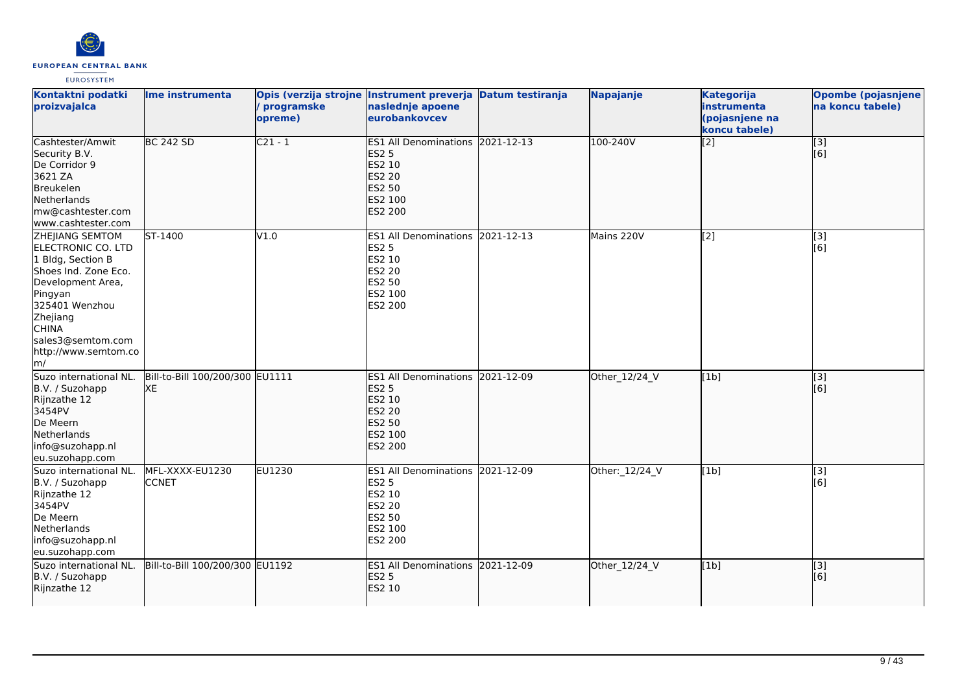

| Kontaktni podatki<br>proizvajalca                                                                                                                                                                                          | Ime instrumenta                       | / programske<br>opreme) | Opis (verzija strojne Instrument preverja Datum testiranja<br>naslednje apoene<br>eurobankovcev                    | Napajanje      | <b>Kategorija</b><br>instrumenta<br>(pojasnjene na<br>koncu tabele) | Opombe (pojasnjene<br>na koncu tabele) |
|----------------------------------------------------------------------------------------------------------------------------------------------------------------------------------------------------------------------------|---------------------------------------|-------------------------|--------------------------------------------------------------------------------------------------------------------|----------------|---------------------------------------------------------------------|----------------------------------------|
| Cashtester/Amwit<br>Security B.V.<br>De Corridor 9<br>3621 ZA<br>Breukelen<br>Netherlands<br>mw@cashtester.com<br>www.cashtester.com                                                                                       | <b>BC 242 SD</b>                      | $C21 - 1$               | ES1 All Denominations 2021-12-13<br><b>ES2 5</b><br>ES2 10<br><b>ES2 20</b><br>ES2 50<br>ES2 100<br>ES2 200        | 100-240V       | $\overline{[2]}$                                                    | $\overline{[}3]$<br>[6]                |
| <b>ZHEIIANG SEMTOM</b><br>ELECTRONIC CO. LTD<br>1 Bldg, Section B<br>Shoes Ind. Zone Eco.<br>Development Area,<br>Pingyan<br>325401 Wenzhou<br>Zhejiang<br><b>CHINA</b><br>sales3@semtom.com<br>http://www.semtom.co<br>m/ | ST-1400                               | V1.0                    | ES1 All Denominations 2021-12-13<br><b>ES2 5</b><br>ES2 10<br><b>ES2 20</b><br>ES2 50<br>ES2 100<br><b>ES2 200</b> | Mains 220V     | [2]                                                                 | [3]<br>[6]                             |
| Suzo international NL.<br>B.V. / Suzohapp<br>Rijnzathe 12<br>3454PV<br>De Meern<br>Netherlands<br>info@suzohapp.nl<br>eu.suzohapp.com                                                                                      | Bill-to-Bill 100/200/300 EU1111<br>XE |                         | ES1 All Denominations 2021-12-09<br><b>ES2 5</b><br>ES2 10<br><b>ES2 20</b><br>ES2 50<br>ES2 100<br>ES2 200        | Other_12/24_V  | [1b]                                                                | $\overline{[}3]$<br>[6]                |
| Suzo international NL.<br>B.V. / Suzohapp<br>Rijnzathe 12<br>3454PV<br>De Meern<br>Netherlands<br>info@suzohapp.nl<br>eu.suzohapp.com                                                                                      | MFL-XXXX-EU1230<br><b>CCNET</b>       | EU1230                  | ES1 All Denominations 2021-12-09<br><b>ES2 5</b><br>ES2 10<br><b>ES2 20</b><br><b>ES2 50</b><br>ES2 100<br>ES2 200 | Other: 12/24_V | [1b]                                                                | [3]<br>[6]                             |
| Suzo international NL.<br>B.V. / Suzohapp<br>Rijnzathe 12                                                                                                                                                                  | Bill-to-Bill 100/200/300 EU1192       |                         | ES1 All Denominations 2021-12-09<br><b>ES2 5</b><br>ES2 10                                                         | Other_12/24_V  | [1b]                                                                | $\overline{[3]}$<br>[6]                |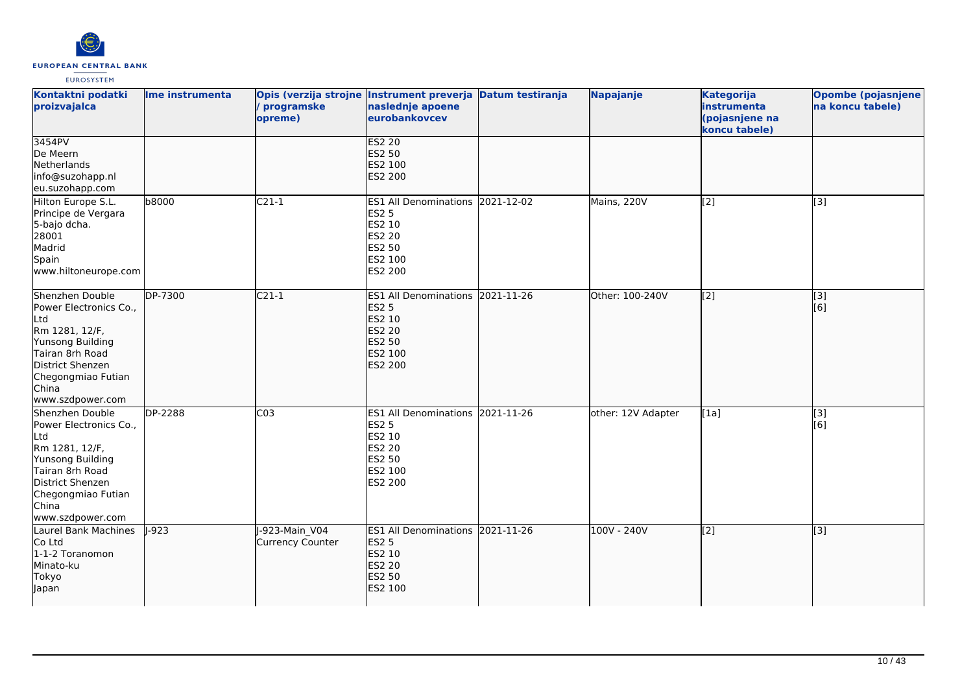

| Kontaktni podatki<br>proizvajalca                                                                                                                                                | Ime instrumenta | programske<br>opreme)              | Opis (verzija strojne Instrument preverja Datum testiranja<br>naslednje apoene<br>eurobankovcev             | Napajanje          | <b>Kategorija</b><br>instrumenta<br>(pojasnjene na<br>koncu tabele) | <b>Opombe (pojasnjene</b><br>na koncu tabele) |
|----------------------------------------------------------------------------------------------------------------------------------------------------------------------------------|-----------------|------------------------------------|-------------------------------------------------------------------------------------------------------------|--------------------|---------------------------------------------------------------------|-----------------------------------------------|
| 3454PV<br>De Meern<br>Netherlands<br>info@suzohapp.nl<br>eu.suzohapp.com                                                                                                         |                 |                                    | <b>ES2 20</b><br><b>ES2 50</b><br>ES2 100<br>ES2 200                                                        |                    |                                                                     |                                               |
| Hilton Europe S.L.<br>Principe de Vergara<br>5-bajo dcha.<br>28001<br>Madrid<br>Spain<br>www.hiltoneurope.com                                                                    | b8000           | $C21-1$                            | ES1 All Denominations 2021-12-02<br><b>ES2 5</b><br>ES2 10<br><b>ES2 20</b><br>ES2 50<br>ES2 100<br>ES2 200 | Mains, 220V        | $\left[2\right]$                                                    | [3]                                           |
| Shenzhen Double<br>Power Electronics Co.,<br>Ltd<br>Rm 1281, 12/F,<br>Yunsong Building<br>Tairan 8rh Road<br>District Shenzen<br>Chegongmiao Futian<br>China<br>www.szdpower.com | DP-7300         | $C21-1$                            | ES1 All Denominations 2021-11-26<br><b>ES2 5</b><br>ES2 10<br><b>ES2 20</b><br>ES2 50<br>ES2 100<br>ES2 200 | Other: 100-240V    | $\sqrt{2}$                                                          | $\overline{[}3]$<br>[6]                       |
| Shenzhen Double<br>Power Electronics Co.,<br>Ltd<br>Rm 1281, 12/F,<br>Yunsong Building<br>Tairan 8rh Road<br>District Shenzen<br>Chegongmiao Futian<br>China<br>www.szdpower.com | DP-2288         | $\overline{C03}$                   | ES1 All Denominations 2021-11-26<br><b>ES2 5</b><br>ES2 10<br><b>ES2 20</b><br>ES2 50<br>ES2 100<br>ES2 200 | other: 12V Adapter | [1a]                                                                | $[3]$<br>[6]                                  |
| Laurel Bank Machines<br>Co Ltd<br>1-1-2 Toranomon<br>Minato-ku<br><b>Tokyo</b><br>Japan                                                                                          | $1-923$         | J-923-Main V04<br>Currency Counter | ES1 All Denominations 2021-11-26<br><b>ES2 5</b><br>ES2 10<br><b>ES2 20</b><br><b>ES2 50</b><br>ES2 100     | 100V - 240V        | $\left[ \begin{matrix} 2 \end{matrix} \right]$                      | $\overline{[3]}$                              |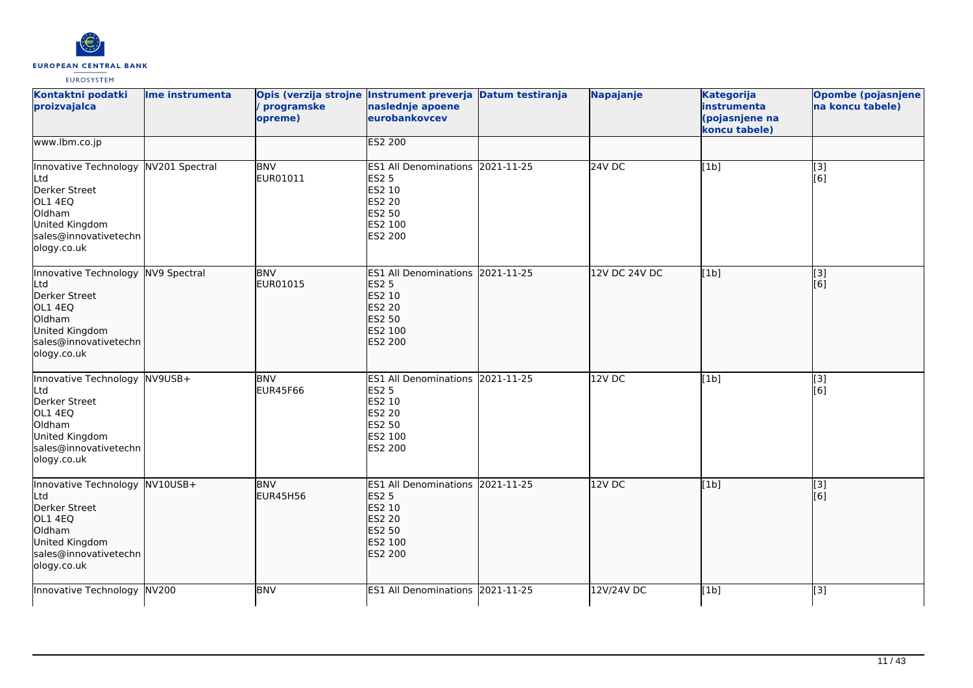

| Kontaktni podatki<br>proizvajalca                                                                                                           | Ime instrumenta | programske<br>opreme)         | Opis (verzija strojne Instrument preverja Datum testiranja<br>naslednje apoene<br>eurobankovcev                    |            | Napajanje         | <b>Kategorija</b><br>instrumenta<br>(pojasnjene na<br>koncu tabele) | <b>Opombe (pojasnjene</b><br>na koncu tabele) |
|---------------------------------------------------------------------------------------------------------------------------------------------|-----------------|-------------------------------|--------------------------------------------------------------------------------------------------------------------|------------|-------------------|---------------------------------------------------------------------|-----------------------------------------------|
| www.lbm.co.jp                                                                                                                               |                 |                               | <b>ES2 200</b>                                                                                                     |            |                   |                                                                     |                                               |
| Innovative Technology NV201 Spectral<br>Ltd<br>Derker Street<br>OL1 4EQ<br>Oldham<br>United Kingdom<br>sales@innovativetechn<br>ology.co.uk |                 | <b>BNV</b><br>EUR01011        | ES1 All Denominations 2021-11-25<br><b>ES2 5</b><br>ES2 10<br><b>ES2 20</b><br>ES2 50<br>ES2 100<br>ES2 200        |            | $24V$ DC          | [1b]                                                                | $\overline{[3]}$<br>[6]                       |
| Innovative Technology NV9 Spectral<br>Ltd<br>Derker Street<br>OL1 4EQ<br>Oldham<br>United Kingdom<br>sales@innovativetechn<br>ology.co.uk   |                 | <b>BNV</b><br>EUR01015        | ES1 All Denominations 2021-11-25<br><b>ES2 5</b><br>ES2 10<br>ES2 20<br><b>ES2 50</b><br>ES2 100<br><b>ES2 200</b> |            | 12V DC 24V DC     | [1b]                                                                | [3]<br>[6]                                    |
| Innovative Technology NV9USB+<br>Ltd<br>Derker Street<br>OL1 4EQ<br>Oldham<br>United Kingdom<br>sales@innovativetechn<br>ology.co.uk        |                 | <b>BNV</b><br><b>EUR45F66</b> | ES1 All Denominations 2021-11-25<br>ES2 5<br>ES2 10<br>ES2 20<br>ES2 50<br>ES2 100<br>ES2 200                      |            | 12V <sub>DC</sub> | [1b]                                                                | $\overline{[}3]$<br>[6]                       |
| Innovative Technology NV10USB+<br>Ltd<br>Derker Street<br>OL1 4EQ<br>Oldham<br>United Kingdom<br>sales@innovativetechn<br>ology.co.uk       |                 | <b>BNV</b><br><b>EUR45H56</b> | <b>ES1 All Denominations</b><br><b>ES2 5</b><br>ES2 10<br><b>ES2 20</b><br>ES2 50<br>ES2 100<br><b>ES2 200</b>     | 2021-11-25 | 12V DC            | $\overline{[}1b]$                                                   | [3]<br>[6]                                    |
| Innovative Technology NV200                                                                                                                 |                 | <b>BNV</b>                    | <b>ES1 All Denominations</b>                                                                                       | 2021-11-25 | 12V/24V DC        | [1b]                                                                | [3]                                           |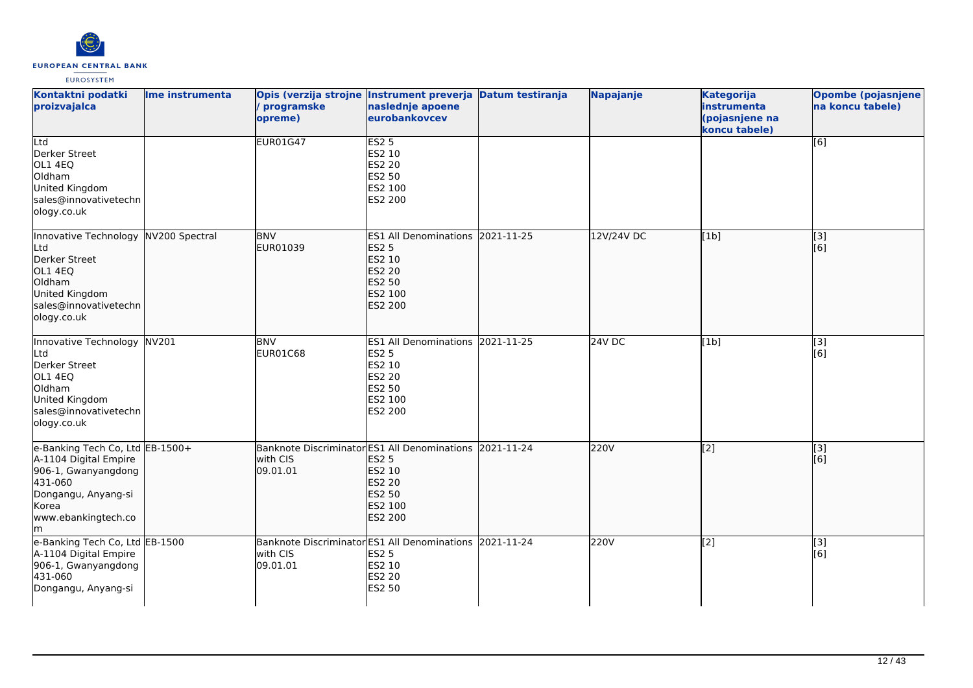

| Kontaktni podatki<br>proizvajalca                                                                                                                        | Ime instrumenta | Opis (verzija strojne Instrument preverja Datum testiranja<br>programske<br>opreme) | naslednje apoene<br>eurobankovcev                                                                       |            | Napajanje  | <b>Kategorija</b><br>instrumenta<br>(pojasnjene na<br>koncu tabele) | <b>Opombe (pojasnjene</b><br>na koncu tabele) |
|----------------------------------------------------------------------------------------------------------------------------------------------------------|-----------------|-------------------------------------------------------------------------------------|---------------------------------------------------------------------------------------------------------|------------|------------|---------------------------------------------------------------------|-----------------------------------------------|
| Ltd<br>Derker Street<br>OL1 4EQ<br>Oldham<br>United Kingdom<br>sales@innovativetechn<br>ology.co.uk                                                      |                 | <b>EUR01G47</b>                                                                     | <b>ES2 5</b><br>ES2 10<br>ES2 20<br>ES2 50<br>ES2 100<br>ES2 200                                        |            |            |                                                                     | $\overline{[6]}$                              |
| Innovative Technology NV200 Spectral<br>Ltd<br>Derker Street<br>OL1 4EQ<br>Oldham<br>United Kingdom<br>sales@innovativetechn<br>ology.co.uk              |                 | <b>BNV</b><br>EUR01039                                                              | <b>ES1 All Denominations</b><br><b>ES2 5</b><br>ES2 10<br>ES2 20<br>ES2 50<br>ES2 100<br><b>ES2 200</b> | 2021-11-25 | 12V/24V DC | [1b]                                                                | [3]<br>[6]                                    |
| Innovative Technology NV201<br>Ltd<br>Derker Street<br>OL1 4EQ<br>Oldham<br>United Kingdom<br>sales@innovativetechn<br>ology.co.uk                       |                 | <b>BNV</b><br>EUR01C68                                                              | <b>ES1 All Denominations</b><br><b>ES2 5</b><br>ES2 10<br>ES2 20<br>ES2 50<br>ES2 100<br>ES2 200        | 2021-11-25 | 24V DC     | [1b]                                                                | $[3]$<br>[6]                                  |
| e-Banking Tech Co, Ltd EB-1500+<br>A-1104 Digital Empire<br>906-1, Gwanyangdong<br>431-060<br>Dongangu, Anyang-si<br>Korea<br>www.ebankingtech.co<br>lm. |                 | Banknote Discriminator ES1 All Denominations 2021-11-24<br>with CIS<br>09.01.01     | <b>ES2 5</b><br>ES2 10<br><b>ES2 20</b><br>ES2 50<br>ES2 100<br>ES2 200                                 |            | 220V       | $\overline{[2]}$                                                    | $\overline{[}3]$<br>[6]                       |
| e-Banking Tech Co, Ltd EB-1500<br>A-1104 Digital Empire<br>906-1, Gwanyangdong<br>431-060<br>Dongangu, Anyang-si                                         |                 | Banknote Discriminator ES1 All Denominations<br>with CIS<br>09.01.01                | <b>ES2 5</b><br>ES2 10<br><b>ES2 20</b><br>ES2 50                                                       | 2021-11-24 | 220V       | [2]                                                                 | [3]<br>[6]                                    |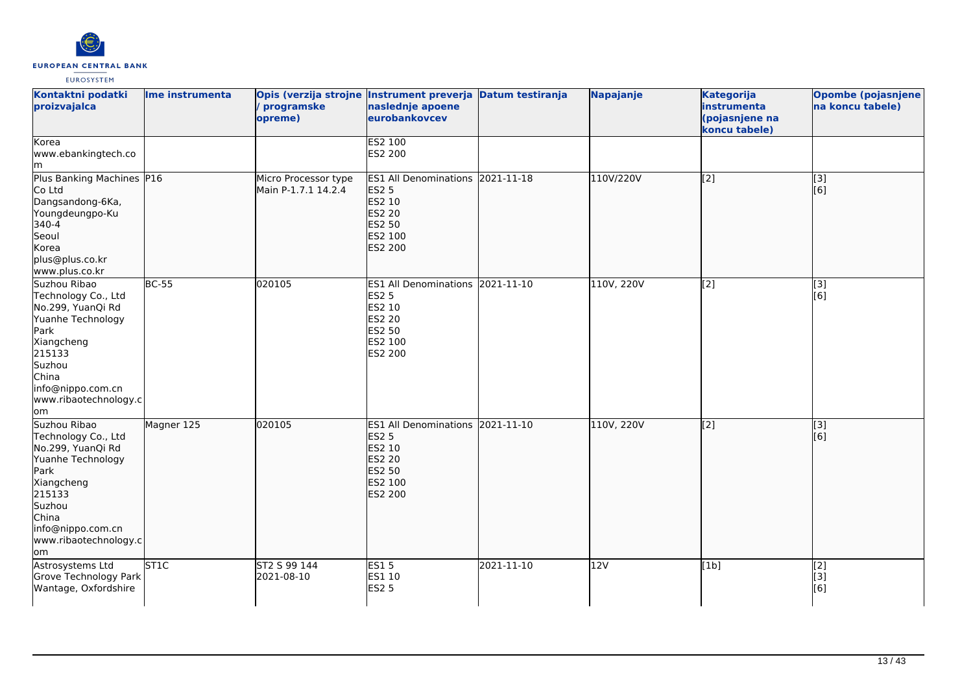

| Kontaktni podatki<br>proizvajalca                                                                                                                                                     | Ime instrumenta     | programske<br>opreme)                       | Opis (verzija strojne Instrument preverja Datum testiranja<br>naslednje apoene<br>eurobankovcev                    |            | Napajanje  | Kategorija<br>instrumenta<br>(pojasnjene na<br>koncu tabele) | Opombe (pojasnjene<br>na koncu tabele) |
|---------------------------------------------------------------------------------------------------------------------------------------------------------------------------------------|---------------------|---------------------------------------------|--------------------------------------------------------------------------------------------------------------------|------------|------------|--------------------------------------------------------------|----------------------------------------|
| Korea<br>www.ebankingtech.co<br>lm                                                                                                                                                    |                     |                                             | ES2 100<br>ES2 200                                                                                                 |            |            |                                                              |                                        |
| Plus Banking Machines P16<br>Co Ltd<br>Dangsandong-6Ka,<br>Youngdeungpo-Ku<br>340-4<br>Seoul<br>Korea<br>plus@plus.co.kr<br>www.plus.co.kr                                            |                     | Micro Processor type<br>Main P-1.7.1 14.2.4 | ES1 All Denominations 2021-11-18<br><b>ES2 5</b><br>ES2 10<br><b>ES2 20</b><br>ES2 50<br>ES2 100<br>ES2 200        |            | 110V/220V  | $\overline{[2]}$                                             | $\overline{[}3]$<br>[6]                |
| Suzhou Ribao<br>Technology Co., Ltd<br>No.299, YuanQi Rd<br>Yuanhe Technology<br>Park<br>Xiangcheng<br>215133<br>Suzhou<br>China<br>info@nippo.com.cn<br>www.ribaotechnology.c<br>om  | $\overline{BC}$ -55 | 020105                                      | ES1 All Denominations 2021-11-10<br><b>ES2 5</b><br>ES2 10<br><b>ES2 20</b><br><b>ES2 50</b><br>ES2 100<br>ES2 200 |            | 110V, 220V | [2]                                                          | [3]<br>[6]                             |
| Suzhou Ribao<br>Technology Co., Ltd<br>No.299, YuanQi Rd<br>Yuanhe Technology<br>Park<br>Xiangcheng<br>215133<br>Suzhou<br>China<br>info@nippo.com.cn<br>www.ribaotechnology.c<br>lom | Magner 125          | 020105                                      | ES1 All Denominations 2021-11-10<br><b>ES2 5</b><br>ES2 10<br><b>ES2 20</b><br><b>ES2 50</b><br>ES2 100<br>ES2 200 |            | 110V, 220V | $\overline{[2]}$                                             | $\overline{[}3]$<br>[6]                |
| Astrosystems Ltd<br>Grove Technology Park<br>Wantage, Oxfordshire                                                                                                                     | ST <sub>1C</sub>    | ST2 S 99 144<br>2021-08-10                  | ES15<br>ES1 10<br><b>ES2 5</b>                                                                                     | 2021-11-10 | 12V        | [1b]                                                         | [2]<br>[3]<br>[6]                      |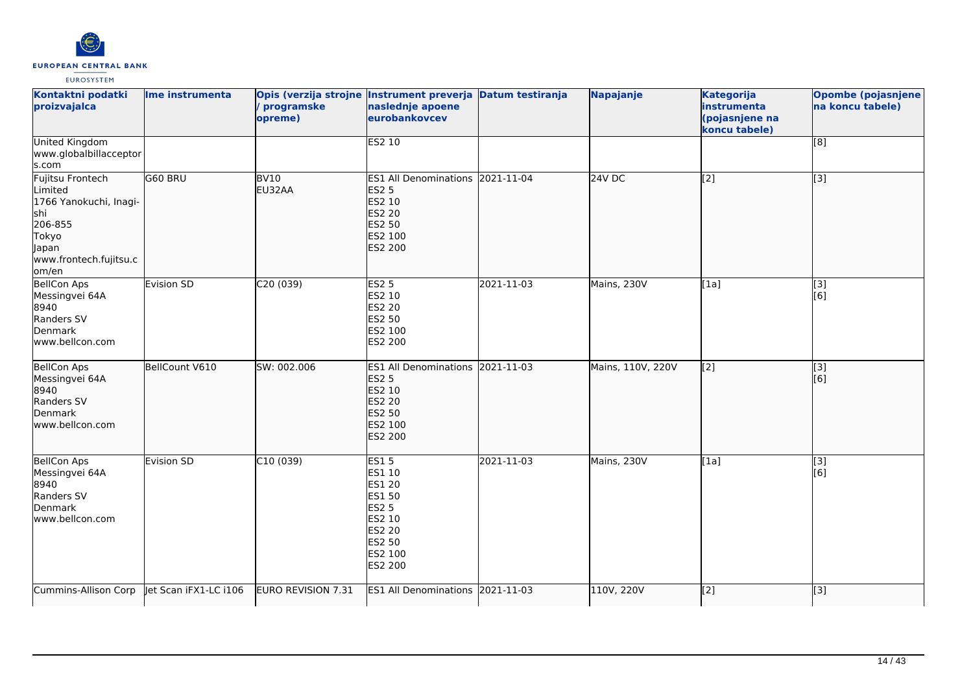

| Kontaktni podatki<br>proizvajalca                                                                                             | Ime instrumenta       | programske<br>opreme) | Opis (verzija strojne Instrument preverja Datum testiranja<br>naslednje apoene<br>eurobankovcev                             |            | Napajanje         | <b>Kategorija</b><br>instrumenta<br>(pojasnjene na<br>koncu tabele) | <b>Opombe (pojasnjene)</b><br>na koncu tabele) |
|-------------------------------------------------------------------------------------------------------------------------------|-----------------------|-----------------------|-----------------------------------------------------------------------------------------------------------------------------|------------|-------------------|---------------------------------------------------------------------|------------------------------------------------|
| <b>United Kingdom</b><br>www.globalbillacceptor<br>s.com                                                                      |                       |                       | <b>ES2 10</b>                                                                                                               |            |                   |                                                                     | [8]                                            |
| Fujitsu Frontech<br>Limited<br>1766 Yanokuchi, Inagi-<br>lshi<br>206-855<br>Tokyo<br>Japan<br>www.frontech.fujitsu.c<br>om/en | G60 BRU               | <b>BV10</b><br>EU32AA | <b>ES1 All Denominations</b><br><b>ES2 5</b><br>ES2 10<br><b>ES2 20</b><br>ES2 50<br>ES2 100<br><b>ES2 200</b>              | 2021-11-04 | <b>24V DC</b>     | $\sqrt{2}$                                                          | $\overline{[}3]$                               |
| <b>BellCon Aps</b><br>Messingvei 64A<br>8940<br>Randers SV<br>Denmark<br>www.bellcon.com                                      | Evision SD            | C20 (039)             | <b>ES2 5</b><br>ES2 10<br><b>ES2 20</b><br>ES2 50<br>ES2 100<br>ES2 200                                                     | 2021-11-03 | Mains, 230V       | [1a]                                                                | [3]<br>[6]                                     |
| <b>BellCon Aps</b><br>Messingvei 64A<br>8940<br>Randers SV<br>Denmark<br>www.bellcon.com                                      | BellCount V610        | SW: 002.006           | <b>ES1 All Denominations</b><br><b>ES2 5</b><br>ES2 10<br>ES2 20<br><b>ES2 50</b><br>ES2 100<br><b>ES2 200</b>              | 2021-11-03 | Mains, 110V, 220V | $\overline{[2]}$                                                    | $\overline{[3]}$<br>[6]                        |
| <b>BellCon Aps</b><br>Messingvei 64A<br>8940<br>Randers SV<br>Denmark<br>www.bellcon.com                                      | Evision SD            | C10(039)              | <b>ES15</b><br>ES1 10<br>ES1 20<br><b>ES1 50</b><br><b>ES2 5</b><br>ES2 10<br><b>ES2 20</b><br>ES2 50<br>ES2 100<br>ES2 200 | 2021-11-03 | Mains, 230V       | [1a]                                                                | [3]<br>[6]                                     |
| Cummins-Allison Corp                                                                                                          | let Scan iFX1-LC i106 | EURO REVISION 7.31    | ES1 All Denominations 2021-11-03                                                                                            |            | 110V, 220V        | $\overline{[2]}$                                                    | $\overline{[3]}$                               |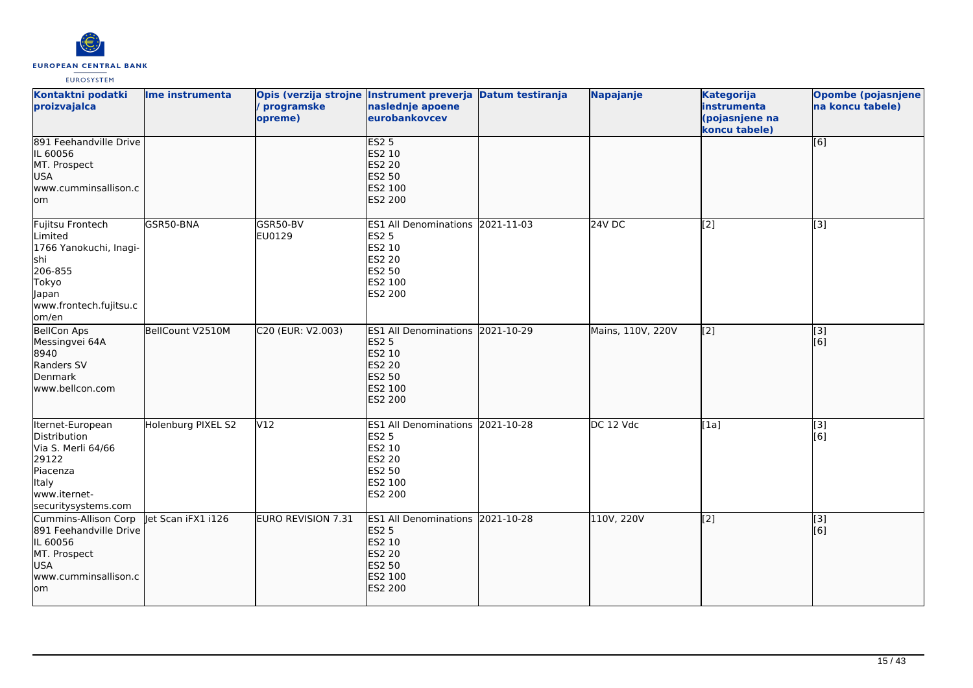

| Kontaktni podatki<br>proizvajalca                                                                                                  | Ime instrumenta    | programske<br>opreme)     | Opis (verzija strojne Instrument preverja Datum testiranja<br>naslednje apoene<br>eurobankovcev                                  | Napajanje         | <b>Kategorija</b><br>instrumenta<br>(pojasnjene na<br>koncu tabele) | <b>Opombe (pojasnjene</b><br>na koncu tabele) |
|------------------------------------------------------------------------------------------------------------------------------------|--------------------|---------------------------|----------------------------------------------------------------------------------------------------------------------------------|-------------------|---------------------------------------------------------------------|-----------------------------------------------|
| 891 Feehandville Drive<br>IL 60056<br>MT. Prospect<br><b>USA</b><br>www.cumminsallison.c<br>lom                                    |                    |                           | <b>ES2 5</b><br><b>ES2 10</b><br>ES2 20<br>ES2 50<br>ES2 100<br><b>ES2 200</b>                                                   |                   |                                                                     | [6]                                           |
| Fujitsu Frontech<br>Limited<br>1766 Yanokuchi, Inagi-<br>shi<br>206-855<br>Tokyo<br>Japan<br>www.frontech.fujitsu.c<br>om/en       | GSR50-BNA          | GSR50-BV<br>EU0129        | ES1 All Denominations 2021-11-03<br><b>ES2 5</b><br>ES2 10<br>ES2 20<br>ES2 50<br>ES2 100<br>ES2 200                             | <b>24V DC</b>     | [2]                                                                 | $[3]$                                         |
| BellCon Aps<br>Messingvei 64A<br>8940<br>Randers SV<br>Denmark<br>www.bellcon.com                                                  | BellCount V2510M   | C20 (EUR: V2.003)         | ES1 All Denominations 2021-10-29<br><b>ES2 5</b><br>ES2 10<br><b>ES2 20</b><br>ES2 50<br>ES2 100<br><b>ES2 200</b>               | Mains, 110V, 220V | $\left[2\right]$                                                    | $\overline{[}3]$<br>[6]                       |
| Iternet-European<br>Distribution<br>Via S. Merli 64/66<br>29122<br>Piacenza<br><b>Italy</b><br>www.iternet-<br>securitysystems.com | Holenburg PIXEL S2 | V12                       | ES1 All Denominations 2021-10-28<br><b>ES2 5</b><br>ES2 10<br>ES2 20<br>ES2 50<br>ES2 100<br>ES2 200                             | DC 12 Vdc         | [1a]                                                                | [3]<br>[6]                                    |
| Cummins-Allison Corp<br>891 Feehandville Drive<br>IL 60056<br>MT. Prospect<br><b>USA</b><br>www.cumminsallison.c<br>lom            | let Scan iFX1 i126 | <b>EURO REVISION 7.31</b> | <b>ES1 All Denominations 2021-10-28</b><br><b>ES2 5</b><br>ES2 10<br><b>ES2 20</b><br><b>ES2 50</b><br>ES2 100<br><b>ES2 200</b> | 110V, 220V        | $\left[2\right]$                                                    | [3]<br>[6]                                    |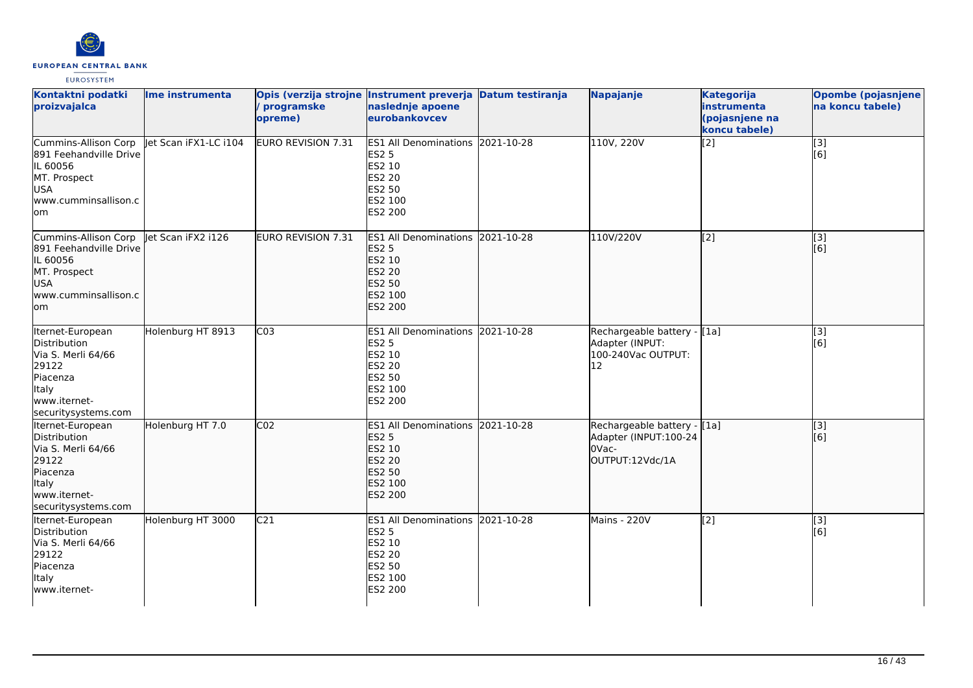

| Kontaktni podatki<br>proizvajalca                                                                                                             | Ime instrumenta   | Opis (verzija strojne Instrument preverja Datum testiranja<br>programske<br>opreme) | naslednje apoene<br>eurobankovcev                                                                                  | Napajanje                                                                         | Kategorija<br>instrumenta<br>(pojasnjene na<br>koncu tabele) | Opombe (pojasnjene<br>na koncu tabele) |
|-----------------------------------------------------------------------------------------------------------------------------------------------|-------------------|-------------------------------------------------------------------------------------|--------------------------------------------------------------------------------------------------------------------|-----------------------------------------------------------------------------------|--------------------------------------------------------------|----------------------------------------|
| Cummins-Allison Corp let Scan iFX1-LC i104<br>891 Feehandville Drive<br>IL 60056<br>MT. Prospect<br><b>USA</b><br>www.cumminsallison.c<br>lom |                   | <b>EURO REVISION 7.31</b>                                                           | ES1 All Denominations 2021-10-28<br><b>ES2 5</b><br>ES2 10<br>ES2 20<br>ES2 50<br>ES2 100<br>ES2 200               | 110V, 220V                                                                        | [2]                                                          | [3]<br>[6]                             |
| Cummins-Allison Corp   et Scan iFX2 i126<br>891 Feehandville Drive<br>IL 60056<br>MT. Prospect<br><b>USA</b><br>www.cumminsallison.c<br>lom   |                   | EURO REVISION 7.31                                                                  | ES1 All Denominations 2021-10-28<br><b>ES2 5</b><br>ES2 10<br><b>ES2 20</b><br><b>ES2 50</b><br>ES2 100<br>ES2 200 | 110V/220V                                                                         | $\sqrt{2}$                                                   | [3]<br>[6]                             |
| Iternet-European<br>Distribution<br>Via S. Merli 64/66<br>29122<br>Piacenza<br>Italy<br>www.iternet-<br>securitysystems.com                   | Holenburg HT 8913 | $\overline{C03}$                                                                    | ES1 All Denominations 2021-10-28<br><b>ES2 5</b><br>ES2 10<br>ES2 20<br>ES2 50<br>ES2 100<br>ES2 200               | Rechargeable battery - [1a]<br>Adapter (INPUT:<br>100-240Vac OUTPUT:<br>12        |                                                              | [3]<br>[6]                             |
| Iternet-European<br>Distribution<br>Via S. Merli 64/66<br>29122<br>Piacenza<br>ltaly<br>lwww.iternet-<br>securitysystems.com                  | Holenburg HT 7.0  | CO <sub>2</sub>                                                                     | ES1 All Denominations 2021-10-28<br><b>ES2 5</b><br>ES2 10<br>ES2 20<br>ES2 50<br>ES2 100<br><b>ES2 200</b>        | Rechargeable battery - [[1a]<br>Adapter (INPUT:100-24<br>OVac-<br>OUTPUT:12Vdc/1A |                                                              | [3]<br>[6]                             |
| Iternet-European<br>Distribution<br>Via S. Merli 64/66<br>29122<br>Piacenza<br>Italy<br>www.iternet-                                          | Holenburg HT 3000 | C <sub>21</sub>                                                                     | ES1 All Denominations 2021-10-28<br>ES2 5<br>ES2 10<br>ES2 20<br>ES2 50<br>ES2 100<br>ES2 200                      | Mains - 220V                                                                      | [2]                                                          | [3]<br>[6]                             |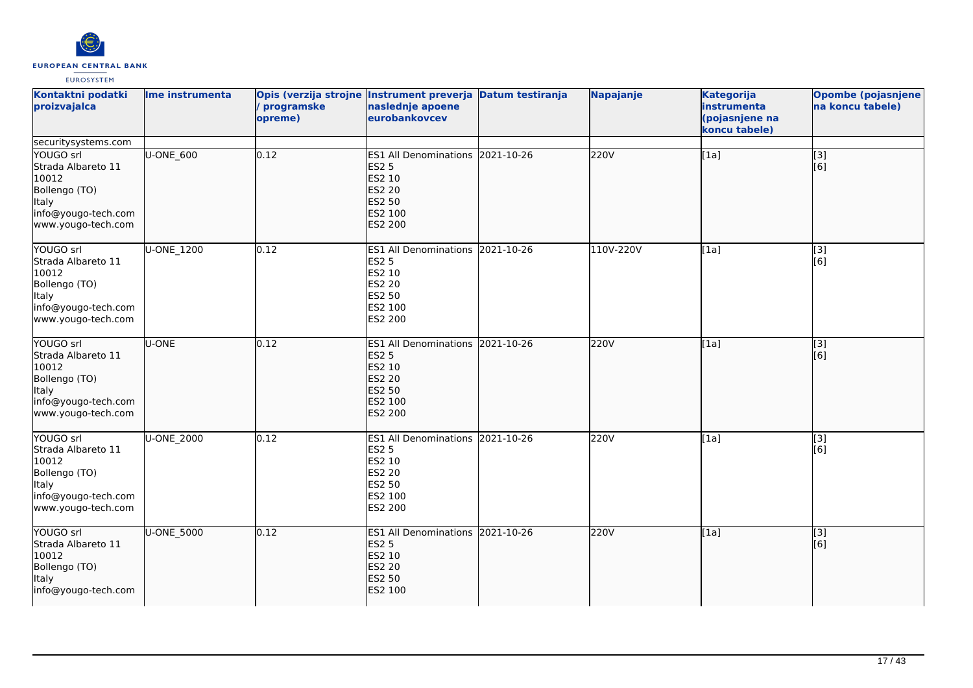

| Kontaktni podatki<br>proizvajalca                                                                                                      | Ime instrumenta | programske<br>opreme) | Opis (verzija strojne Instrument preverja Datum testiranja<br>naslednje apoene<br>eurobankovcev                    | Napajanje | <b>Kategorija</b><br>instrumenta<br>(pojasnjene na<br>koncu tabele) | <b>Opombe (pojasnjene</b><br>na koncu tabele) |
|----------------------------------------------------------------------------------------------------------------------------------------|-----------------|-----------------------|--------------------------------------------------------------------------------------------------------------------|-----------|---------------------------------------------------------------------|-----------------------------------------------|
| securitysystems.com<br>YOUGO srl<br>Strada Albareto 11<br>10012<br>Bollengo (TO)<br>ltaly<br>info@yougo-tech.com<br>www.yougo-tech.com | U-ONE 600       | 0.12                  | ES1 All Denominations 2021-10-26<br><b>ES2 5</b><br>ES2 10<br><b>ES2 20</b><br>ES2 50<br>ES2 100<br><b>ES2 200</b> | 220V      | [1a]                                                                | [3]<br>[6]                                    |
| YOUGO srl<br>Strada Albareto 11<br>10012<br>Bollengo (TO)<br>Italy<br>info@yougo-tech.com<br>www.yougo-tech.com                        | U-ONE_1200      | 0.12                  | ES1 All Denominations 2021-10-26<br><b>ES2 5</b><br>ES2 10<br>ES2 20<br><b>ES2 50</b><br>ES2 100<br>ES2 200        | 110V-220V | $\overline{[1a]}$                                                   | $\overline{[3]}$<br>[6]                       |
| YOUGO srl<br>Strada Albareto 11<br>10012<br>Bollengo (TO)<br>ltaly<br>info@yougo-tech.com<br>www.yougo-tech.com                        | <b>U-ONE</b>    | 0.12                  | ES1 All Denominations 2021-10-26<br><b>ES2 5</b><br>ES2 10<br><b>ES2 20</b><br>ES2 50<br>ES2 100<br><b>ES2 200</b> | 220V      | [1a]                                                                | $\overline{[}3]$<br>[6]                       |
| YOUGO srl<br>Strada Albareto 11<br>10012<br>Bollengo (TO)<br>Italy<br>info@yougo-tech.com<br>www.yougo-tech.com                        | U-ONE_2000      | 0.12                  | ES1 All Denominations 2021-10-26<br><b>ES2 5</b><br>ES2 10<br>ES2 20<br>ES2 50<br>ES2 100<br>ES2 200               | 220V      | $\overline{[1a]}$                                                   | $\overline{[3]}$<br>[6]                       |
| YOUGO srl<br>Strada Albareto 11<br>10012<br>Bollengo (TO)<br>lltaly<br>info@yougo-tech.com                                             | U-ONE_5000      | 0.12                  | ES1 All Denominations 2021-10-26<br><b>ES2 5</b><br>ES2 10<br><b>ES2 20</b><br><b>ES2 50</b><br>ES2 100            | 220V      | [1a]                                                                | [3]<br>[6]                                    |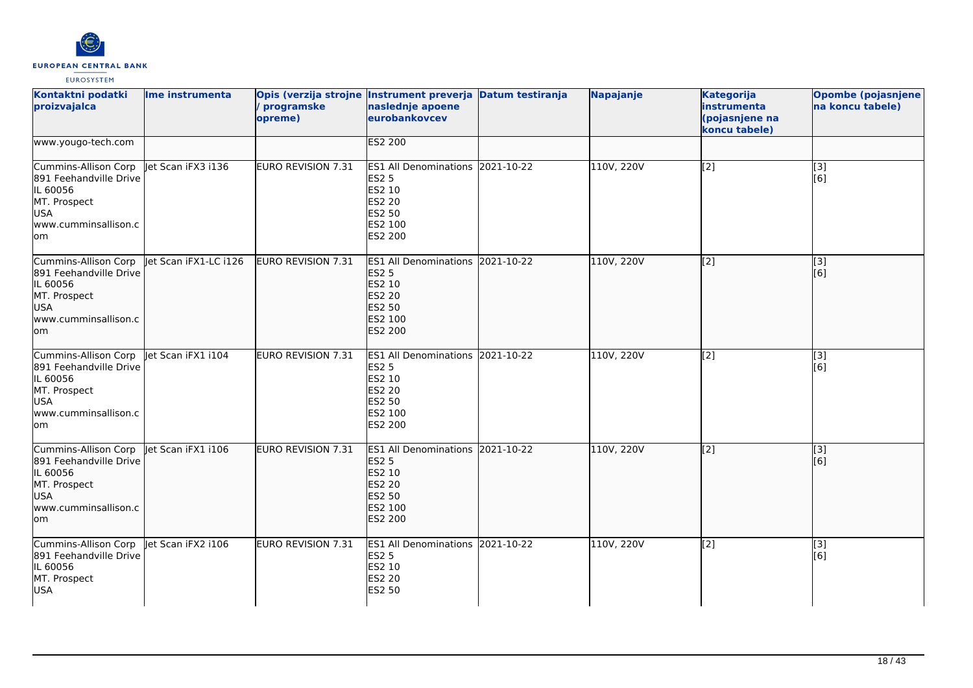

| Kontaktni podatki<br>proizvajalca                                                                                       | Ime instrumenta       | programske<br>opreme)     | Opis (verzija strojne Instrument preverja Datum testiranja<br>naslednje apoene<br>eurobankovcev                |            | Napajanje  | <b>Kategorija</b><br>instrumenta<br>(pojasnjene na<br>koncu tabele) | Opombe (pojasnjene<br>na koncu tabele) |
|-------------------------------------------------------------------------------------------------------------------------|-----------------------|---------------------------|----------------------------------------------------------------------------------------------------------------|------------|------------|---------------------------------------------------------------------|----------------------------------------|
| www.yougo-tech.com                                                                                                      |                       |                           | <b>ES2 200</b>                                                                                                 |            |            |                                                                     |                                        |
| Cummins-Allison Corp<br>891 Feehandville Drive<br>IL 60056<br>MT. Prospect<br><b>USA</b><br>www.cumminsallison.c<br>lom | let Scan iFX3 i136    | EURO REVISION 7.31        | <b>ES1 All Denominations</b><br><b>ES2 5</b><br>ES2 10<br><b>ES2 20</b><br>ES2 50<br>ES2 100<br>ES2 200        | 2021-10-22 | 110V, 220V | $\overline{[2]}$                                                    | $\boxed{[3]}$<br>[6]                   |
| Cummins-Allison Corp<br>891 Feehandville Drive<br>IL 60056<br>MT. Prospect<br><b>USA</b><br>www.cumminsallison.c<br>lom | let Scan iFX1-LC i126 | <b>EURO REVISION 7.31</b> | ES1 All Denominations 2021-10-22<br><b>ES2 5</b><br>ES2 10<br><b>ES2 20</b><br>ES2 50<br>ES2 100<br>ES2 200    |            | 110V, 220V | $\overline{[2]}$                                                    | $\overline{[}3]$<br>[6]                |
| Cummins-Allison Corp<br>891 Feehandville Drive<br>IL 60056<br>MT. Prospect<br><b>USA</b><br>www.cumminsallison.c<br>lom | let Scan iFX1 i104    | EURO REVISION 7.31        | <b>ES1 All Denominations</b><br><b>ES2 5</b><br><b>ES2 10</b><br>ES2 20<br>ES2 50<br>ES2 100<br>ES2 200        | 2021-10-22 | 110V, 220V | $\overline{[2]}$                                                    | [3]<br>[6]                             |
| Cummins-Allison Corp<br>891 Feehandville Drive<br>IL 60056<br>MT. Prospect<br><b>USA</b><br>www.cumminsallison.c<br>lom | let Scan iFX1 i106    | EURO REVISION 7.31        | <b>ES1 All Denominations</b><br><b>ES2 5</b><br>ES2 10<br><b>ES2 20</b><br>ES2 50<br>ES2 100<br><b>ES2 200</b> | 2021-10-22 | 110V, 220V | $\sqrt{2}$                                                          | [[3]<br>[6]                            |
| Cummins-Allison Corp<br>891 Feehandville Drive<br>IL 60056<br>MT. Prospect<br><b>USA</b>                                | let Scan iFX2 i106    | EURO REVISION 7.31        | ES1 All Denominations 2021-10-22<br><b>ES2 5</b><br>ES2 10<br>ES2 20<br><b>ES2 50</b>                          |            | 110V, 220V | $\overline{[2]}$                                                    | $\overline{[3]}$<br>[6]                |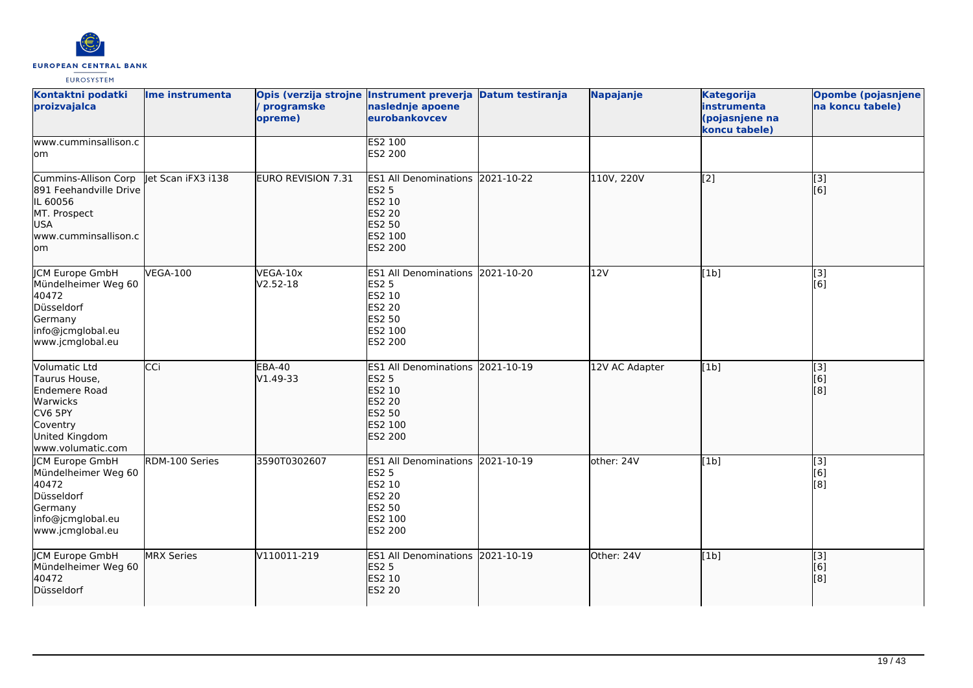

| Kontaktni podatki<br>proizvajalca                                                                                         | Ime instrumenta    | programske<br>opreme)     | Opis (verzija strojne Instrument preverja Datum testiranja<br>naslednje apoene<br>eurobankovcev                    |            | Napajanje      | <b>Kategorija</b><br>instrumenta<br>(pojasnjene na<br>koncu tabele) | <b>Opombe (pojasnjene</b><br>na koncu tabele) |
|---------------------------------------------------------------------------------------------------------------------------|--------------------|---------------------------|--------------------------------------------------------------------------------------------------------------------|------------|----------------|---------------------------------------------------------------------|-----------------------------------------------|
| www.cumminsallison.c<br>lom                                                                                               |                    |                           | ES2 100<br>ES2 200                                                                                                 |            |                |                                                                     |                                               |
| Cummins-Allison Corp<br>891 Feehandville Drive<br>IL 60056<br>MT. Prospect<br>USA<br>www.cumminsallison.c<br>lom          | let Scan iFX3 i138 | <b>EURO REVISION 7.31</b> | ES1 All Denominations 2021-10-22<br><b>ES2 5</b><br>ES2 10<br><b>ES2 20</b><br>ES2 50<br>ES2 100<br><b>ES2 200</b> |            | 110V, 220V     | $\sqrt{2}$                                                          | $\overline{[}3]$<br>[6]                       |
| JCM Europe GmbH<br>Mündelheimer Weg 60<br>40472<br>Düsseldorf<br>Germany<br>info@jcmglobal.eu<br>www.jcmglobal.eu         | <b>VEGA-100</b>    | VEGA-10x<br>$V2.52 - 18$  | ES1 All Denominations 2021-10-20<br><b>ES2 5</b><br>ES2 10<br><b>ES2 20</b><br>ES2 50<br>ES2 100<br>ES2 200        |            | 12V            | [1b]                                                                | [3]<br>[6]                                    |
| Volumatic Ltd<br>Taurus House,<br>Endemere Road<br>Warwicks<br>CV6 5PY<br>Coventry<br>United Kingdom<br>www.volumatic.com | CCi                | <b>EBA-40</b><br>V1.49-33 | <b>ES1 All Denominations</b><br><b>ES2 5</b><br>ES2 10<br><b>ES2 20</b><br>ES2 50<br>ES2 100<br>ES2 200            | 2021-10-19 | 12V AC Adapter | [1b]                                                                | [3]<br>[6]<br>[8]                             |
| JCM Europe GmbH<br>Mündelheimer Weg 60<br>40472<br>Düsseldorf<br>Germany<br>info@jcmglobal.eu<br>www.jcmglobal.eu         | RDM-100 Series     | 3590T0302607              | ES1 All Denominations 2021-10-19<br><b>ES2 5</b><br>ES2 10<br><b>ES2 20</b><br>ES2 50<br>ES2 100<br>ES2 200        |            | other: 24V     | [1b]                                                                | [3]<br>[6]<br>[8]                             |
| JCM Europe GmbH<br>Mündelheimer Weg 60<br>40472<br>Düsseldorf                                                             | <b>MRX Series</b>  | V110011-219               | ES1 All Denominations 2021-10-19<br><b>ES2 5</b><br>ES2 10<br><b>ES2 20</b>                                        |            | Other: 24V     | [1b]                                                                | [3]<br>[6]<br>[8]                             |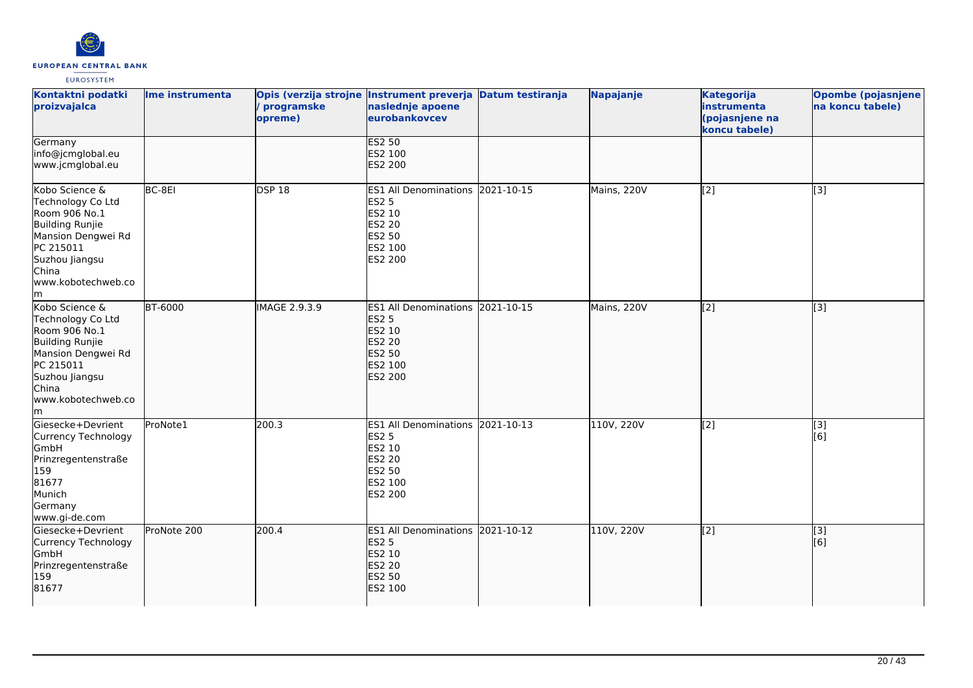

| Kontaktni podatki<br>proizvajalca                                                                                                                                         | Ime instrumenta | programske<br>opreme) | Opis (verzija strojne Instrument preverja Datum testiranja<br>naslednje apoene<br>eurobankovcev                           | <b>Napajanje</b> | <b>Kategorija</b><br>instrumenta<br>(pojasnjene na<br>koncu tabele) | <b>Opombe (pojasnjene</b><br>na koncu tabele) |
|---------------------------------------------------------------------------------------------------------------------------------------------------------------------------|-----------------|-----------------------|---------------------------------------------------------------------------------------------------------------------------|------------------|---------------------------------------------------------------------|-----------------------------------------------|
| Germany<br>info@jcmglobal.eu<br>www.jcmglobal.eu                                                                                                                          |                 |                       | <b>ES2 50</b><br>ES2 100<br>ES2 200                                                                                       |                  |                                                                     |                                               |
| Kobo Science &<br>Technology Co Ltd<br>Room 906 No.1<br>Building Runjie<br>Mansion Dengwei Rd<br>PC 215011<br>Suzhou Jiangsu<br>China<br>www.kobotechweb.co<br>lm.        | BC-8EI          | <b>DSP 18</b>         | ES1 All Denominations 2021-10-15<br><b>ES2 5</b><br>ES2 10<br>ES2 20<br>ES2 50<br>ES2 100<br>ES2 200                      | Mains, 220V      | $\overline{[2]}$                                                    | [3]                                           |
| Kobo Science &<br>Technology Co Ltd<br>Room 906 No.1<br><b>Building Runjie</b><br>Mansion Dengwei Rd<br>PC 215011<br>Suzhou Jiangsu<br>China<br>www.kobotechweb.co<br>lm. | <b>BT-6000</b>  | IMAGE 2.9.3.9         | ES1 All Denominations 2021-10-15<br><b>ES2 5</b><br>ES2 10<br><b>ES2 20</b><br><b>ES2 50</b><br>ES2 100<br><b>ES2 200</b> | Mains, 220V      | $\overline{[2]}$                                                    | $\overline{[3]}$                              |
| Giesecke+Devrient<br>Currency Technology<br>GmbH<br>Prinzregentenstraße<br>159<br>81677<br>Munich<br>Germany<br>www.gi-de.com                                             | ProNote1        | 200.3                 | ES1 All Denominations 2021-10-13<br><b>ES2 5</b><br>ES2 10<br>ES2 20<br>ES2 50<br>ES2 100<br>ES2 200                      | 110V, 220V       | $\overline{[2]}$                                                    | $\overline{[3]}$<br>[6]                       |
| Giesecke+Devrient<br>Currency Technology<br><b>GmbH</b><br>Prinzregentenstraße<br>159<br>81677                                                                            | ProNote 200     | 200.4                 | ES1 All Denominations 2021-10-12<br><b>ES2 5</b><br><b>ES2 10</b><br>ES2 20<br>ES2 50<br>ES2 100                          | 110V, 220V       | $\left[ \begin{matrix} 2 \end{matrix} \right]$                      | $\overline{[}3]$<br>[6]                       |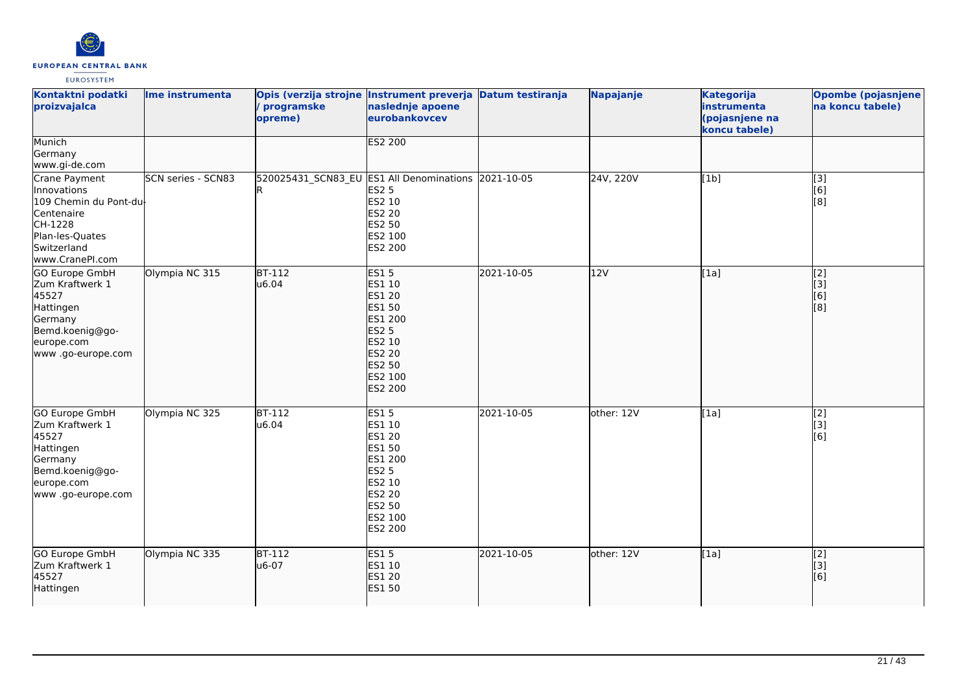

| Kontaktni podatki<br>proizvajalca                                                                                                    | Ime instrumenta    | / programske<br>opreme)                  | Opis (verzija strojne Instrument preverja Datum testiranja<br>naslednje apoene<br>eurobankovcev                                               |            | Napajanje  | <b>Kategorija</b><br>instrumenta<br>(pojasnjene na<br>koncu tabele) | <b>Opombe (pojasnjene</b><br>na koncu tabele)                 |
|--------------------------------------------------------------------------------------------------------------------------------------|--------------------|------------------------------------------|-----------------------------------------------------------------------------------------------------------------------------------------------|------------|------------|---------------------------------------------------------------------|---------------------------------------------------------------|
| Munich<br>Germany<br>www.gi-de.com                                                                                                   |                    |                                          | <b>ES2 200</b>                                                                                                                                |            |            |                                                                     |                                                               |
| Crane Payment<br>Innovations<br>109 Chemin du Pont-du-<br>Centenaire<br>CH-1228<br>Plan-les-Quates<br>Switzerland<br>www.CranePI.com | SCN series - SCN83 | 520025431_SCN83_EU ES1 All Denominations | <b>ES2 5</b><br>ES2 10<br><b>ES2 20</b><br>ES2 50<br>ES2 100<br>ES2 200                                                                       | 2021-10-05 | 24V, 220V  | [1b]                                                                | [3]<br>[6]<br>[8]                                             |
| GO Europe GmbH<br>Zum Kraftwerk 1<br>45527<br>Hattingen<br>Germany<br>Bemd.koenig@go-<br>europe.com<br>www .go-europe.com            | Olympia NC 315     | $BT-112$<br>u6.04                        | ES15<br>ES1 10<br><b>ES1 20</b><br>ES1 50<br>ES1 200<br><b>ES2 5</b><br>ES2 10<br>ES2 20<br><b>ES2 50</b><br>ES2 100<br><b>ES2 200</b>        | 2021-10-05 | 12V        | [1a]                                                                | $\overline{[2]}$<br>[3]<br>$\overline{[}6\overline{)}$<br>[8] |
| <b>GO Europe GmbH</b><br>Zum Kraftwerk 1<br>45527<br>Hattingen<br>Germany<br>Bemd.koenig@go-<br>europe.com<br>www .go-europe.com     | Olympia NC 325     | $BT-112$<br>u6.04                        | <b>ES15</b><br>ES1 10<br><b>ES1 20</b><br><b>ES1 50</b><br>ES1 200<br><b>ES2 5</b><br>ES2 10<br><b>ES2 20</b><br>ES2 50<br>ES2 100<br>ES2 200 | 2021-10-05 | other: 12V | [1a]                                                                | [2]<br>[3]<br>[6]                                             |
| GO Europe GmbH<br>Zum Kraftwerk 1<br>45527<br>Hattingen                                                                              | Olympia NC 335     | <b>BT-112</b><br>u6-07                   | <b>ES15</b><br>ES1 10<br><b>ES1 20</b><br><b>ES1 50</b>                                                                                       | 2021-10-05 | other: 12V | [1a]                                                                | [2]<br>[3]<br>[6]                                             |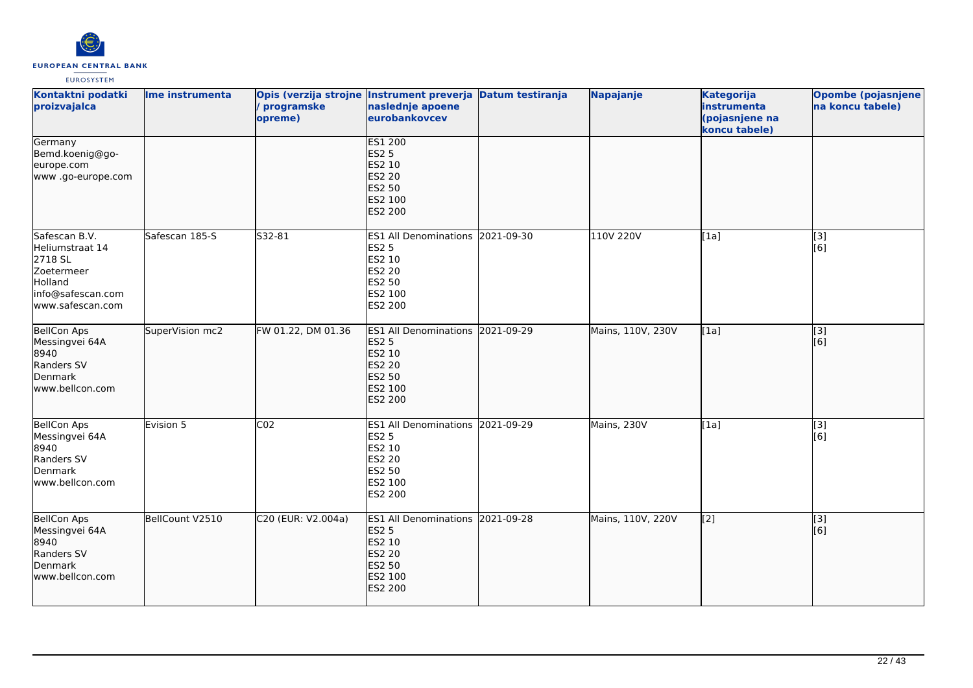

| Kontaktni podatki<br>proizvajalca                                                                             | Ime instrumenta | / programske<br>opreme) | Opis (verzija strojne Instrument preverja Datum testiranja<br>naslednje apoene<br>eurobankovcev                    |            | Napajanje         | <b>Kategorija</b><br>instrumenta<br>(pojasnjene na<br>koncu tabele) | Opombe (pojasnjene<br>na koncu tabele) |
|---------------------------------------------------------------------------------------------------------------|-----------------|-------------------------|--------------------------------------------------------------------------------------------------------------------|------------|-------------------|---------------------------------------------------------------------|----------------------------------------|
| Germany<br>Bemd.koenig@go-<br>europe.com<br>www.go-europe.com                                                 |                 |                         | ES1 200<br><b>ES2 5</b><br>ES2 10<br><b>ES2 20</b><br>ES2 50<br>ES2 100<br>ES2 200                                 |            |                   |                                                                     |                                        |
| Safescan B.V.<br>Heliumstraat 14<br>2718 SL<br>Zoetermeer<br>Holland<br>info@safescan.com<br>www.safescan.com | Safescan 185-S  | S32-81                  | ES1 All Denominations 2021-09-30<br><b>ES2 5</b><br>ES2 10<br><b>ES2 20</b><br>ES2 50<br>ES2 100<br>ES2 200        |            | 110V 220V         | [1a]                                                                | [3]<br>[6]                             |
| BellCon Aps<br>Messingvei 64A<br>8940<br>Randers SV<br>Denmark<br>www.bellcon.com                             | SuperVision mc2 | FW 01.22, DM 01.36      | ES1 All Denominations 2021-09-29<br><b>ES2 5</b><br>ES2 10<br><b>ES2 20</b><br>ES2 50<br>ES2 100<br>ES2 200        |            | Mains, 110V, 230V | [1a]                                                                | $\overline{[3]}$<br>[6]                |
| <b>BellCon Aps</b><br>Messingvei 64A<br>8940<br>Randers SV<br>Denmark<br>www.bellcon.com                      | Evision 5       | CO <sub>2</sub>         | ES1 All Denominations 2021-09-29<br><b>ES2 5</b><br><b>ES2 10</b><br><b>ES2 20</b><br>ES2 50<br>ES2 100<br>ES2 200 |            | Mains, 230V       | [1a]                                                                | [3]<br>[6]                             |
| BellCon Aps<br>Messingvei 64A<br>8940<br>Randers SV<br>Denmark<br>www.bellcon.com                             | BellCount V2510 | C20 (EUR: V2.004a)      | <b>ES1 All Denominations</b><br><b>ES2 5</b><br>ES2 10<br><b>ES2 20</b><br>ES2 50<br>ES2 100<br><b>ES2 200</b>     | 2021-09-28 | Mains, 110V, 220V | $\overline{[2]}$                                                    | $\overline{[3]}$<br>[6]                |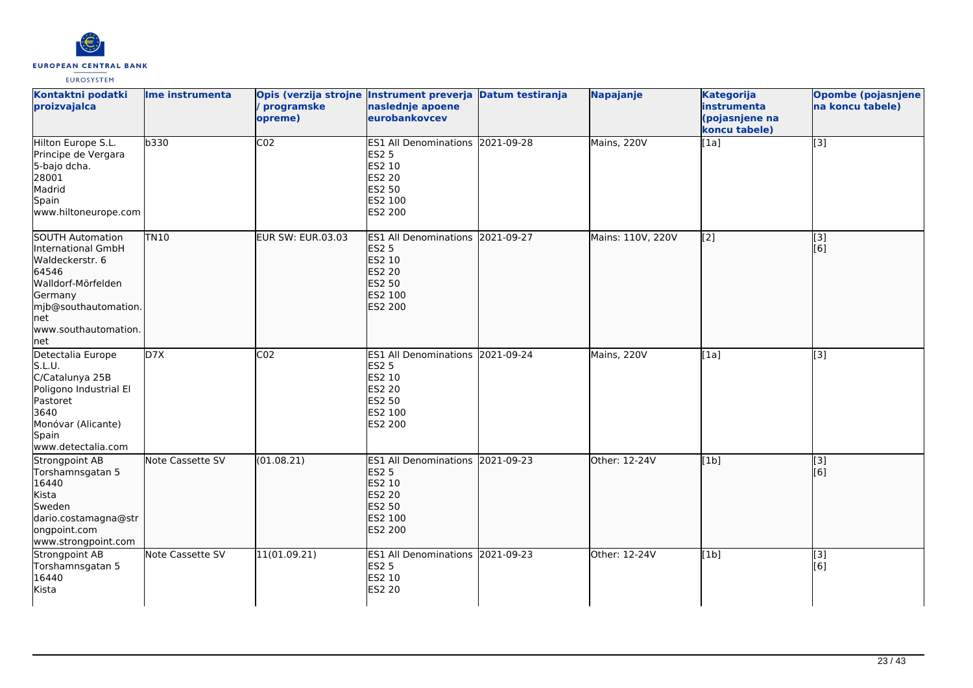

| Kontaktni podatki<br>proizvajalca                                                                                                                                   | Ime instrumenta  | Opis (verzija strojne Instrument preverja Datum testiranja<br>programske<br>opreme) | naslednje apoene<br>eurobankovcev                                                                                     |            | <b>Napajanje</b>  | <b>Kategorija</b><br>instrumenta<br>(pojasnjene na<br>koncu tabele) | <b>Opombe (pojasnjene)</b><br>na koncu tabele) |
|---------------------------------------------------------------------------------------------------------------------------------------------------------------------|------------------|-------------------------------------------------------------------------------------|-----------------------------------------------------------------------------------------------------------------------|------------|-------------------|---------------------------------------------------------------------|------------------------------------------------|
| Hilton Europe S.L.<br>Principe de Vergara<br>5-bajo dcha.<br>28001<br>Madrid<br>Spain<br>www.hiltoneurope.com                                                       | b330             | CO <sub>2</sub>                                                                     | ES1 All Denominations 2021-09-28<br><b>ES2 5</b><br>ES2 10<br>ES2 20<br><b>ES2 50</b><br>ES2 100<br>ES2 200           |            | Mains, 220V       | [1a]                                                                | $\overline{[3]}$                               |
| SOUTH Automation<br>International GmbH<br>Waldeckerstr. 6<br>64546<br>Walldorf-Mörfelden<br>Germany<br>mjb@southautomation.<br>lnet<br>www.southautomation.<br> net | <b>TN10</b>      | <b>EUR SW: EUR.03.03</b>                                                            | <b>ES1 All Denominations</b><br><b>ES2 5</b><br><b>ES2 10</b><br>ES2 20<br><b>ES2 50</b><br>ES2 100<br><b>ES2 200</b> | 2021-09-27 | Mains: 110V, 220V | $\overline{[2]}$                                                    | $\overline{[}3]$<br>[[6]                       |
| Detectalia Europe<br>S.L.U.<br>C/Catalunya 25B<br>Poligono Industrial El<br>Pastoret<br>3640<br>Monóvar (Alicante)<br>Spain<br>www.detectalia.com                   | D7X              | CO <sub>2</sub>                                                                     | ES1 All Denominations 2021-09-24<br><b>ES2 5</b><br>ES2 10<br>ES2 20<br>ES2 50<br>ES2 100<br>ES2 200                  |            | Mains, 220V       | [1a]                                                                | [3]                                            |
| Strongpoint AB<br>Torshamnsgatan 5<br>16440<br>Kista<br>Sweden<br>dario.costamagna@str<br>ongpoint.com<br>www.strongpoint.com                                       | Note Cassette SV | (01.08.21)                                                                          | ES1 All Denominations 2021-09-23<br><b>ES2 5</b><br>ES2 10<br>ES2 20<br><b>ES2 50</b><br>ES2 100<br><b>ES2 200</b>    |            | Other: 12-24V     | [1b]                                                                | $\overline{[}3]$<br>[6]                        |
| Strongpoint AB<br>Torshamnsgatan 5<br>16440<br>Kista                                                                                                                | Note Cassette SV | 11(01.09.21)                                                                        | ES1 All Denominations 2021-09-23<br><b>ES2 5</b><br>ES2 10<br><b>ES2 20</b>                                           |            | Other: 12-24V     | [1b]                                                                | [3]<br>[6]                                     |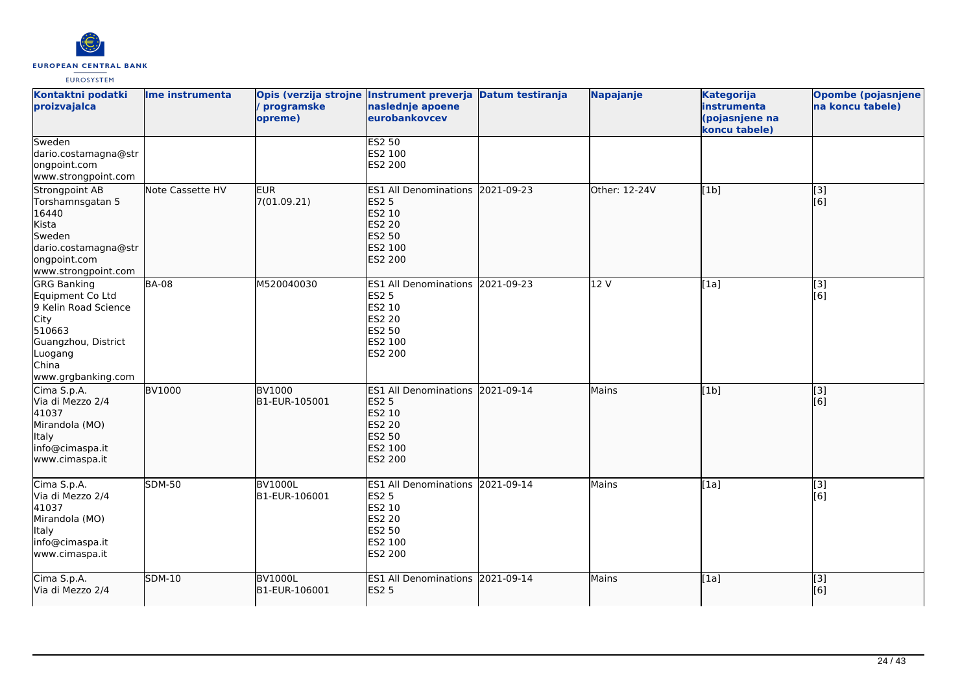

| Kontaktni podatki<br>proizvajalca                                                                                                                        | Ime instrumenta  | programske<br>opreme)           | Opis (verzija strojne Instrument preverja Datum testiranja<br>naslednje apoene<br>eurobankovcev                           |            | Napajanje     | <b>Kategorija</b><br>instrumenta<br>(pojasnjene na<br>koncu tabele) | <b>Opombe (pojasnjene</b><br>na koncu tabele) |
|----------------------------------------------------------------------------------------------------------------------------------------------------------|------------------|---------------------------------|---------------------------------------------------------------------------------------------------------------------------|------------|---------------|---------------------------------------------------------------------|-----------------------------------------------|
| Sweden<br>dario.costamagna@str<br>ongpoint.com<br>www.strongpoint.com                                                                                    |                  |                                 | <b>ES2 50</b><br>ES2 100<br>ES2 200                                                                                       |            |               |                                                                     |                                               |
| Strongpoint AB<br>Torshamnsgatan 5<br>16440<br>Kista<br>Sweden<br>dario.costamagna@str<br>ongpoint.com<br>www.strongpoint.com                            | Note Cassette HV | <b>EUR</b><br>7(01.09.21)       | ES1 All Denominations 2021-09-23<br><b>ES2 5</b><br>ES2 10<br><b>ES2 20</b><br><b>ES2 50</b><br>ES2 100<br><b>ES2 200</b> |            | Other: 12-24V | [1b]                                                                | $\overline{[}3]$<br>[6]                       |
| <b>GRG Banking</b><br>Equipment Co Ltd<br>9 Kelin Road Science<br><b>City</b><br>510663<br>Guangzhou, District<br>Luogang<br>China<br>www.grgbanking.com | <b>BA-08</b>     | M520040030                      | <b>ES1 All Denominations</b><br><b>ES2 5</b><br>ES2 10<br>ES2 20<br>ES2 50<br>ES2 100<br>ES2 200                          | 2021-09-23 | 12 V          | [1a]                                                                | [3]<br>[6]                                    |
| Cima S.p.A.<br>Via di Mezzo 2/4<br>41037<br>Mirandola (MO)<br><b>Italy</b><br>info@cimaspa.it<br>www.cimaspa.it                                          | <b>BV1000</b>    | <b>BV1000</b><br>B1-EUR-105001  | ES1 All Denominations 2021-09-14<br><b>ES2 5</b><br>ES2 10<br><b>ES2 20</b><br><b>ES2 50</b><br>ES2 100<br><b>ES2 200</b> |            | Mains         | [1b]                                                                | $\overline{[3]}$<br>[6]                       |
| Cima S.p.A.<br>Via di Mezzo 2/4<br>41037<br>Mirandola (MO)<br>Italy<br>info@cimaspa.it<br>www.cimaspa.it                                                 | <b>SDM-50</b>    | <b>BV1000L</b><br>B1-EUR-106001 | ES1 All Denominations 2021-09-14<br><b>ES2 5</b><br>ES2 10<br><b>ES2 20</b><br>ES2 50<br>ES2 100<br>ES2 200               |            | Mains         | [1a]                                                                | [3]<br>[6]                                    |
| Cima S.p.A.<br>Via di Mezzo 2/4                                                                                                                          | <b>SDM-10</b>    | <b>BV1000L</b><br>B1-EUR-106001 | <b>ES1 All Denominations</b><br><b>ES2 5</b>                                                                              | 2021-09-14 | Mains         | [1a]                                                                | $\overline{[3]}$<br>[6]                       |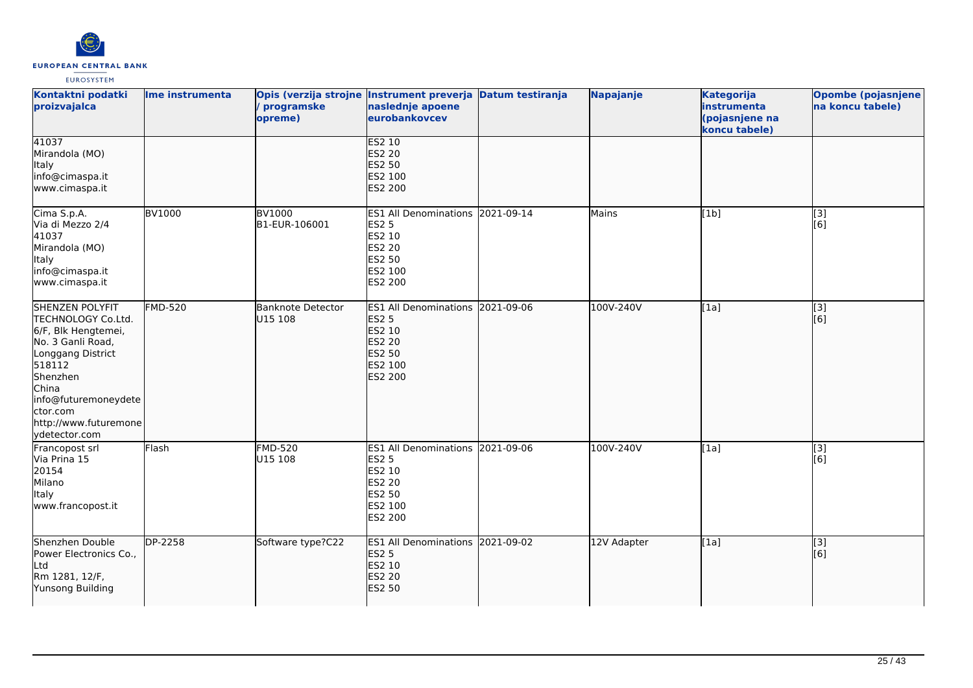

| Kontaktni podatki<br>proizvajalca                                                                                                                                                                                   | Ime instrumenta | programske<br>opreme)               | Opis (verzija strojne Instrument preverja Datum testiranja<br>naslednje apoene<br>eurobankovcev                           | Napajanje   | <b>Kategorija</b><br>instrumenta<br>(pojasnjene na<br>koncu tabele) | <b>Opombe (pojasnjene)</b><br>na koncu tabele) |
|---------------------------------------------------------------------------------------------------------------------------------------------------------------------------------------------------------------------|-----------------|-------------------------------------|---------------------------------------------------------------------------------------------------------------------------|-------------|---------------------------------------------------------------------|------------------------------------------------|
| 41037<br>Mirandola (MO)<br>Italy<br>info@cimaspa.it<br>www.cimaspa.it                                                                                                                                               |                 |                                     | <b>ES2 10</b><br><b>ES2 20</b><br><b>ES2 50</b><br>ES2 100<br><b>ES2 200</b>                                              |             |                                                                     |                                                |
| Cima S.p.A.<br>Via di Mezzo 2/4<br>41037<br>Mirandola (MO)<br>Italy<br>info@cimaspa.it<br>www.cimaspa.it                                                                                                            | <b>BV1000</b>   | <b>BV1000</b><br>B1-EUR-106001      | ES1 All Denominations 2021-09-14<br><b>ES2 5</b><br>ES2 10<br><b>ES2 20</b><br><b>ES2 50</b><br>ES2 100<br><b>ES2 200</b> | Mains       | [1b]                                                                | $\overline{[3]}$<br>[6]                        |
| SHENZEN POLYFIT<br>TECHNOLOGY Co.Ltd.<br>6/F, Blk Hengtemei,<br>No. 3 Ganli Road,<br>Longgang District<br>518112<br>Shenzhen<br>China<br>info@futuremoneydete<br>ctor.com<br>http://www.futuremone<br>ydetector.com | <b>FMD-520</b>  | <b>Banknote Detector</b><br>U15 108 | ES1 All Denominations 2021-09-06<br><b>ES2 5</b><br>ES2 10<br><b>ES2 20</b><br><b>ES2 50</b><br>ES2 100<br><b>ES2 200</b> | 100V-240V   | [1a]                                                                | [3]<br>[6]                                     |
| Francopost srl<br>Via Prina 15<br>20154<br>Milano<br>Italy<br>www.francopost.it                                                                                                                                     | Flash           | <b>FMD-520</b><br>U15 108           | ES1 All Denominations 2021-09-06<br><b>ES2 5</b><br>ES2 10<br><b>ES2 20</b><br><b>ES2 50</b><br>ES2 100<br><b>ES2 200</b> | 100V-240V   | [1a]                                                                | $\overline{[3]}$<br>[6]                        |
| Shenzhen Double<br>Power Electronics Co.,<br>Ltd<br>Rm 1281, 12/F,<br>Yunsong Building                                                                                                                              | DP-2258         | Software type?C22                   | ES1 All Denominations 2021-09-02<br><b>ES2 5</b><br>ES2 10<br><b>ES2 20</b><br><b>ES2 50</b>                              | 12V Adapter | [1a]                                                                | [3]<br>[6]                                     |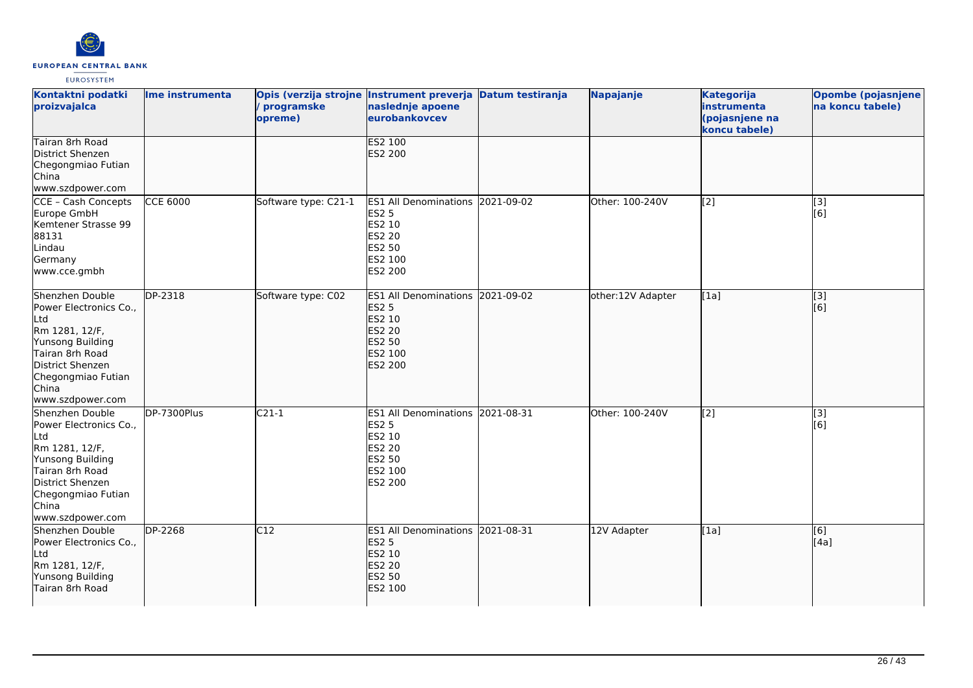

| Kontaktni podatki<br>proizvajalca                                                                                                                                                | Ime instrumenta | Opis (verzija strojne Instrument preverja Datum testiranja<br>programske<br>opreme) | naslednje apoene<br>eurobankovcev                                                                           |            | Napajanje         | <b>Kategorija</b><br>instrumenta<br>(pojasnjene na<br>koncu tabele) | <b>Opombe (pojasnjene</b><br>na koncu tabele) |
|----------------------------------------------------------------------------------------------------------------------------------------------------------------------------------|-----------------|-------------------------------------------------------------------------------------|-------------------------------------------------------------------------------------------------------------|------------|-------------------|---------------------------------------------------------------------|-----------------------------------------------|
| Tairan 8rh Road<br>District Shenzen<br>Chegongmiao Futian<br>China<br>www.szdpower.com                                                                                           |                 |                                                                                     | <b>ES2 100</b><br><b>ES2 200</b>                                                                            |            |                   |                                                                     |                                               |
| CCE - Cash Concepts<br>Europe GmbH<br>Kemtener Strasse 99<br>88131<br>Lindau<br>Germany<br>www.cce.gmbh                                                                          | <b>CCE 6000</b> | Software type: C21-1                                                                | <b>ES1 All Denominations</b><br><b>ES2 5</b><br>ES2 10<br><b>ES2 20</b><br>ES2 50<br>ES2 100<br>ES2 200     | 2021-09-02 | Other: 100-240V   | $\left[ \begin{matrix} 2 \end{matrix} \right]$                      | [3]<br>[6]                                    |
| Shenzhen Double<br>Power Electronics Co.,<br>Ltd<br>Rm 1281, 12/F,<br>Yunsong Building<br>Tairan 8rh Road<br>District Shenzen<br>Chegongmiao Futian<br>China<br>www.szdpower.com | DP-2318         | Software type: C02                                                                  | ES1 All Denominations 2021-09-02<br><b>ES2 5</b><br>ES2 10<br>ES2 20<br>ES2 50<br>ES2 100<br><b>ES2 200</b> |            | other:12V Adapter | [1a]                                                                | $\overline{[}3]$<br>[6]                       |
| Shenzhen Double<br>Power Electronics Co.,<br>Ltd<br>Rm 1281, 12/F,<br>Yunsong Building<br>Tairan 8rh Road<br>District Shenzen<br>Chegongmiao Futian<br>China<br>www.szdpower.com | DP-7300Plus     | $C21-1$                                                                             | ES1 All Denominations 2021-08-31<br><b>ES2 5</b><br>ES2 10<br>ES2 20<br>ES2 50<br>ES2 100<br>ES2 200        |            | Other: 100-240V   | $\overline{[2]}$                                                    | $\overline{[}3]$<br>[6]                       |
| Shenzhen Double<br>Power Electronics Co.,<br>Ltd<br>Rm 1281, 12/F,<br>Yunsong Building<br>Tairan 8rh Road                                                                        | <b>DP-2268</b>  | C12                                                                                 | ES1 All Denominations 2021-08-31<br><b>ES2 5</b><br>ES2 10<br>ES2 20<br>ES2 50<br>ES2 100                   |            | 12V Adapter       | [1a]                                                                | $\overline{[6]}$<br>[4a]                      |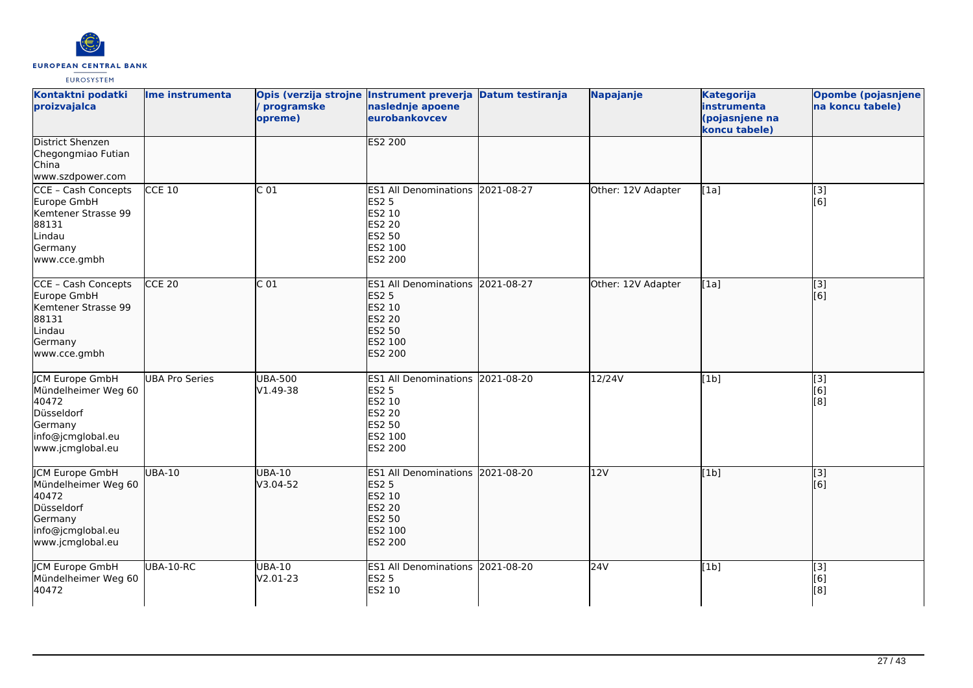

| Kontaktni podatki<br>proizvajalca                                                                                        | Ime instrumenta       | programske<br>opreme)      | Opis (verzija strojne Instrument preverja Datum testiranja<br>naslednje apoene<br>eurobankovcev                    |            | Napajanje          | <b>Kategorija</b><br>instrumenta<br>(pojasnjene na<br>koncu tabele) | <b>Opombe (pojasnjene</b><br>na koncu tabele) |
|--------------------------------------------------------------------------------------------------------------------------|-----------------------|----------------------------|--------------------------------------------------------------------------------------------------------------------|------------|--------------------|---------------------------------------------------------------------|-----------------------------------------------|
| <b>District Shenzen</b><br>Chegongmiao Futian<br>China<br>www.szdpower.com                                               |                       |                            | <b>ES2 200</b>                                                                                                     |            |                    |                                                                     |                                               |
| CCE - Cash Concepts<br>Europe GmbH<br>Kemtener Strasse 99<br>88131<br>Lindau<br>Germany<br>www.cce.gmbh                  | $CCE$ 10              | $\overline{C}$ 01          | ES1 All Denominations 2021-08-27<br><b>ES2 5</b><br>ES2 10<br><b>ES2 20</b><br>ES2 50<br>ES2 100<br>ES2 200        |            | Other: 12V Adapter | [1a]                                                                | $\overline{[3]}$<br>[6]                       |
| CCE - Cash Concepts<br>Europe GmbH<br>Kemtener Strasse 99<br>88131<br>Lindau<br>Germany<br>www.cce.gmbh                  | CCE <sub>20</sub>     | C <sub>01</sub>            | <b>ES1 All Denominations</b><br><b>ES2 5</b><br>ES2 10<br><b>ES2 20</b><br>ES2 50<br>ES2 100<br><b>ES2 200</b>     | 2021-08-27 | Other: 12V Adapter | [1a]                                                                | [3]<br>[6]                                    |
| <b>JCM Europe GmbH</b><br>Mündelheimer Weg 60<br>40472<br>Düsseldorf<br>Germany<br>info@jcmglobal.eu<br>www.jcmglobal.eu | <b>UBA Pro Series</b> | <b>UBA-500</b><br>V1.49-38 | ES1 All Denominations 2021-08-20<br><b>ES2 5</b><br>ES2 10<br>ES2 20<br><b>ES2 50</b><br>ES2 100<br>ES2 200        |            | 12/24V             | [1b]                                                                | [3]<br>[6]<br>[8]                             |
| JCM Europe GmbH<br>Mündelheimer Weg 60<br>40472<br>Düsseldorf<br>Germany<br>info@jcmglobal.eu<br>www.jcmglobal.eu        | <b>UBA-10</b>         | <b>UBA-10</b><br>V3.04-52  | ES1 All Denominations 2021-08-20<br><b>ES2 5</b><br>ES2 10<br><b>ES2 20</b><br>ES2 50<br>ES2 100<br><b>ES2 200</b> |            | 12V                | [1b]                                                                | $\overline{[3]}$<br>[6]                       |
| JCM Europe GmbH<br>Mündelheimer Weg 60<br>40472                                                                          | UBA-10-RC             | <b>UBA-10</b><br>V2.01-23  | <b>ES1 All Denominations</b><br><b>ES2 5</b><br>ES2 10                                                             | 2021-08-20 | 24V                | [1b]                                                                | [3]<br>[6]<br>[8]                             |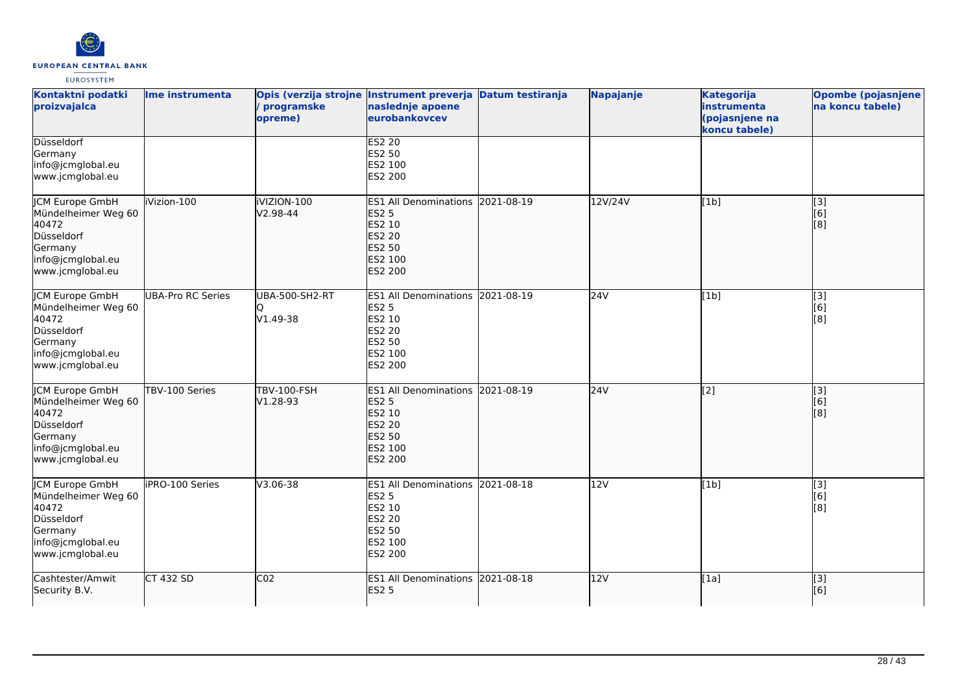

| Kontaktni podatki<br>proizvajalca                                                                                        | Ime instrumenta          | / programske<br>opreme)           | Opis (verzija strojne Instrument preverja Datum testiranja<br>naslednje apoene<br>eurobankovcev                           |            | Napajanje | <b>Kategorija</b><br>instrumenta<br>(pojasnjene na<br>koncu tabele) | Opombe (pojasnjene<br>na koncu tabele) |
|--------------------------------------------------------------------------------------------------------------------------|--------------------------|-----------------------------------|---------------------------------------------------------------------------------------------------------------------------|------------|-----------|---------------------------------------------------------------------|----------------------------------------|
| Düsseldorf<br>Germany<br>info@jcmglobal.eu<br>www.jcmglobal.eu                                                           |                          |                                   | <b>ES2 20</b><br>ES2 50<br>ES2 100<br>ES2 200                                                                             |            |           |                                                                     |                                        |
| JCM Europe GmbH<br>Mündelheimer Weg 60<br>40472<br>Düsseldorf<br>Germany<br>info@jcmglobal.eu<br>www.jcmglobal.eu        | iVizion-100              | iVIZION-100<br>V2.98-44           | <b>ES1 All Denominations</b><br><b>ES2 5</b><br>ES2 10<br><b>ES2 20</b><br>ES2 50<br>ES2 100<br>ES2 200                   | 2021-08-19 | 12V/24V   | [1b]                                                                | [3]<br>[6]<br>[8]                      |
| <b>JCM Europe GmbH</b><br>Mündelheimer Weg 60<br>40472<br>Düsseldorf<br>Germany<br>info@jcmglobal.eu<br>www.jcmglobal.eu | <b>UBA-Pro RC Series</b> | <b>UBA-500-SH2-RT</b><br>V1.49-38 | <b>ES1 All Denominations 2021-08-19</b><br>ES2 5<br>ES2 10<br>ES2 20<br>ES2 50<br>ES2 100<br>ES2 200                      |            | 24V       | [1b]                                                                | $\overline{[3]}$<br>[6]<br>[8]         |
| JCM Europe GmbH<br>Mündelheimer Weg 60<br>40472<br>Düsseldorf<br>Germany<br>info@jcmglobal.eu<br>www.jcmglobal.eu        | TBV-100 Series           | <b>TBV-100-FSH</b><br>V1.28-93    | ES1 All Denominations 2021-08-19<br><b>ES2 5</b><br>ES2 10<br><b>ES2 20</b><br><b>ES2 50</b><br>ES2 100<br><b>ES2 200</b> |            | 24V       | $\overline{[2]}$                                                    | [3]<br>[6]<br>[8]                      |
| <b>CM Europe GmbH</b><br>Mündelheimer Weg 60<br>40472<br>Düsseldorf<br>Germany<br>info@jcmglobal.eu<br>www.jcmglobal.eu  | iPRO-100 Series          | V3.06-38                          | ES1 All Denominations 2021-08-18<br>ES2 5<br>ES2 10<br>ES2 20<br>ES2 50<br>ES2 100<br>ES2 200                             |            | 12V       | [1b]                                                                | [3]<br>[6]<br>[8]                      |
| Cashtester/Amwit<br>Security B.V.                                                                                        | <b>CT 432 SD</b>         | CO <sub>2</sub>                   | ES1 All Denominations 2021-08-18<br><b>ES2 5</b>                                                                          |            | 12V       | [1a]                                                                | $\overline{[}$ [3]<br>[6]              |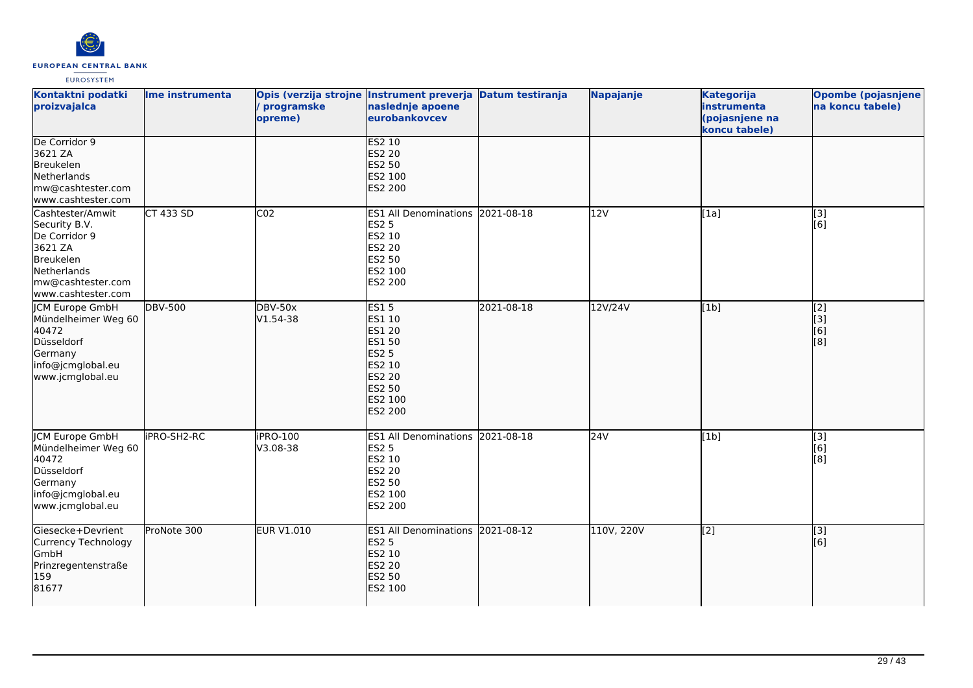

| Kontaktni podatki<br>proizvajalca                                                                                                    | Ime instrumenta  | programske<br>opreme)      | Opis (verzija strojne Instrument preverja Datum testiranja<br>naslednje apoene<br>eurobankovcev                             |            | Napajanje  | <b>Kategorija</b><br>instrumenta<br>(pojasnjene na<br>koncu tabele) | <b>Opombe (pojasnjene</b><br>na koncu tabele) |
|--------------------------------------------------------------------------------------------------------------------------------------|------------------|----------------------------|-----------------------------------------------------------------------------------------------------------------------------|------------|------------|---------------------------------------------------------------------|-----------------------------------------------|
| De Corridor 9<br>3621 ZA<br>Breukelen<br>Netherlands<br>mw@cashtester.com<br>www.cashtester.com                                      |                  |                            | <b>ES2 10</b><br><b>ES2 20</b><br><b>ES2 50</b><br>ES2 100<br>ES2 200                                                       |            |            |                                                                     |                                               |
| Cashtester/Amwit<br>Security B.V.<br>De Corridor 9<br>3621 ZA<br>Breukelen<br>Netherlands<br>mw@cashtester.com<br>www.cashtester.com | <b>CT 433 SD</b> | CO <sub>2</sub>            | ES1 All Denominations 2021-08-18<br><b>ES2 5</b><br>ES2 10<br><b>ES2 20</b><br>ES2 50<br>ES2 100<br>ES2 200                 |            | 12V        | [1a]                                                                | [3]<br>[6]                                    |
| <b>JCM Europe GmbH</b><br>Mündelheimer Weg 60<br>40472<br>Düsseldorf<br>Germany<br>info@jcmglobal.eu<br>www.jcmglobal.eu             | <b>DBV-500</b>   | <b>DBV-50x</b><br>V1.54-38 | <b>ES15</b><br>ES1 10<br>ES1 20<br>ES1 50<br><b>ES2 5</b><br>ES2 10<br><b>ES2 20</b><br>ES2 50<br>ES2 100<br><b>ES2 200</b> | 2021-08-18 | 12V/24V    | [1b]                                                                | $\overline{[2]}$<br>[[3]<br>[6]<br>[8]        |
| <b>CM Europe GmbH</b><br>Mündelheimer Weg 60<br>40472<br>Düsseldorf<br>Germany<br>info@jcmglobal.eu<br>www.jcmglobal.eu              | iPRO-SH2-RC      | iPRO-100<br>V3.08-38       | <b>ES1 All Denominations</b><br><b>ES2 5</b><br>ES2 10<br><b>ES2 20</b><br><b>ES2 50</b><br>ES2 100<br>ES2 200              | 2021-08-18 | 24V        | [1b]                                                                | [3]<br>[6]<br>[8]                             |
| Giesecke+Devrient<br>Currency Technology<br><b>GmbH</b><br>Prinzregentenstraße<br>159<br>81677                                       | ProNote 300      | <b>EUR V1.010</b>          | ES1 All Denominations 2021-08-12<br><b>ES2 5</b><br>ES2 10<br><b>ES2 20</b><br><b>ES2 50</b><br>ES2 100                     |            | 110V, 220V | $\left[$ [2]                                                        | $\overline{[3]}$<br>[6]                       |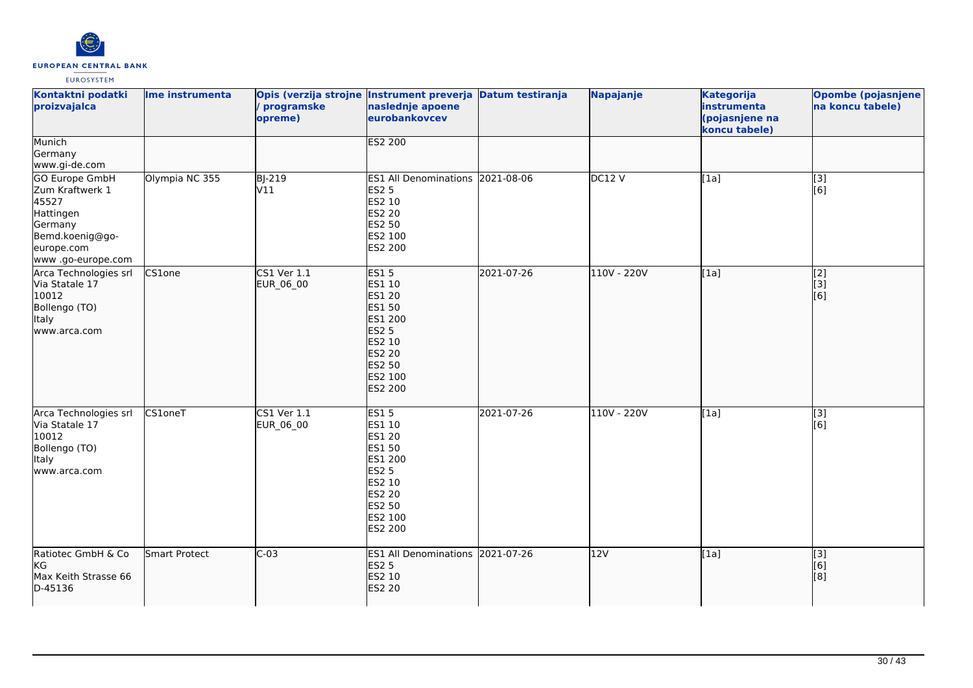

| Kontaktni podatki<br>proizvajalca                                                                                        | Ime instrumenta | programske<br>opreme)        | Opis (verzija strojne Instrument preverja Datum testiranja<br>naslednje apoene<br>eurobankovcev                                                      |            | Napajanje     | <b>Kategorija</b><br>instrumenta<br>(pojasnjene na<br>koncu tabele) | <b>Opombe (pojasnjene</b><br>na koncu tabele) |
|--------------------------------------------------------------------------------------------------------------------------|-----------------|------------------------------|------------------------------------------------------------------------------------------------------------------------------------------------------|------------|---------------|---------------------------------------------------------------------|-----------------------------------------------|
| Munich<br>Germany<br>www.gi-de.com                                                                                       |                 |                              | <b>ES2 200</b>                                                                                                                                       |            |               |                                                                     |                                               |
| GO Europe GmbH<br>Zum Kraftwerk 1<br>45527<br>Hattingen<br>Germany<br>Bemd.koenig@go-<br>europe.com<br>www.go-europe.com | Olympia NC 355  | <b>BJ-219</b><br>V11         | ES1 All Denominations 2021-08-06<br><b>ES2 5</b><br>ES2 10<br>ES2 20<br>ES2 50<br>ES2 100<br>ES2 200                                                 |            | DC12V         | [1a]                                                                | $\overline{[3]}$<br>[6]                       |
| Arca Technologies srl<br>Via Statale 17<br>10012<br>Bollengo (TO)<br>Italy<br>www.arca.com                               | CS1one          | CS1 Ver 1.1<br>EUR_06_00     | <b>ES15</b><br>ES1 10<br>ES1 20<br><b>ES1 50</b><br>ES1 200<br><b>ES2 5</b><br><b>ES2 10</b><br>ES2 20<br><b>ES2 50</b><br>ES2 100<br><b>ES2 200</b> | 2021-07-26 | 110V - 220V   | [1a]                                                                | [2]<br>[3]<br>[6]                             |
| Arca Technologies srl<br>Via Statale 17<br>10012<br>Bollengo (TO)<br><b>Italy</b><br>www.arca.com                        | CS1oneT         | $CS1$ Ver $1.1$<br>EUR_06_00 | <b>ES15</b><br>ES1 10<br>ES1 20<br>ES1 50<br>ES1 200<br><b>ES2 5</b><br>ES2 10<br><b>ES2 20</b><br>ES2 50<br>ES2 100<br>ES2 200                      | 2021-07-26 | $110V - 220V$ | [1a]                                                                | $\overline{[}3]$<br>[6]                       |
| Ratiotec GmbH & Co<br><b>KG</b><br>Max Keith Strasse 66<br>D-45136                                                       | Smart Protect   | $C-03$                       | ES1 All Denominations 2021-07-26<br><b>ES2 5</b><br>ES2 10<br>ES2 20                                                                                 |            | 12V           | [1a]                                                                | [3]<br>[6]<br>[8]                             |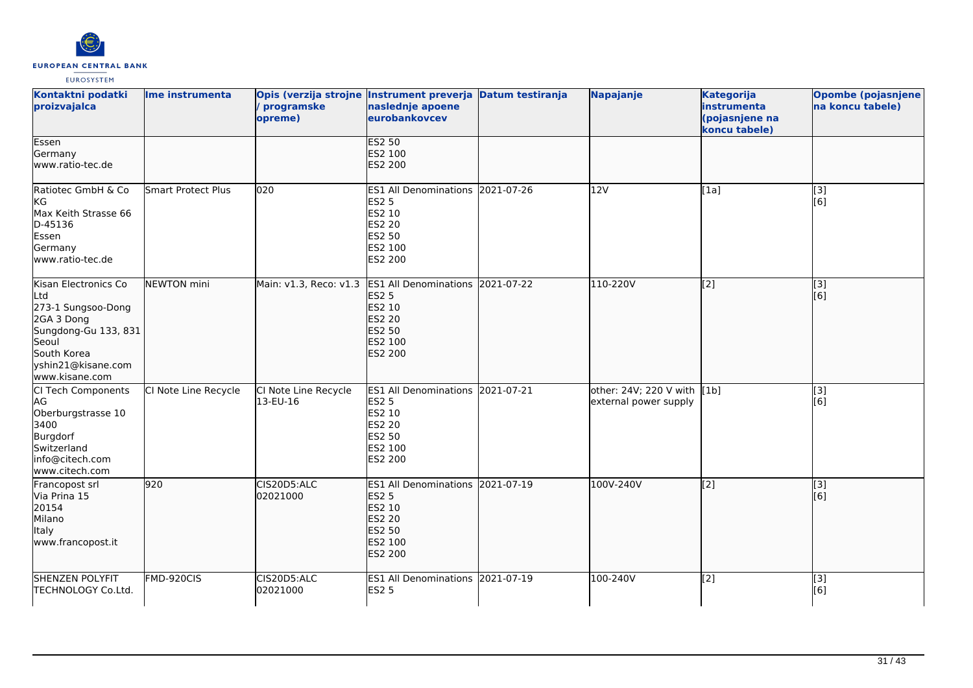

| Kontaktni podatki<br>proizvajalca                                                                                                                       | Ime instrumenta      | programske<br>opreme)            | Opis (verzija strojne Instrument preverja Datum testiranja<br>naslednje apoene<br>eurobankovcev                       |            | Napajanje                                            | <b>Kategorija</b><br>instrumenta<br>(pojasnjene na<br>koncu tabele) | <b>Opombe (pojasnjene</b><br>na koncu tabele) |
|---------------------------------------------------------------------------------------------------------------------------------------------------------|----------------------|----------------------------------|-----------------------------------------------------------------------------------------------------------------------|------------|------------------------------------------------------|---------------------------------------------------------------------|-----------------------------------------------|
| Essen<br>Germany<br>www.ratio-tec.de                                                                                                                    |                      |                                  | <b>ES2 50</b><br>ES2 100<br>ES2 200                                                                                   |            |                                                      |                                                                     |                                               |
| Ratiotec GmbH & Co<br>kG<br>Max Keith Strasse 66<br>D-45136<br>Essen<br>Germany<br>www.ratio-tec.de                                                     | Smart Protect Plus   | 020                              | ES1 All Denominations 2021-07-26<br><b>ES2 5</b><br>ES2 10<br>ES2 20<br><b>ES2 50</b><br>ES2 100<br>ES2 200           |            | 12V                                                  | [1a]                                                                | $\overline{[3]}$<br>[6]                       |
| Kisan Electronics Co<br>Ltd<br>273-1 Sungsoo-Dong<br>2GA 3 Dong<br>Sungdong-Gu 133, 831<br>Seoul<br>South Korea<br>yshin21@kisane.com<br>www.kisane.com | NEWTON mini          | Main: v1.3, Reco: v1.3           | <b>ES1 All Denominations</b><br><b>ES2 5</b><br><b>ES2 10</b><br><b>ES2 20</b><br>ES2 50<br>ES2 100<br><b>ES2 200</b> | 2021-07-22 | 110-220V                                             | $\left[2\right]$                                                    | [[3]<br>[6]                                   |
| CI Tech Components<br>AG<br>Oberburgstrasse 10<br>3400<br>Burgdorf<br>Switzerland<br>info@citech.com<br>www.citech.com                                  | CI Note Line Recycle | CI Note Line Recycle<br>13-EU-16 | ES1 All Denominations 2021-07-21<br><b>ES2 5</b><br>ES2 10<br><b>ES2 20</b><br><b>ES2 50</b><br>ES2 100<br>ES2 200    |            | other: 24V; 220 V with [1b]<br>external power supply |                                                                     | $[3]$<br>[6]                                  |
| Francopost srl<br>Via Prina 15<br>20154<br>Milano<br>Italy<br>www.francopost.it                                                                         | 920                  | CIS20D5:ALC<br>02021000          | ES1 All Denominations 2021-07-19<br><b>ES2 5</b><br>ES2 10<br><b>ES2 20</b><br>ES2 50<br>ES2 100<br><b>ES2 200</b>    |            | 100V-240V                                            | $\left[ \begin{matrix} 2 \end{matrix} \right]$                      | [3]<br>[6]                                    |
| <b>SHENZEN POLYFIT</b><br>TECHNOLOGY Co.Ltd.                                                                                                            | FMD-920CIS           | CIS20D5:ALC<br>02021000          | ES1 All Denominations 2021-07-19<br><b>ES2 5</b>                                                                      |            | 100-240V                                             | [2]                                                                 | [3]<br>[6]                                    |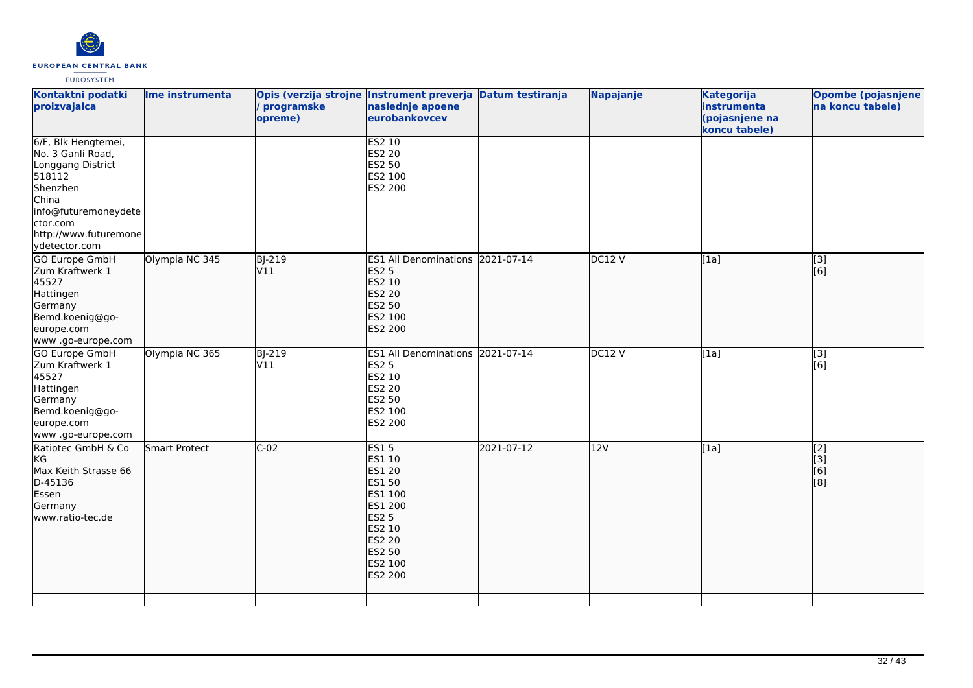

| Kontaktni podatki<br>proizvajalca                                                                                                                                          | Ime instrumenta | Opis (verzija strojne Instrument preverja Datum testiranja<br>programske<br>opreme) | naslednje apoene<br>eurobankovcev                                                                                                                 |            | Napajanje     | <b>Kategorija</b><br>instrumenta<br>(pojasnjene na<br>koncu tabele) | <b>Opombe (pojasnjene</b><br>na koncu tabele) |
|----------------------------------------------------------------------------------------------------------------------------------------------------------------------------|-----------------|-------------------------------------------------------------------------------------|---------------------------------------------------------------------------------------------------------------------------------------------------|------------|---------------|---------------------------------------------------------------------|-----------------------------------------------|
| 6/F, Blk Hengtemei,<br>No. 3 Ganli Road,<br>Longgang District<br>518112<br>Shenzhen<br>China<br>info@futuremoneydete<br>ctor.com<br>http://www.futuremone<br>ydetector.com |                 |                                                                                     | <b>ES2 10</b><br><b>ES2 20</b><br>ES2 50<br>ES2 100<br>ES2 200                                                                                    |            |               |                                                                     |                                               |
| <b>GO Europe GmbH</b><br>Zum Kraftwerk 1<br>45527<br>Hattingen<br>Germany<br>Bemd.koenig@go-<br>europe.com<br>www.go-europe.com                                            | Olympia NC 345  | <b>BJ-219</b><br>V11                                                                | ES1 All Denominations 2021-07-14<br><b>ES2 5</b><br>ES2 10<br><b>ES2 20</b><br><b>ES2 50</b><br>ES2 100<br><b>ES2 200</b>                         |            | DC12V         | [1a]                                                                | [3]<br>[6]                                    |
| GO Europe GmbH<br>Zum Kraftwerk 1<br>45527<br>Hattingen<br>Germany<br>Bemd.koenig@go-<br>europe.com<br>www .go-europe.com                                                  | Olympia NC 365  | BJ-219<br>V11                                                                       | <b>ES1 All Denominations</b><br><b>ES2 5</b><br>ES2 10<br><b>ES2 20</b><br><b>ES2 50</b><br>ES2 100<br>ES2 200                                    | 2021-07-14 | <b>DC12 V</b> | [1a]                                                                | [3]<br>[6]                                    |
| Ratiotec GmbH & Co<br>KG<br>Max Keith Strasse 66<br>D-45136<br>Essen<br>Germany<br>www.ratio-tec.de                                                                        | Smart Protect   | $C-02$                                                                              | <b>ES15</b><br>ES1 10<br><b>ES1 20</b><br>ES1 50<br>ES1 100<br>ES1 200<br><b>ES2 5</b><br>ES2 10<br><b>ES2 20</b><br>ES2 50<br>ES2 100<br>ES2 200 | 2021-07-12 | 12V           | [1a]                                                                | [2]<br>[[3]<br>[6]<br>[8]                     |
|                                                                                                                                                                            |                 |                                                                                     |                                                                                                                                                   |            |               |                                                                     |                                               |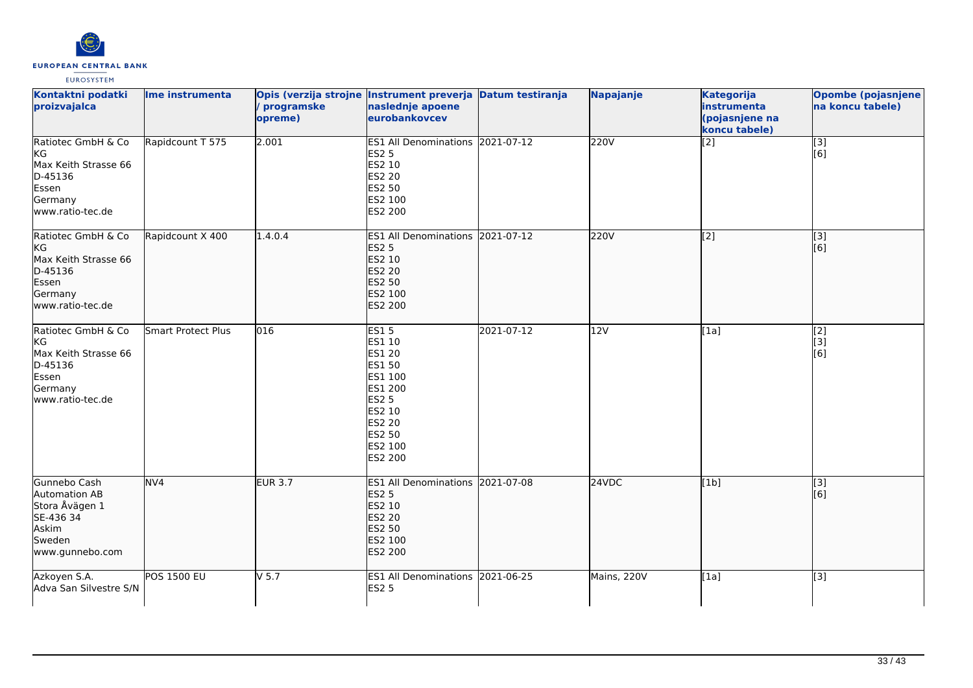

| Kontaktni podatki<br>proizvajalca                                                                     | Ime instrumenta    | Opis (verzija strojne Instrument preverja Datum testiranja<br>/ programske<br>opreme) | naslednje apoene<br>eurobankovcev                                                                                            |            | Napajanje        | <b>Kategorija</b><br>instrumenta<br>(pojasnjene na<br>koncu tabele) | Opombe (pojasnjene<br>na koncu tabele) |
|-------------------------------------------------------------------------------------------------------|--------------------|---------------------------------------------------------------------------------------|------------------------------------------------------------------------------------------------------------------------------|------------|------------------|---------------------------------------------------------------------|----------------------------------------|
| Ratiotec GmbH & Co<br>KG<br>Max Keith Strasse 66<br>D-45136<br>Essen<br>Germany<br>www.ratio-tec.de   | Rapidcount T 575   | 2.001                                                                                 | ES1 All Denominations 2021-07-12<br><b>ES2 5</b><br>ES2 10<br>ES2 20<br>ES2 50<br>ES2 100<br>ES2 200                         |            | 220V             | [2]                                                                 | $\overline{[3]}$<br>[6]                |
| Ratiotec GmbH & Co<br> KG<br>Max Keith Strasse 66<br>D-45136<br>Essen<br>Germany<br>www.ratio-tec.de  | Rapidcount X 400   | 1.4.0.4                                                                               | ES1 All Denominations 2021-07-12<br><b>ES2 5</b><br>ES2 10<br><b>ES2 20</b><br>ES2 50<br>ES2 100<br>ES2 200                  |            | 220V             | [[2]                                                                | [3]<br>[6]                             |
| Ratiotec GmbH & Co<br>lkG.<br>Max Keith Strasse 66<br>D-45136<br>Essen<br>Germany<br>www.ratio-tec.de | Smart Protect Plus | $\overline{016}$                                                                      | ES15<br>ES1 10<br>ES1 20<br>ES1 50<br>ES1 100<br>ES1 200<br><b>ES2 5</b><br>ES2 10<br>ES2 20<br>ES2 50<br>ES2 100<br>ES2 200 | 2021-07-12 | $\overline{12V}$ | [1a]                                                                | $\overline{[2]}$<br>[3]<br>[6]         |
| Gunnebo Cash<br>Automation AB<br>Stora Åvägen 1<br>SE-436 34<br>Askim<br>Sweden<br>www.gunnebo.com    | NV <sub>4</sub>    | <b>EUR 3.7</b>                                                                        | ES1 All Denominations 2021-07-08<br><b>ES2 5</b><br>ES2 10<br><b>ES2 20</b><br>ES2 50<br>ES2 100<br>ES2 200                  |            | 24VDC            | [1b]                                                                | $\overline{[}3]$<br>[6]                |
| Azkoyen S.A.<br>Adva San Silvestre S/N                                                                | <b>POS 1500 EU</b> | $V$ 5.7                                                                               | ES1 All Denominations 2021-06-25<br><b>ES2 5</b>                                                                             |            | Mains, 220V      | [1a]                                                                | $\overline{[3]}$                       |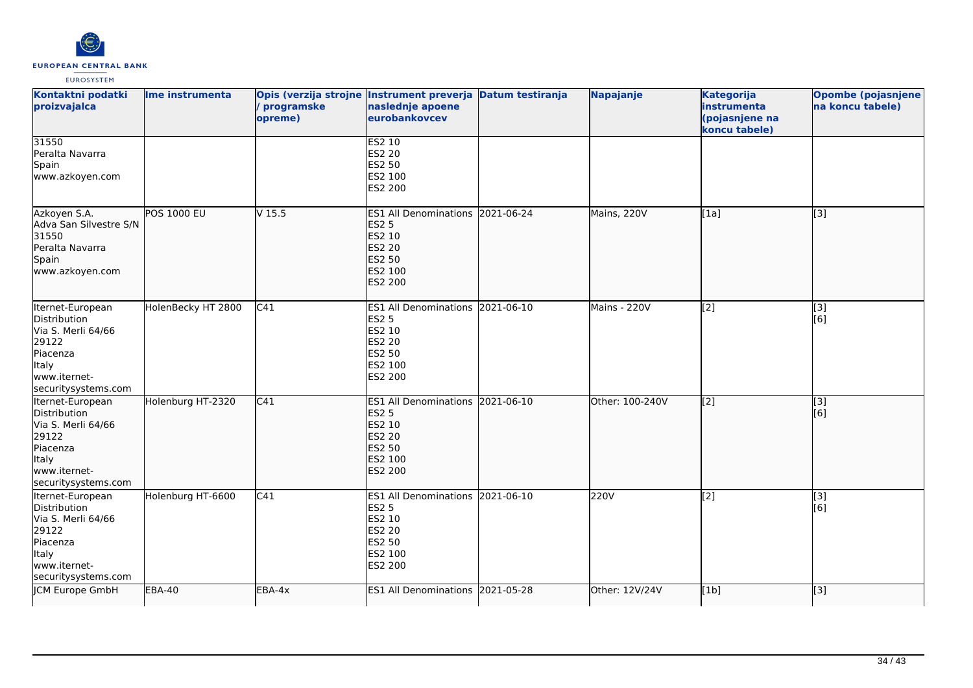

| Kontaktni podatki<br>proizvajalca                                                                                                  | Ime instrumenta    | Opis (verzija strojne Instrument preverja Datum testiranja<br>programske<br>opreme) | naslednje apoene<br>eurobankovcev                                                                                         | <b>Napajanje</b> | <b>Kategorija</b><br>instrumenta<br>(pojasnjene na<br>koncu tabele) | <b>Opombe (pojasnjene</b><br>na koncu tabele)             |
|------------------------------------------------------------------------------------------------------------------------------------|--------------------|-------------------------------------------------------------------------------------|---------------------------------------------------------------------------------------------------------------------------|------------------|---------------------------------------------------------------------|-----------------------------------------------------------|
| 31550<br>Peralta Navarra<br>Spain<br>www.azkoyen.com                                                                               |                    |                                                                                     | <b>ES2 10</b><br>ES2 20<br>ES2 50<br>ES2 100<br>ES2 200                                                                   |                  |                                                                     |                                                           |
| Azkoyen S.A.<br>Adva San Silvestre S/N<br>31550<br>Peralta Navarra<br>Spain<br>www.azkoyen.com                                     | <b>POS 1000 EU</b> | V <sub>15.5</sub>                                                                   | ES1 All Denominations 2021-06-24<br><b>ES2 5</b><br>ES2 10<br><b>ES2 20</b><br><b>ES2 50</b><br>ES2 100<br><b>ES2 200</b> | Mains, 220V      | [1a]                                                                | $\overline{[3]}$                                          |
| Iternet-European<br>Distribution<br>Via S. Merli 64/66<br>29122<br>Piacenza<br><b>Italy</b><br>www.iternet-<br>securitysystems.com | HolenBecky HT 2800 | C41                                                                                 | ES1 All Denominations 2021-06-10<br><b>ES2 5</b><br>ES2 10<br>ES2 20<br><b>ES2 50</b><br>ES2 100<br>ES2 200               | Mains - 220V     | [2]                                                                 | [3]<br>[6]                                                |
| Iternet-European<br>Distribution<br>Via S. Merli 64/66<br>29122<br>Piacenza<br>Italy<br>www.iternet-<br>securitysystems.com        | Holenburg HT-2320  | C41                                                                                 | ES1 All Denominations 2021-06-10<br><b>ES2 5</b><br>ES2 10<br><b>ES2 20</b><br>ES2 50<br>ES2 100<br>ES2 200               | Other: 100-240V  | $\left[ \begin{matrix} 2 \end{matrix} \right]$                      | $\left[ \begin{matrix} 1 & 3 \end{matrix} \right]$<br>[6] |
| Iternet-European<br>Distribution<br>Via S. Merli 64/66<br>29122<br>Piacenza<br><b>Italy</b><br>www.iternet-<br>securitysystems.com | Holenburg HT-6600  | C41                                                                                 | ES1 All Denominations 2021-06-10<br>ES2 5<br>ES2 10<br>ES2 20<br>ES2 50<br>ES2 100<br>ES2 200                             | 220V             | $\overline{[2]}$                                                    | [3]<br>[6]                                                |
| JCM Europe GmbH                                                                                                                    | EBA-40             | EBA-4x                                                                              | ES1 All Denominations 2021-05-28                                                                                          | Other: 12V/24V   | [1b]                                                                | [3]                                                       |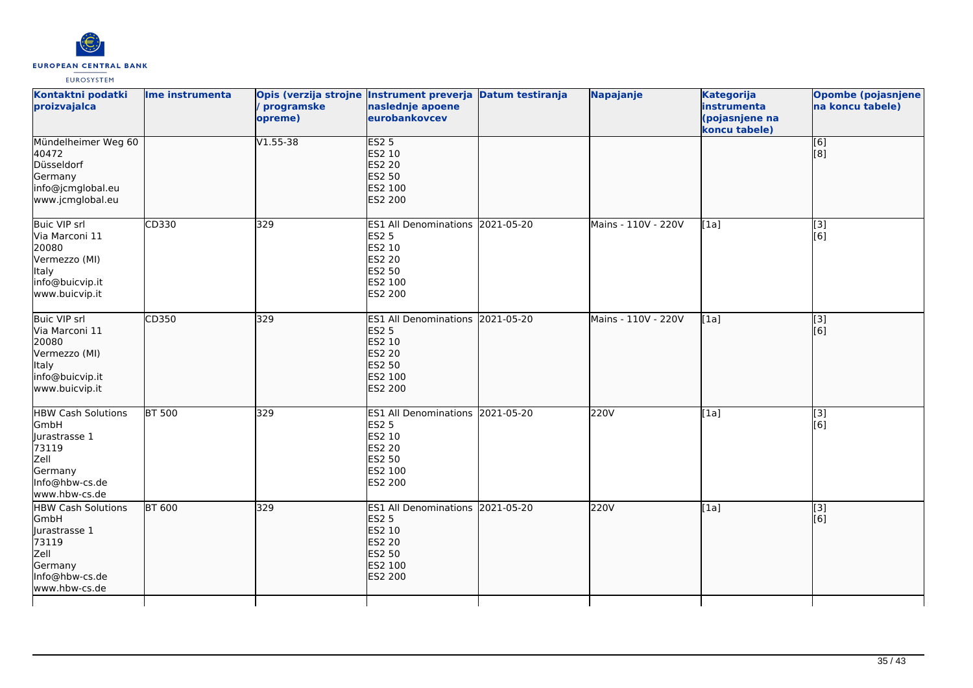

| Kontaktni podatki<br>proizvajalca                                                                                  | Ime instrumenta | programske<br>opreme) | Opis (verzija strojne Instrument preverja Datum testiranja<br>naslednje apoene<br>eurobankovcev                    | Napajanje           | <b>Kategorija</b><br>instrumenta<br>(pojasnjene na<br>koncu tabele) | Opombe (pojasnjene<br>na koncu tabele) |
|--------------------------------------------------------------------------------------------------------------------|-----------------|-----------------------|--------------------------------------------------------------------------------------------------------------------|---------------------|---------------------------------------------------------------------|----------------------------------------|
| Mündelheimer Weg 60<br>40472<br>Düsseldorf<br>Germany<br>info@jcmglobal.eu<br>www.jcmglobal.eu                     |                 | $V1.55 - 38$          | <b>ES2 5</b><br>ES2 10<br><b>ES2 20</b><br><b>ES2 50</b><br>ES2 100<br>ES2 200                                     |                     |                                                                     | [6]<br>[8]                             |
| <b>Buic VIP srl</b><br>Via Marconi 11<br>20080<br>Vermezzo (MI)<br>Italy<br>info@buicvip.it<br>www.buicvip.it      | CD330           | 329                   | ES1 All Denominations 2021-05-20<br><b>ES2 5</b><br>ES2 10<br><b>ES2 20</b><br>ES2 50<br>ES2 100<br>ES2 200        | Mains - 110V - 220V | [1a]                                                                | [3]<br>[6]                             |
| Buic VIP srl<br>Via Marconi 11<br>20080<br>Vermezzo (MI)<br>Italy<br>info@buicvip.it<br>www.buicvip.it             | CD350           | 329                   | ES1 All Denominations 2021-05-20<br><b>ES2 5</b><br>ES2 10<br><b>ES2 20</b><br>ES2 50<br>ES2 100<br>ES2 200        | Mains - 110V - 220V | [1a]                                                                | [3]<br>[6]                             |
| <b>HBW Cash Solutions</b><br>GmbH<br>Jurastrasse 1<br>73119<br>Zell<br>Germany<br>Info@hbw-cs.de<br>www.hbw-cs.de  | <b>BT 500</b>   | 329                   | ES1 All Denominations 2021-05-20<br><b>ES2 5</b><br>ES2 10<br><b>ES2 20</b><br><b>ES2 50</b><br>ES2 100<br>ES2 200 | 220V                | [1a]                                                                | [3]<br>[6]                             |
| <b>HBW Cash Solutions</b><br>GmbH<br>llurastrasse 1<br>73119<br>Zell<br>Germany<br>Info@hbw-cs.de<br>www.hbw-cs.de | <b>BT 600</b>   | 329                   | ES1 All Denominations 2021-05-20<br><b>ES2 5</b><br>ES2 10<br><b>ES2 20</b><br><b>ES2 50</b><br>ES2 100<br>ES2 200 | 220V                | [1a]                                                                | $\overline{[}3]$<br>[6]                |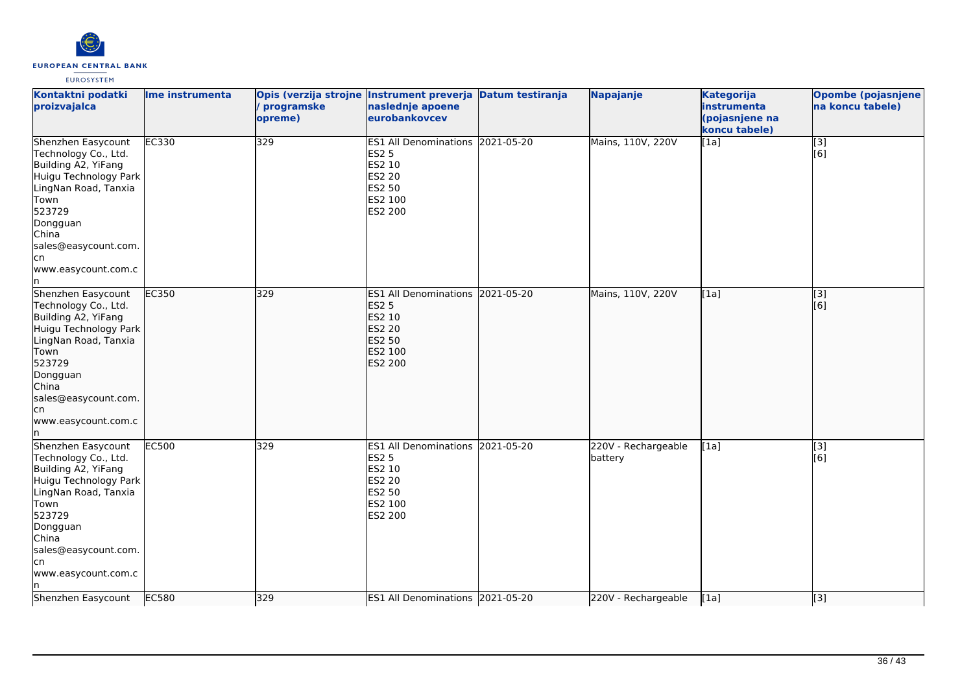

| Kontaktni podatki<br>proizvajalca                                                                                                                                                                                   | Ime instrumenta | programske<br>opreme) | Opis (verzija strojne Instrument preverja Datum testiranja<br>naslednje apoene<br>eurobankovcev             | Napajanje                      | <b>Kategorija</b><br>instrumenta<br>(pojasnjene na<br>koncu tabele) | <b>Opombe (pojasnjene)</b><br>na koncu tabele) |
|---------------------------------------------------------------------------------------------------------------------------------------------------------------------------------------------------------------------|-----------------|-----------------------|-------------------------------------------------------------------------------------------------------------|--------------------------------|---------------------------------------------------------------------|------------------------------------------------|
| Shenzhen Easycount<br>Technology Co., Ltd.<br>Building A2, YiFang<br>Huigu Technology Park<br>LingNan Road, Tanxia<br>Town<br>523729<br>Dongguan<br>China<br>sales@easycount.com.<br>cn<br>www.easycount.com.c<br>n | <b>EC330</b>    | 329                   | ES1 All Denominations 2021-05-20<br><b>ES2 5</b><br>ES2 10<br><b>ES2 20</b><br>ES2 50<br>ES2 100<br>ES2 200 | Mains, 110V, 220V              | [1a]                                                                | [3]<br>[6]                                     |
| Shenzhen Easycount<br>Technology Co., Ltd.<br>Building A2, YiFang<br>Huigu Technology Park<br>LingNan Road, Tanxia<br>Town<br>523729<br>Dongguan<br>China<br>sales@easycount.com.<br>cn<br>www.easycount.com.c      | EC350           | 329                   | ES1 All Denominations 2021-05-20<br><b>ES2 5</b><br>ES2 10<br><b>ES2 20</b><br>ES2 50<br>ES2 100<br>ES2 200 | Mains, 110V, 220V              | [1a]                                                                | $\overline{[3]}$<br>[6]                        |
| Shenzhen Easycount<br>Technology Co., Ltd.<br>Building A2, YiFang<br>Huigu Technology Park<br>LingNan Road, Tanxia<br>Town<br>523729<br>Dongguan<br>China<br>sales@easycount.com.<br>cn<br>www.easycount.com.c      | <b>EC500</b>    | 329                   | ES1 All Denominations 2021-05-20<br><b>ES2 5</b><br>ES2 10<br><b>ES2 20</b><br>ES2 50<br>ES2 100<br>ES2 200 | 220V - Rechargeable<br>battery | [1a]                                                                | $\overline{[3]}$<br>[6]                        |
| Shenzhen Easycount                                                                                                                                                                                                  | EC580           | 329                   | ES1 All Denominations 2021-05-20                                                                            | 220V - Rechargeable            | [1a]                                                                | [3]                                            |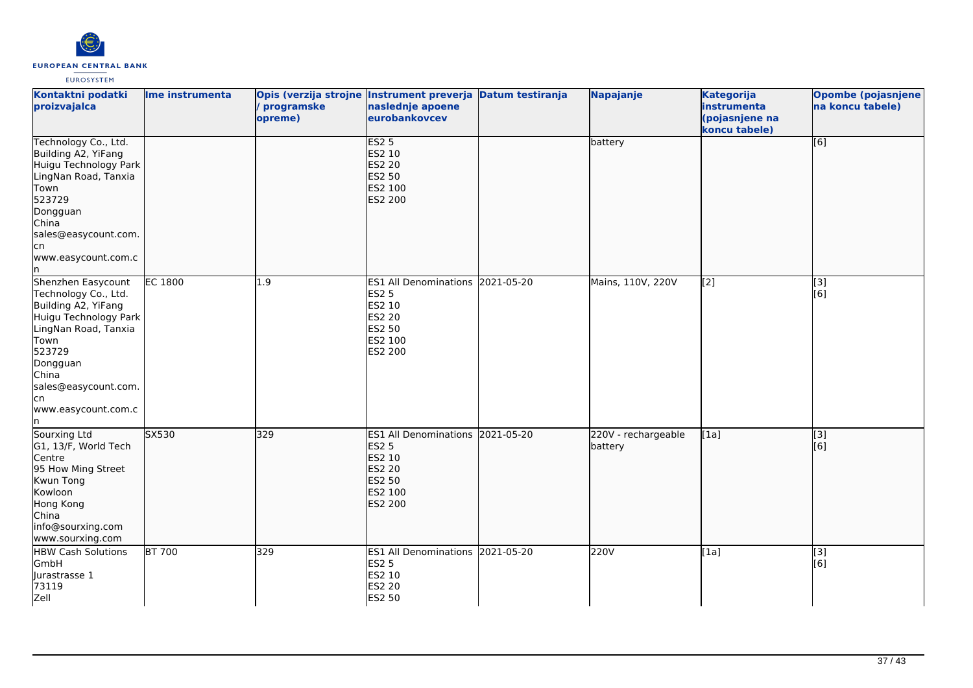

| Kontaktni podatki<br>proizvajalca                                                                                                                                                                                      | Ime instrumenta | programske<br>opreme) | Opis (verzija strojne Instrument preverja Datum testiranja<br>naslednje apoene<br>eurobankovcev                    | Napajanje                      | <b>Kategorija</b><br>instrumenta<br>(pojasnjene na<br>koncu tabele) | <b>Opombe (pojasnjene</b><br>na koncu tabele) |
|------------------------------------------------------------------------------------------------------------------------------------------------------------------------------------------------------------------------|-----------------|-----------------------|--------------------------------------------------------------------------------------------------------------------|--------------------------------|---------------------------------------------------------------------|-----------------------------------------------|
| Technology Co., Ltd.<br>Building A2, YiFang<br>Huigu Technology Park<br>LingNan Road, Tanxia<br>Town<br>523729<br>Dongguan<br>China<br>sales@easycount.com.<br>lcn<br>www.easycount.com.c<br>In.                       |                 |                       | <b>ES2 5</b><br>ES2 10<br><b>ES2 20</b><br><b>ES2 50</b><br>ES2 100<br><b>ES2 200</b>                              | battery                        |                                                                     | [6]                                           |
| Shenzhen Easycount<br>Technology Co., Ltd.<br>Building A2, YiFang<br>Huigu Technology Park<br>LingNan Road, Tanxia<br>Town<br>523729<br>Dongguan<br>China<br>sales@easycount.com.<br>lcn<br>www.easycount.com.c<br>ln. | <b>EC 1800</b>  | 1.9                   | ES1 All Denominations 2021-05-20<br><b>ES2 5</b><br>ES2 10<br><b>ES2 20</b><br><b>ES2 50</b><br>ES2 100<br>ES2 200 | Mains, 110V, 220V              | $\left[2\right]$                                                    | [3]<br>[6]                                    |
| Sourxing Ltd<br>G1, 13/F, World Tech<br>Centre<br>95 How Ming Street<br>Kwun Tong<br>Kowloon<br>Hong Kong<br>China<br>info@sourxing.com<br>www.sourxing.com                                                            | SX530           | 329                   | ES1 All Denominations 2021-05-20<br><b>ES2 5</b><br>ES2 10<br><b>ES2 20</b><br><b>ES2 50</b><br>ES2 100<br>ES2 200 | 220V - rechargeable<br>battery | [1a]                                                                | $\overline{[}3]$<br>[6]                       |
| <b>HBW Cash Solutions</b><br>GmbH<br>Jurastrasse 1<br>73119<br>Zell                                                                                                                                                    | <b>BT 700</b>   | 329                   | ES1 All Denominations 2021-05-20<br><b>ES2 5</b><br>ES2 10<br><b>ES2 20</b><br>ES2 50                              | 220V                           | [1a]                                                                | $[3]$<br>[6]                                  |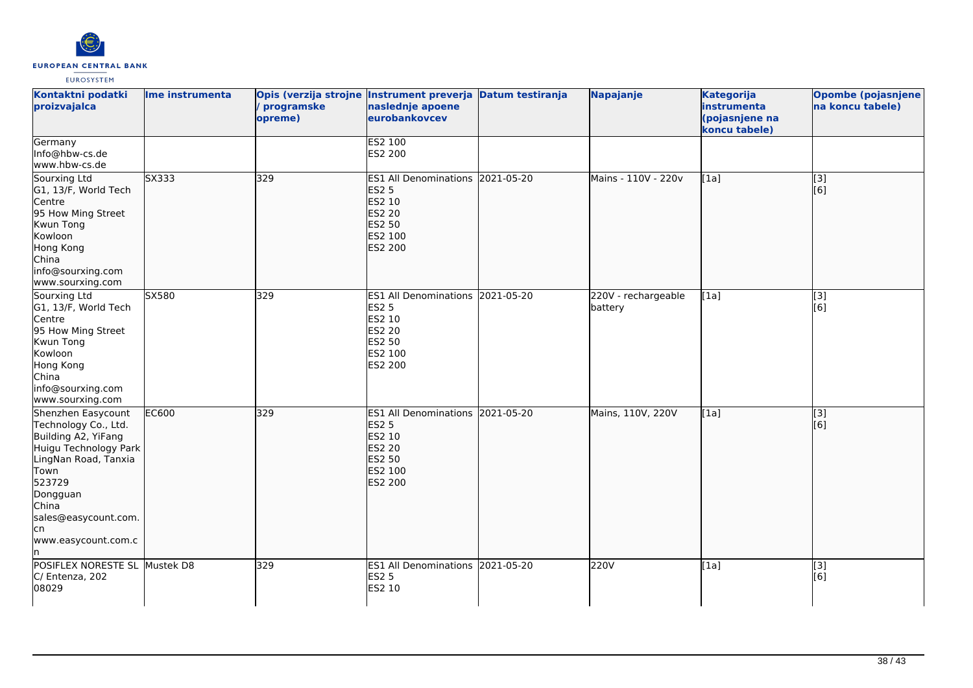

| Kontaktni podatki<br>proizvajalca                                                                                                                                                                                      | Ime instrumenta   | Opis (verzija strojne Instrument preverja Datum testiranja<br>programske<br>opreme) | naslednje apoene<br>eurobankovcev                                                                           | Napajanje                      | <b>Kategorija</b><br>instrumenta<br>(pojasnjene na<br>koncu tabele) | <b>Opombe (pojasnjene)</b><br>na koncu tabele) |
|------------------------------------------------------------------------------------------------------------------------------------------------------------------------------------------------------------------------|-------------------|-------------------------------------------------------------------------------------|-------------------------------------------------------------------------------------------------------------|--------------------------------|---------------------------------------------------------------------|------------------------------------------------|
| Germany<br>Info@hbw-cs.de<br>www.hbw-cs.de                                                                                                                                                                             |                   |                                                                                     | <b>ES2 100</b><br>ES2 200                                                                                   |                                |                                                                     |                                                |
| Sourxing Ltd<br>G1, 13/F, World Tech<br>Centre<br>95 How Ming Street<br>Kwun Tong<br>Kowloon<br>Hong Kong<br>China<br>info@sourxing.com<br>www.sourxing.com                                                            | S <sub>X333</sub> | 329                                                                                 | ES1 All Denominations 2021-05-20<br><b>ES2 5</b><br>ES2 10<br>ES2 20<br>ES2 50<br>ES2 100<br>ES2 200        | Mains - 110V - 220v            | [[1a]                                                               | $\overline{[}3]$<br>[6]                        |
| Sourxing Ltd<br>G1, 13/F, World Tech<br>Centre<br>95 How Ming Street<br>Kwun Tong<br>Kowloon<br>Hong Kong<br>China<br>info@sourxing.com<br>www.sourxing.com                                                            | SX580             | 329                                                                                 | ES1 All Denominations 2021-05-20<br><b>ES2 5</b><br>ES2 10<br><b>ES2 20</b><br>ES2 50<br>ES2 100<br>ES2 200 | 220V - rechargeable<br>battery | [1a]                                                                | [3]<br>[6]                                     |
| Shenzhen Easycount<br>Technology Co., Ltd.<br>Building A2, YiFang<br>Huigu Technology Park<br>LingNan Road, Tanxia<br>Town<br>523729<br>Dongguan<br>China<br>sales@easycount.com.<br>lcn<br>www.easycount.com.c<br>ln. | <b>EC600</b>      | 329                                                                                 | ES1 All Denominations 2021-05-20<br><b>ES2 5</b><br>ES2 10<br>ES2 20<br><b>ES2 50</b><br>ES2 100<br>ES2 200 | Mains, 110V, 220V              | [1a]                                                                | $\overline{[}3]$<br>[6]                        |
| POSIFLEX NORESTE SL Mustek D8<br>C/ Entenza, 202<br>08029                                                                                                                                                              |                   | 329                                                                                 | ES1 All Denominations 2021-05-20<br><b>ES2 5</b><br>ES2 10                                                  | 220V                           | [1a]                                                                | [3]<br>[6]                                     |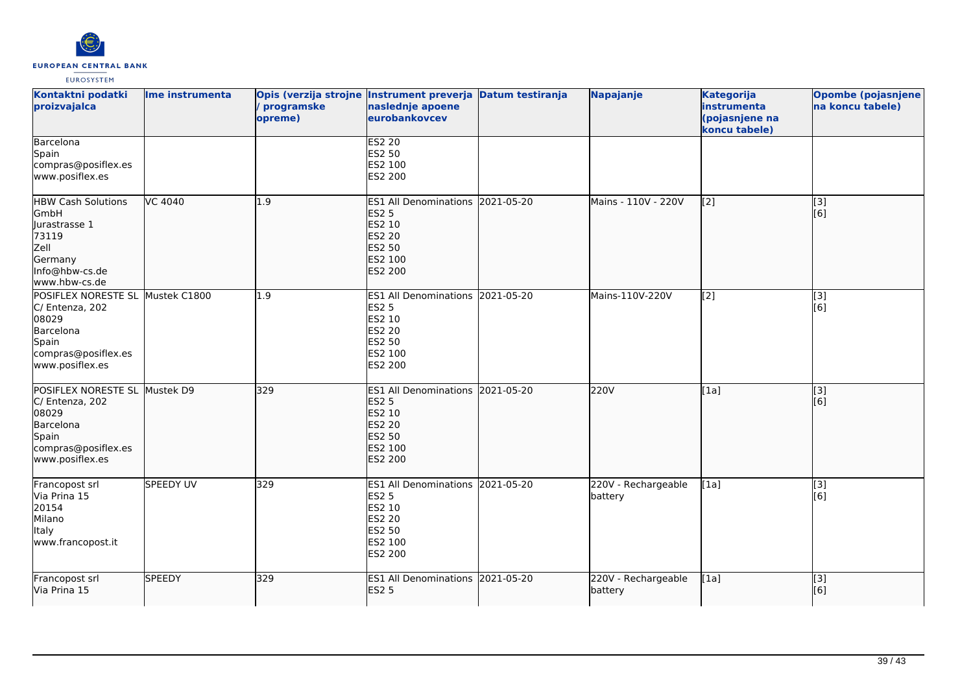

| Kontaktni podatki<br>proizvajalca                                                                                            | Ime instrumenta  | Opis (verzija strojne Instrument preverja Datum testiranja<br>programske<br>opreme) | naslednje apoene<br>eurobankovcev                                                                                         |            | Napajanje                      | <b>Kategorija</b><br>instrumenta<br>(pojasnjene na<br>koncu tabele) | Opombe (pojasnjene<br>na koncu tabele) |
|------------------------------------------------------------------------------------------------------------------------------|------------------|-------------------------------------------------------------------------------------|---------------------------------------------------------------------------------------------------------------------------|------------|--------------------------------|---------------------------------------------------------------------|----------------------------------------|
| Barcelona<br>Spain<br>compras@posiflex.es<br>www.posiflex.es                                                                 |                  |                                                                                     | <b>ES2 20</b><br>ES2 50<br>ES2 100<br>ES2 200                                                                             |            |                                |                                                                     |                                        |
| <b>HBW Cash Solutions</b><br>GmbH<br>Jurastrasse 1<br>73119<br>Zell<br>Germany<br>Info@hbw-cs.de<br>www.hbw-cs.de            | VC 4040          | 1.9                                                                                 | <b>ES1 All Denominations</b><br><b>ES2 5</b><br><b>ES2 10</b><br>ES2 20<br><b>ES2 50</b><br>ES2 100<br><b>ES2 200</b>     | 2021-05-20 | Mains - 110V - 220V            | $\left[\frac{2}{3}\right]$                                          | [3]<br>[6]                             |
| POSIFLEX NORESTE SL Mustek C1800<br>C/ Entenza, 202<br>08029<br>Barcelona<br>Spain<br>compras@posiflex.es<br>www.posiflex.es |                  | 1.9                                                                                 | ES1 All Denominations 2021-05-20<br>ES2 5<br>ES2 10<br>ES2 20<br>ES2 50<br>ES2 100<br>ES2 200                             |            | Mains-110V-220V                | $\overline{[2]}$                                                    | $\overline{[3]}$<br>[6]                |
| POSIFLEX NORESTE SL Mustek D9<br>C/ Entenza, 202<br>08029<br>Barcelona<br>Spain<br>compras@posiflex.es<br>www.posiflex.es    |                  | 329                                                                                 | ES1 All Denominations 2021-05-20<br><b>ES2 5</b><br>ES2 10<br><b>ES2 20</b><br><b>ES2 50</b><br>ES2 100<br><b>ES2 200</b> |            | 220V                           | [1a]                                                                | [3]<br>[6]                             |
| Francopost srl<br>Via Prina 15<br>20154<br>Milano<br><b>Italy</b><br>www.francopost.it                                       | <b>SPEEDY UV</b> | 329                                                                                 | ES1 All Denominations 2021-05-20<br><b>ES2 5</b><br>ES2 10<br><b>ES2 20</b><br>ES2 50<br>ES2 100<br>ES2 200               |            | 220V - Rechargeable<br>battery | [1a]                                                                | [3]<br>[6]                             |
| Francopost srl<br>Via Prina 15                                                                                               | <b>SPEEDY</b>    | 329                                                                                 | ES1 All Denominations 2021-05-20<br><b>ES2 5</b>                                                                          |            | 220V - Rechargeable<br>battery | [1a]                                                                | $\overline{[3]}$<br>[6]                |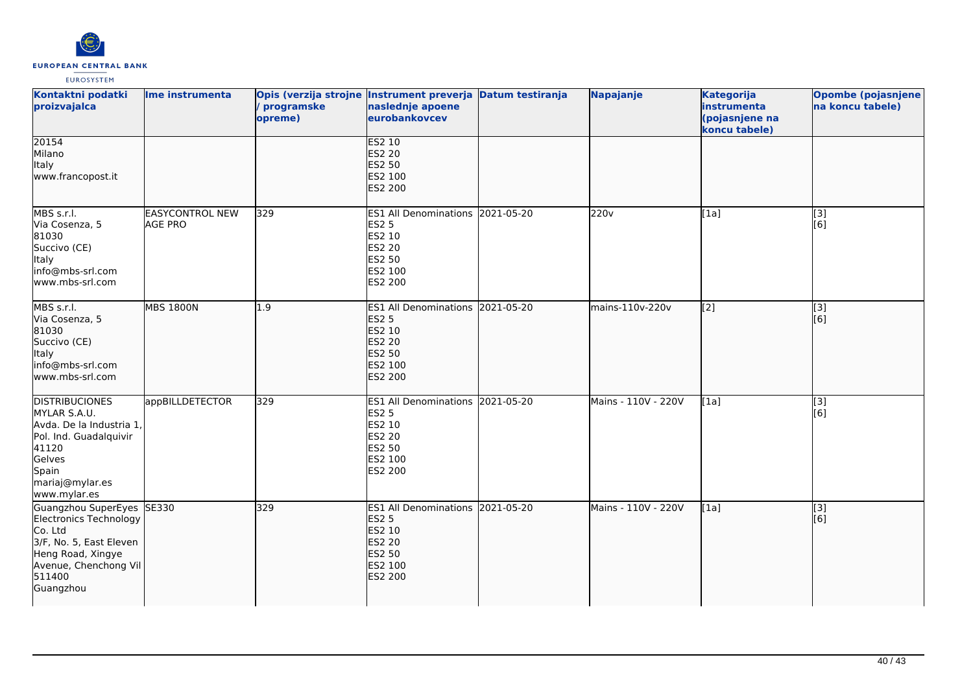

| Kontaktni podatki<br>proizvajalca                                                                                                                              | Ime instrumenta                          | programske<br>opreme) | Opis (verzija strojne Instrument preverja Datum testiranja<br>naslednje apoene<br>eurobankovcev                    | Napajanje           | <b>Kategorija</b><br>instrumenta<br>(pojasnjene na<br>koncu tabele) | <b>Opombe (pojasnjene</b><br>na koncu tabele) |
|----------------------------------------------------------------------------------------------------------------------------------------------------------------|------------------------------------------|-----------------------|--------------------------------------------------------------------------------------------------------------------|---------------------|---------------------------------------------------------------------|-----------------------------------------------|
| 20154<br>Milano<br>Italy<br>www.francopost.it                                                                                                                  |                                          |                       | <b>ES2 10</b><br><b>ES2 20</b><br><b>ES2 50</b><br>ES2 100<br>ES2 200                                              |                     |                                                                     |                                               |
| MBS s.r.l.<br>Via Cosenza, 5<br>81030<br>Succivo (CE)<br>Italy<br>info@mbs-srl.com<br>www.mbs-srl.com                                                          | <b>EASYCONTROL NEW</b><br><b>AGE PRO</b> | 329                   | ES1 All Denominations 2021-05-20<br><b>ES2 5</b><br>ES2 10<br><b>ES2 20</b><br><b>ES2 50</b><br>ES2 100<br>ES2 200 | 220v                | [1a]                                                                | [3]<br>[6]                                    |
| MBS s.r.l.<br>Via Cosenza, 5<br>81030<br>Succivo (CE)<br>Italy<br>info@mbs-srl.com<br>www.mbs-srl.com                                                          | <b>MBS 1800N</b>                         | 1.9                   | ES1 All Denominations 2021-05-20<br><b>ES2 5</b><br>ES2 10<br><b>ES2 20</b><br>ES2 50<br>ES2 100<br>ES2 200        | mains-110v-220v     | $\sqrt{2}$                                                          | $\overline{[}3]$<br>[6]                       |
| <b>DISTRIBUCIONES</b><br>MYLAR S.A.U.<br>Avda. De la Industria 1,<br>Pol. Ind. Guadalquivir<br>41120<br>Gelves<br>Spain<br>mariaj@mylar.es<br>www.mylar.es     | appBILLDETECTOR                          | 329                   | ES1 All Denominations 2021-05-20<br><b>ES2 5</b><br>ES2 10<br><b>ES2 20</b><br><b>ES2 50</b><br>ES2 100<br>ES2 200 | Mains - 110V - 220V | [1a]                                                                | [3]<br>[6]                                    |
| Guangzhou SuperEyes SE330<br>Electronics Technology<br>Co. Ltd<br>3/F, No. 5, East Eleven<br>Heng Road, Xingye<br>Avenue, Chenchong Vil<br>511400<br>Guangzhou |                                          | 329                   | ES1 All Denominations 2021-05-20<br><b>ES2 5</b><br>ES2 10<br><b>ES2 20</b><br>ES2 50<br>ES2 100<br>ES2 200        | Mains - 110V - 220V | [1a]                                                                | $\overline{[}3]$<br>[6]                       |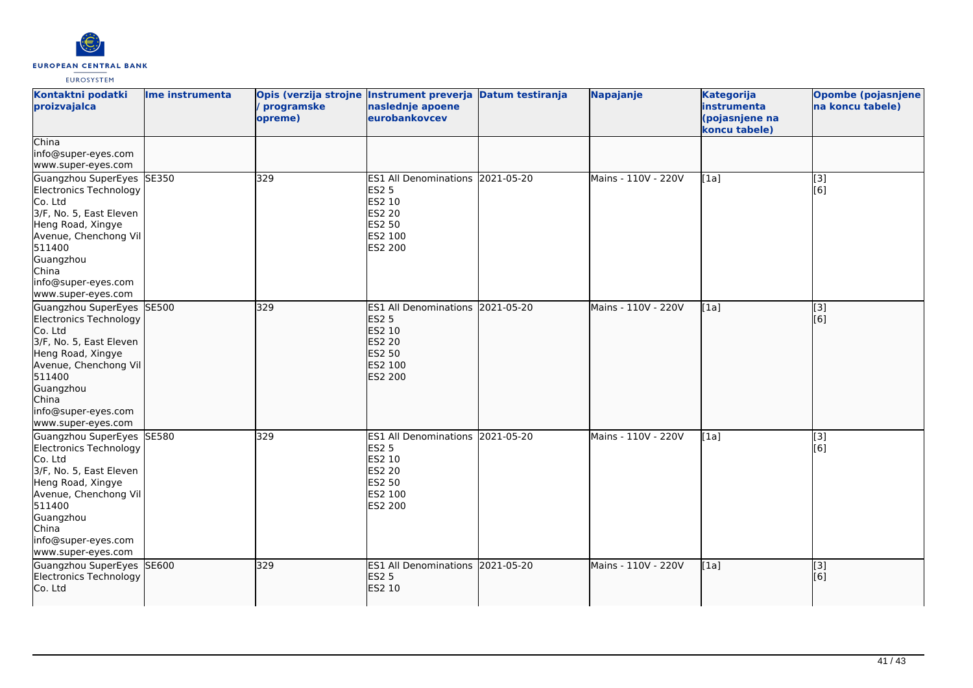

| Kontaktni podatki<br>proizvajalca                                                                                                                                                                                    | Ime instrumenta | Opis (verzija strojne Instrument preverja Datum testiranja<br>programske<br>opreme) | naslednje apoene<br>eurobankovcev                                                                           |            | Napajanje           | <b>Kategorija</b><br>instrumenta<br>(pojasnjene na<br>koncu tabele) | Opombe (pojasnjene)<br>na koncu tabele) |
|----------------------------------------------------------------------------------------------------------------------------------------------------------------------------------------------------------------------|-----------------|-------------------------------------------------------------------------------------|-------------------------------------------------------------------------------------------------------------|------------|---------------------|---------------------------------------------------------------------|-----------------------------------------|
| China<br>info@super-eyes.com<br>www.super-eyes.com                                                                                                                                                                   |                 |                                                                                     |                                                                                                             |            |                     |                                                                     |                                         |
| Guangzhou SuperEyes SE350<br>Electronics Technology<br>Co. Ltd<br>3/F, No. 5, East Eleven<br>Heng Road, Xingye<br>Avenue, Chenchong Vil<br>511400<br>Guangzhou<br>China<br>info@super-eyes.com<br>www.super-eyes.com |                 | 329                                                                                 | ES1 All Denominations 2021-05-20<br><b>ES2 5</b><br>ES2 10<br>ES2 20<br>ES2 50<br>ES2 100<br>ES2 200        |            | Mains - 110V - 220V | [1a]                                                                | $\overline{[3]}$<br>[6]                 |
| Guangzhou SuperEyes SE500<br>Electronics Technology<br>Co. Ltd<br>3/F, No. 5, East Eleven<br>Heng Road, Xingye<br>Avenue, Chenchong Vil<br>511400<br>Guangzhou<br>China<br>info@super-eyes.com<br>www.super-eyes.com |                 | 329                                                                                 | ES1 All Denominations 2021-05-20<br><b>ES2 5</b><br>ES2 10<br><b>ES2 20</b><br>ES2 50<br>ES2 100<br>ES2 200 |            | Mains - 110V - 220V | [1a]                                                                | [3]<br>[6]                              |
| Guangzhou SuperEyes SE580<br>Electronics Technology<br>Co. Ltd<br>3/F, No. 5, East Eleven<br>Heng Road, Xingye<br>Avenue, Chenchong Vil<br>511400<br>Guangzhou<br>China<br>info@super-eyes.com<br>www.super-eyes.com |                 | 329                                                                                 | <b>ES1 All Denominations</b><br><b>ES2 5</b><br>ES2 10<br><b>ES2 20</b><br>ES2 50<br>ES2 100<br>ES2 200     | 2021-05-20 | Mains - 110V - 220V | [1a]                                                                | [3]<br>[6]                              |
| Guangzhou SuperEyes SE600<br>Electronics Technology<br>Co. Ltd                                                                                                                                                       |                 | 329                                                                                 | ES1 All Denominations 2021-05-20<br><b>ES2 5</b><br>ES2 10                                                  |            | Mains - 110V - 220V | [1a]                                                                | $\overline{[3]}$<br>[6]                 |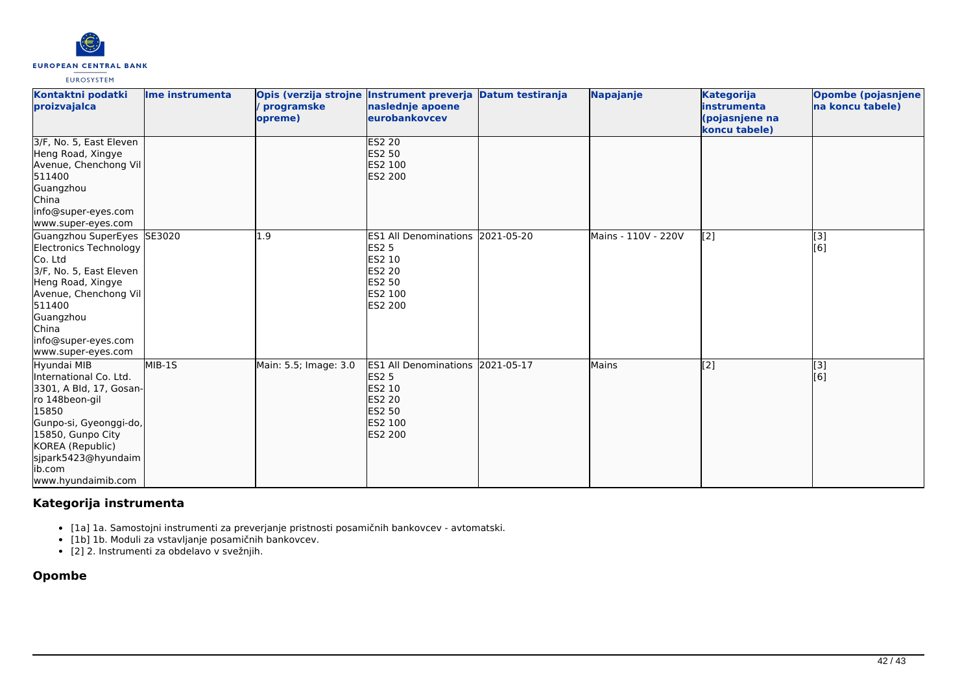

| Kontaktni podatki<br>proizvajalca                                                                                                                                                                                      | Ime instrumenta | programske<br>opreme) | Opis (verzija strojne Instrument preverja Datum testiranja<br>naslednje apoene<br>eurobankovcev                                  | Napajanje           | <b>Kategorija</b><br>linstrumenta<br>(pojasnjene na<br>koncu tabele) | Opombe (pojasnjene)<br>na koncu tabele) |
|------------------------------------------------------------------------------------------------------------------------------------------------------------------------------------------------------------------------|-----------------|-----------------------|----------------------------------------------------------------------------------------------------------------------------------|---------------------|----------------------------------------------------------------------|-----------------------------------------|
| 3/F, No. 5, East Eleven<br>Heng Road, Xingye<br>Avenue, Chenchong Vil<br>511400<br>Guangzhou<br><b>China</b><br>info@super-eyes.com<br>www.super-eyes.com                                                              |                 |                       | <b>ES2 20</b><br>ES2 50<br>ES2 100<br><b>ES2 200</b>                                                                             |                     |                                                                      |                                         |
| Guangzhou SuperEyes<br>Electronics Technology<br>Co. Ltd<br>3/F, No. 5, East Eleven<br>Heng Road, Xingye<br>Avenue, Chenchong Vil<br>511400<br>Guangzhou<br>China<br>info@super-eyes.com<br>www.super-eyes.com         | SE3020          | 1.9                   | ES1 All Denominations 2021-05-20<br><b>ES2 5</b><br>ES2 10<br>ES2 20<br>ES2 50<br><b>ES2 100</b><br>ES2 200                      | Mains - 110V - 220V | $\left[2\right]$                                                     | [3]<br>[6]                              |
| Hyundai MIB<br>International Co. Ltd.<br>3301, A Bld, 17, Gosan-<br>ro 148beon-gil<br>15850<br>Gunpo-si, Gyeonggi-do,<br>15850, Gunpo City<br>KOREA (Republic)<br>sjpark5423@hyundaim<br>lib.com<br>www.hyundaimib.com | MIB-1S          | Main: 5.5; Image: 3.0 | ES1 All Denominations 2021-05-17<br><b>ES2 5</b><br>ES2 10<br><b>ES2 20</b><br><b>ES2 50</b><br><b>ES2 100</b><br><b>ES2 200</b> | Mains               | $\overline{[2]}$                                                     | [3]<br>[6]                              |

# **Kategorija instrumenta**

- [1a] 1a. Samostojni instrumenti za preverjanje pristnosti posamičnih bankovcev avtomatski.
- [1b] 1b. Moduli za vstavljanje posamičnih bankovcev.
- [2] 2. Instrumenti za obdelavo v svežnjih.

# **Opombe**